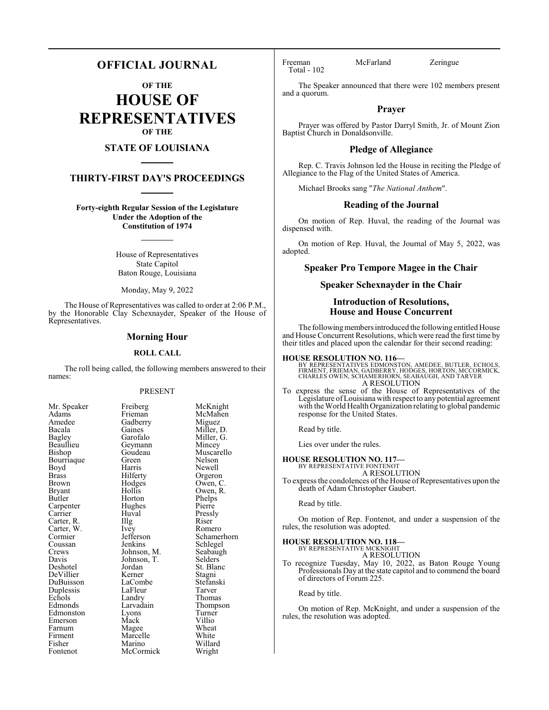## **OFFICIAL JOURNAL**

**OF THE**

**HOUSE OF REPRESENTATIVES OF THE**

## **STATE OF LOUISIANA**

## **THIRTY-FIRST DAY'S PROCEEDINGS**

**Forty-eighth Regular Session of the Legislature Under the Adoption of the Constitution of 1974**

> House of Representatives State Capitol Baton Rouge, Louisiana

Monday, May 9, 2022

The House of Representatives was called to order at 2:06 P.M., by the Honorable Clay Schexnayder, Speaker of the House of Representatives.

## **Morning Hour**

## **ROLL CALL**

The roll being called, the following members answered to their names:

## PRESENT

| Mr. Speaker   | Freiberg    | McKn    |
|---------------|-------------|---------|
| Adams         | Frieman     | McMa    |
| Amedee        | Gadberry    | Migue   |
| Bacala        | Gaines      | Miller  |
| Bagley        | Garofalo    | Miller  |
| Beaullieu     | Geymann     | Mince   |
| Bishop        | Goudeau     | Musca   |
| Bourriaque    | Green       | Nelson  |
| Boyd          | Harris      | Newel   |
| <b>Brass</b>  | Hilferty    | Orgero  |
| Brown         | Hodges      | Owen,   |
| <b>Bryant</b> | Hollis      | Owen,   |
| Butler        | Horton      | Phelps  |
| Carpenter     | Hughes      | Pierre  |
| Carrier       | Huval       | Pressly |
| Carter, R.    | Illg        | Riser   |
| Carter, W.    | Ivey        | Romer   |
| Cormier       | Jefferson   | Scham   |
| Coussan       | Jenkins     | Schleg  |
| Crews         | Johnson, M. | Seabau  |
| Davis         | Johnson, T. | Selder  |
| Deshotel      | Jordan      | St. Bla |
| DeVillier     | Kerner      | Stagni  |
| DuBuisson     | LaCombe     | Stefan  |
| Duplessis     | LaFleur     | Tarver  |
| Echols        | Landry      | Thoma   |
| Edmonds       | Larvadain   | Thomp   |
| Edmonston     | Lyons       | Turner  |
| Emerson       | Mack        | Villio  |
| Farnum        | Magee       | Wheat   |
| Firment       | Marcelle    | White   |
| Fisher        | Marino      | Willar  |
| Fontenot      | McCormick   | Wrigh   |
|               |             |         |

McKnight McMahen Miguez Miller, D. Miller, G. Mincey Muscarello Nelson Newell Orgeron Owen, C. Owen, R. Phelps<br>Pierre Pressly<br>Riser Romero Schamerhorn Schlegel Seabaugh Selders<sup>7</sup> St. Blanc Stagni Stefanski<br>Tarver Thomas Thompson Turner<br>Villio Wheat White Willard Wright

Total - 102

Freeman McFarland Zeringue

The Speaker announced that there were 102 members present and a quorum.

## **Prayer**

Prayer was offered by Pastor Darryl Smith, Jr. of Mount Zion Baptist Church in Donaldsonville.

## **Pledge of Allegiance**

Rep. C. Travis Johnson led the House in reciting the Pledge of Allegiance to the Flag of the United States of America.

Michael Brooks sang "*The National Anthem*".

## **Reading of the Journal**

On motion of Rep. Huval, the reading of the Journal was dispensed with.

On motion of Rep. Huval, the Journal of May 5, 2022, was adopted.

## **Speaker Pro Tempore Magee in the Chair**

## **Speaker Schexnayder in the Chair**

## **Introduction of Resolutions, House and House Concurrent**

The following members introduced the following entitled House and House Concurrent Resolutions, which were read the first time by their titles and placed upon the calendar for their second reading:

**HOUSE RESOLUTION NO. 116—**<br>BY REPRESENTATIVES EDMONSTON, AMEDEE, BUTLER, ECHOLS,<br>FIRMENT, FRIEMAN, GADBERRY, HODGES, HORTON, MCCORMICK,<br>CHARLES OWEN, SCHAMERHORN, SEABAUGH, AND TARVER A RESOLUTION

To express the sense of the House of Representatives of the Legislature ofLouisiana with respect to any potential agreement with the World Health Organization relating to global pandemic response for the United States.

Read by title.

Lies over under the rules.

#### **HOUSE RESOLUTION NO. 117—**

#### BY REPRESENTATIVE FONTENOT A RESOLUTION

To express the condolences of the House of Representatives upon the death of Adam Christopher Gaubert.

Read by title.

On motion of Rep. Fontenot, and under a suspension of the rules, the resolution was adopted.

## **HOUSE RESOLUTION NO. 118—**

BY REPRESENTATIVE MCKNIGHT A RESOLUTION

To recognize Tuesday, May 10, 2022, as Baton Rouge Young Professionals Day at the state capitol and to commend the board of directors of Forum 225.

Read by title.

On motion of Rep. McKnight, and under a suspension of the rules, the resolution was adopted.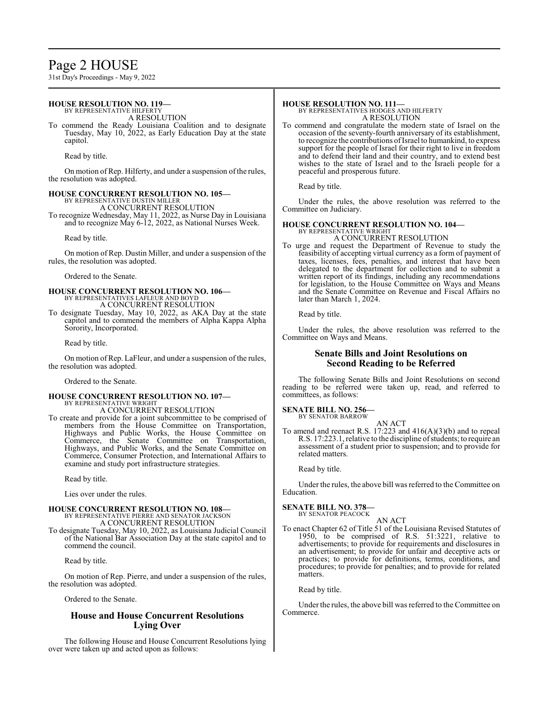## Page 2 HOUSE

31st Day's Proceedings - May 9, 2022

#### **HOUSE RESOLUTION NO. 119—** BY REPRESENTATIVE HILFERTY

A RESOLUTION

To commend the Ready Louisiana Coalition and to designate Tuesday, May 10, 2022, as Early Education Day at the state capitol.

Read by title.

On motion of Rep. Hilferty, and under a suspension of the rules, the resolution was adopted.

## **HOUSE CONCURRENT RESOLUTION NO. 105—**

BY REPRESENTATIVE DUSTIN MILLER A CONCURRENT RESOLUTION

To recognize Wednesday, May 11, 2022, as Nurse Day in Louisiana and to recognize May 6-12, 2022, as National Nurses Week.

Read by title.

On motion of Rep. Dustin Miller, and under a suspension of the rules, the resolution was adopted.

Ordered to the Senate.

# **HOUSE CONCURRENT RESOLUTION NO. 106—** BY REPRESENTATIVES LAFLEUR AND BOYD A CONCURRENT RESOLUTION

To designate Tuesday, May 10, 2022, as AKA Day at the state capitol and to commend the members of Alpha Kappa Alpha Sorority, Incorporated.

Read by title.

On motion of Rep. LaFleur, and under a suspension of the rules, the resolution was adopted.

Ordered to the Senate.

## **HOUSE CONCURRENT RESOLUTION NO. 107—** BY REPRESENTATIVE WRIGHT

A CONCURRENT RESOLUTION To create and provide for a joint subcommittee to be comprised of members from the House Committee on Transportation, Highways and Public Works, the House Committee on Commerce, the Senate Committee on Transportation, Highways, and Public Works, and the Senate Committee on Commerce, Consumer Protection, and International Affairs to

Read by title.

Lies over under the rules.

# **HOUSE CONCURRENT RESOLUTION NO. 108—** BY REPRESENTATIVE PIERRE AND SENATOR JACKSON A CONCURRENT RESOLUTION

examine and study port infrastructure strategies.

To designate Tuesday, May 10, 2022, as Louisiana Judicial Council of the National Bar Association Day at the state capitol and to commend the council.

Read by title.

On motion of Rep. Pierre, and under a suspension of the rules, the resolution was adopted.

Ordered to the Senate.

## **House and House Concurrent Resolutions Lying Over**

The following House and House Concurrent Resolutions lying over were taken up and acted upon as follows:

## **HOUSE RESOLUTION NO. 111—**

BY REPRESENTATIVES HODGES AND HILFERTY A RESOLUTION

To commend and congratulate the modern state of Israel on the occasion of the seventy-fourth anniversary of its establishment, to recognize the contributions ofIsrael to humankind, to express support for the people of Israel for their right to live in freedom and to defend their land and their country, and to extend best wishes to the state of Israel and to the Israeli people for a peaceful and prosperous future.

Read by title.

Under the rules, the above resolution was referred to the Committee on Judiciary.

## **HOUSE CONCURRENT RESOLUTION NO. 104—**

BY REPRESENTATIVE WRIGHT A CONCURRENT RESOLUTION

To urge and request the Department of Revenue to study the feasibility of accepting virtual currency as a form of payment of taxes, licenses, fees, penalties, and interest that have been delegated to the department for collection and to submit a written report of its findings, including any recommendations for legislation, to the House Committee on Ways and Means and the Senate Committee on Revenue and Fiscal Affairs no later than March 1, 2024.

Read by title.

Under the rules, the above resolution was referred to the Committee on Ways and Means.

## **Senate Bills and Joint Resolutions on Second Reading to be Referred**

The following Senate Bills and Joint Resolutions on second reading to be referred were taken up, read, and referred to committees, as follows:

#### **SENATE BILL NO. 256—** BY SENATOR BARROW

AN ACT

To amend and reenact R.S. 17:223 and 416(A)(3)(b) and to repeal R.S. 17:223.1, relative to the discipline of students; to require an assessment of a student prior to suspension; and to provide for related matters.

Read by title.

Under the rules, the above bill was referred to the Committee on Education.

## **SENATE BILL NO. 378—**

BY SENATOR PEACOCK

AN ACT To enact Chapter 62 of Title 51 of the Louisiana Revised Statutes of 1950, to be comprised of R.S. 51:3221, relative to advertisements; to provide for requirements and disclosures in an advertisement; to provide for unfair and deceptive acts or practices; to provide for definitions, terms, conditions, and procedures; to provide for penalties; and to provide for related matters.

Read by title.

Under the rules, the above bill was referred to the Committee on Commerce.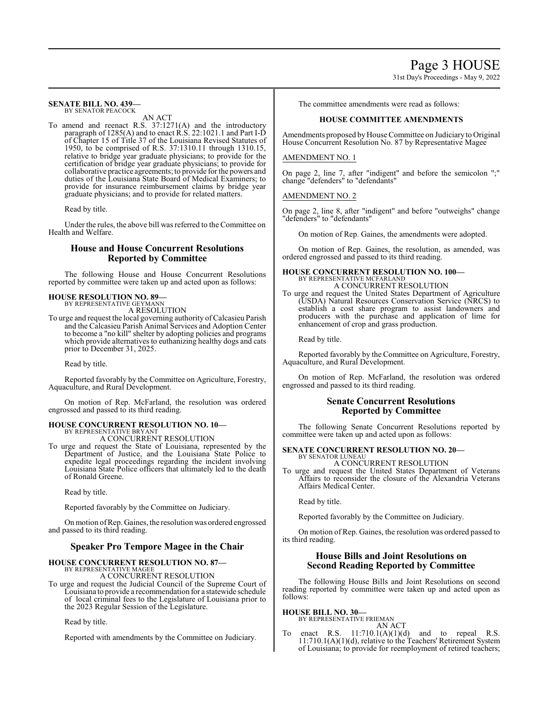#### **SENATE BILL NO. 439—** BY SENATOR PEACOCK

AN ACT

To amend and reenact R.S. 37:1271(A) and the introductory paragraph of 1285(A) and to enact R.S. 22:1021.1 and Part I-D of Chapter 15 of Title 37 of the Louisiana Revised Statutes of 1950, to be comprised of R.S. 37:1310.11 through 1310.15, relative to bridge year graduate physicians; to provide for the certification of bridge year graduate physicians; to provide for collaborative practice agreements; to provide for the powers and duties of the Louisiana State Board of Medical Examiners; to provide for insurance reimbursement claims by bridge year graduate physicians; and to provide for related matters.

Read by title.

Under the rules, the above bill was referred to the Committee on Health and Welfare.

## **House and House Concurrent Resolutions Reported by Committee**

The following House and House Concurrent Resolutions reported by committee were taken up and acted upon as follows:

## **HOUSE RESOLUTION NO. 89—** BY REPRESENTATIVE GEYMANN

A RESOLUTION

To urge and request the local governing authority ofCalcasieu Parish and the Calcasieu Parish Animal Services and Adoption Center to become a "no kill" shelter by adopting policies and programs which provide alternatives to euthanizing healthy dogs and cats prior to December 31, 2025.

Read by title.

Reported favorably by the Committee on Agriculture, Forestry, Aquaculture, and Rural Development.

On motion of Rep. McFarland, the resolution was ordered engrossed and passed to its third reading.

## **HOUSE CONCURRENT RESOLUTION NO. 10—** BY REPRESENTATIVE BRYANT

A CONCURRENT RESOLUTION

To urge and request the State of Louisiana, represented by the Department of Justice, and the Louisiana State Police to expedite legal proceedings regarding the incident involving Louisiana State Police officers that ultimately led to the death of Ronald Greene.

Read by title.

Reported favorably by the Committee on Judiciary.

Onmotion ofRep. Gaines, the resolution was ordered engrossed and passed to its third reading.

## **Speaker Pro Tempore Magee in the Chair**

## **HOUSE CONCURRENT RESOLUTION NO. 87—**

BY REPRESENTATIVE MAGEE A CONCURRENT RESOLUTION

To urge and request the Judicial Council of the Supreme Court of Louisiana to provide a recommendation for a statewide schedule of local criminal fees to the Legislature of Louisiana prior to the 2023 Regular Session of the Legislature.

Read by title.

Reported with amendments by the Committee on Judiciary.

The committee amendments were read as follows:

## **HOUSE COMMITTEE AMENDMENTS**

Amendments proposed byHouse Committee on Judiciary to Original House Concurrent Resolution No. 87 by Representative Magee

## AMENDMENT NO. 1

On page 2, line 7, after "indigent" and before the semicolon ";" change "defenders" to "defendants"

## AMENDMENT NO. 2

On page 2, line 8, after "indigent" and before "outweighs" change "defenders" to "defendants"

On motion of Rep. Gaines, the amendments were adopted.

On motion of Rep. Gaines, the resolution, as amended, was ordered engrossed and passed to its third reading.

## **HOUSE CONCURRENT RESOLUTION NO. 100—** BY REPRESENTATIVE MCFARLAND A CONCURRENT RESOLUTION

To urge and request the United States Department of Agriculture (USDA) Natural Resources Conservation Service (NRCS) to establish a cost share program to assist landowners and producers with the purchase and application of lime for enhancement of crop and grass production.

Read by title.

Reported favorably by the Committee on Agriculture, Forestry, Aquaculture, and Rural Development.

On motion of Rep. McFarland, the resolution was ordered engrossed and passed to its third reading.

## **Senate Concurrent Resolutions Reported by Committee**

The following Senate Concurrent Resolutions reported by committee were taken up and acted upon as follows:

#### **SENATE CONCURRENT RESOLUTION NO. 20—** BY SENATOR LUNEAU

A CONCURRENT RESOLUTION

To urge and request the United States Department of Veterans Affairs to reconsider the closure of the Alexandria Veterans Affairs Medical Center.

Read by title.

Reported favorably by the Committee on Judiciary.

On motion of Rep. Gaines, the resolution was ordered passed to its third reading.

## **House Bills and Joint Resolutions on Second Reading Reported by Committee**

The following House Bills and Joint Resolutions on second reading reported by committee were taken up and acted upon as follows:

**HOUSE BILL NO. 30—** BY REPRESENTATIVE FRIEMAN

AN ACT

To enact R.S. 11:710.1(A)(1)(d) and to repeal R.S.  $11:710.1(A)(1)(d)$ , relative to the Teachers' Retirement System of Louisiana; to provide for reemployment of retired teachers;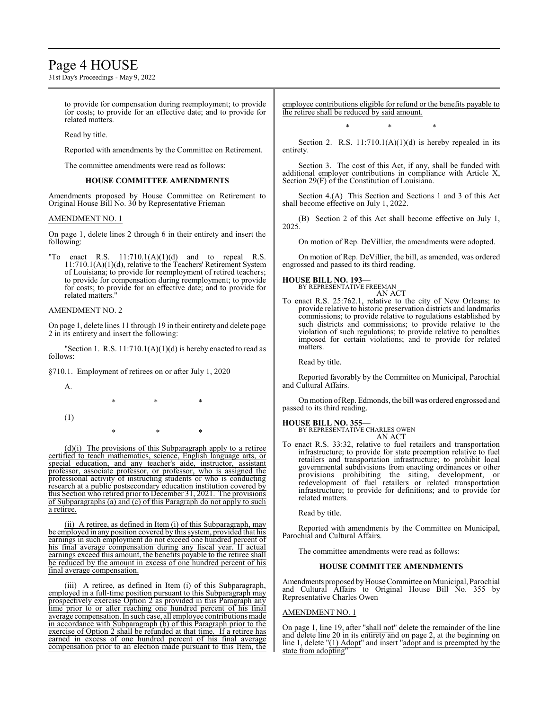## Page 4 HOUSE

31st Day's Proceedings - May 9, 2022

to provide for compensation during reemployment; to provide for costs; to provide for an effective date; and to provide for related matters.

Read by title.

Reported with amendments by the Committee on Retirement.

The committee amendments were read as follows:

## **HOUSE COMMITTEE AMENDMENTS**

Amendments proposed by House Committee on Retirement to Original House Bill No. 30 by Representative Frieman

## AMENDMENT NO. 1

On page 1, delete lines 2 through 6 in their entirety and insert the following:

"To enact R.S.  $11:710.1(A)(1)(d)$  and to repeal R.S. 11:710.1(A)(1)(d), relative to the Teachers' Retirement System of Louisiana; to provide for reemployment of retired teachers; to provide for compensation during reemployment; to provide for costs; to provide for an effective date; and to provide for related matters."

## AMENDMENT NO. 2

On page 1, delete lines 11 through 19 in their entirety and delete page 2 in its entirety and insert the following:

"Section 1. R.S.  $11:710.1(A)(1)(d)$  is hereby enacted to read as follows:

\* \* \*

§710.1. Employment of retirees on or after July 1, 2020

A.

- (1)
- \* \* \*

(d)(i) The provisions of this Subparagraph apply to a retiree certified to teach mathematics, science, English language arts, or special education, and any teacher's aide, instructor, assistant professor, associate professor, or professor, who is assigned the professional activity of instructing students or who is conducting research at a public postsecondary education institution covered by this Section who retired prior to December 31, 2021. The provisions of Subparagraphs (a) and (c) of this Paragraph do not apply to such a retiree.

(ii) A retiree, as defined in Item (i) of this Subparagraph, may be employed in any position covered by this system, provided that his earnings in such employment do not exceed one hundred percent of his final average compensation during any fiscal year. If actual earnings exceed this amount, the benefits payable to the retiree shall be reduced by the amount in excess of one hundred percent of his final average compensation.

(iii) A retiree, as defined in Item (i) of this Subparagraph, employed in a full-time position pursuant to this Subparagraph may prospectively exercise Option 2 as provided in this Paragraph any time prior to or after reaching one hundred percent of his final average compensation. In such case, all employee contributions made in accordance with Subparagraph (b) of this Paragraph prior to the exercise of Option 2 shall be refunded at that time. If a retiree has earned in excess of one hundred percent of his final average compensation prior to an election made pursuant to this Item, the employee contributions eligible for refund or the benefits payable to the retiree shall be reduced by said amount.

\* \* \*

Section 2. R.S.  $11:710.1(A)(1)(d)$  is hereby repealed in its entirety.

Section 3. The cost of this Act, if any, shall be funded with additional employer contributions in compliance with Article X, Section 29(F) of the Constitution of Louisiana.

Section 4.(A) This Section and Sections 1 and 3 of this Act shall become effective on July 1, 2022.

(B) Section 2 of this Act shall become effective on July 1, 2025.

On motion of Rep. DeVillier, the amendments were adopted.

On motion of Rep. DeVillier, the bill, as amended, was ordered engrossed and passed to its third reading.

## **HOUSE BILL NO. 193—**

**SE BILL NO. 193—**<br>BY REPRESENTATIVE FREEMAN AN ACT

To enact R.S. 25:762.1, relative to the city of New Orleans; to provide relative to historic preservation districts and landmarks commissions; to provide relative to regulations established by such districts and commissions; to provide relative to the violation of such regulations; to provide relative to penalties imposed for certain violations; and to provide for related matters.

Read by title.

Reported favorably by the Committee on Municipal, Parochial and Cultural Affairs.

On motion ofRep. Edmonds, the bill was ordered engrossed and passed to its third reading.

## **HOUSE BILL NO. 355—**

BY REPRESENTATIVE CHARLES OWEN AN ACT

To enact R.S. 33:32, relative to fuel retailers and transportation infrastructure; to provide for state preemption relative to fuel retailers and transportation infrastructure; to prohibit local governmental subdivisions from enacting ordinances or other provisions prohibiting the siting, development, or redevelopment of fuel retailers or related transportation infrastructure; to provide for definitions; and to provide for related matters.

Read by title.

Reported with amendments by the Committee on Municipal, Parochial and Cultural Affairs.

The committee amendments were read as follows:

## **HOUSE COMMITTEE AMENDMENTS**

Amendments proposed byHouse Committee on Municipal, Parochial and Cultural Affairs to Original House Bill No. 355 by Representative Charles Owen

## AMENDMENT NO. 1

On page 1, line 19, after "shall not" delete the remainder of the line and delete line 20 in its entirety and on page 2, at the beginning on line 1, delete "(1) Adopt" and insert "adopt and is preempted by the state from adopting"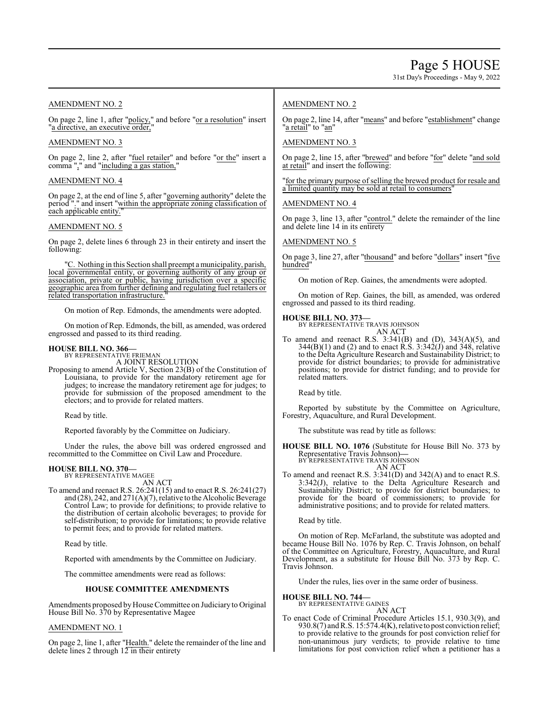31st Day's Proceedings - May 9, 2022

## AMENDMENT NO. 2

On page 2, line 1, after "policy," and before "or a resolution" insert "a directive, an executive order,

## AMENDMENT NO. 3

On page 2, line 2, after "fuel retailer" and before "or the" insert a comma "," and "including a gas station,"

## AMENDMENT NO. 4

On page 2, at the end of line 5, after "governing authority" delete the period "." and insert "within the appropriate zoning classification of each applicable entity."

## AMENDMENT NO. 5

On page 2, delete lines 6 through 23 in their entirety and insert the following:

C. Nothing in this Section shall preempt a municipality, parish, local governmental entity, or governing authority of any group or association, private or public, having jurisdiction over a specific geographic area from further defining and regulating fuel retailers or related transportation infrastructure."

On motion of Rep. Edmonds, the amendments were adopted.

On motion of Rep. Edmonds, the bill, as amended, was ordered engrossed and passed to its third reading.

## **HOUSE BILL NO. 366—** BY REPRESENTATIVE FRIEMAN

A JOINT RESOLUTION

Proposing to amend Article V, Section 23(B) of the Constitution of Louisiana, to provide for the mandatory retirement age for judges; to increase the mandatory retirement age for judges; to provide for submission of the proposed amendment to the electors; and to provide for related matters.

Read by title.

Reported favorably by the Committee on Judiciary.

Under the rules, the above bill was ordered engrossed and recommitted to the Committee on Civil Law and Procedure.

#### **HOUSE BILL NO. 370—** BY REPRESENTATIVE MAGEE

AN ACT

To amend and reenact R.S. 26:241(15) and to enact R.S. 26:241(27) and (28), 242, and 271(A)(7), relative to the Alcoholic Beverage Control Law; to provide for definitions; to provide relative to the distribution of certain alcoholic beverages; to provide for self-distribution; to provide for limitations; to provide relative to permit fees; and to provide for related matters.

Read by title.

Reported with amendments by the Committee on Judiciary.

The committee amendments were read as follows:

## **HOUSE COMMITTEE AMENDMENTS**

Amendments proposed by House Committee on Judiciary to Original House Bill No. 370 by Representative Magee

## AMENDMENT NO. 1

On page 2, line 1, after "Health." delete the remainder of the line and delete lines 2 through 12 in their entirety

## AMENDMENT NO. 2

On page 2, line 14, after "means" and before "establishment" change "a retail" to "an"

## AMENDMENT NO. 3

On page 2, line 15, after "brewed" and before "for" delete "and sold at retail" and insert the following:

"for the primary purpose of selling the brewed product for resale and a limited quantity may be sold at retail to consumers"

## AMENDMENT NO. 4

On page 3, line 13, after "control." delete the remainder of the line and delete line 14 in its entirety

## AMENDMENT NO. 5

On page 3, line 27, after "thousand" and before "dollars" insert "five hundred"

On motion of Rep. Gaines, the amendments were adopted.

On motion of Rep. Gaines, the bill, as amended, was ordered engrossed and passed to its third reading.

**HOUSE BILL NO. 373—** BY REPRESENTATIVE TRAVIS JOHNSON AN ACT

To amend and reenact R.S.  $3:341(B)$  and (D),  $343(A)(5)$ , and  $344(B)(1)$  and (2) and to enact R.S.  $3:342(J)$  and  $348$ , relative to the Delta Agriculture Research and Sustainability District; to provide for district boundaries; to provide for administrative positions; to provide for district funding; and to provide for related matters.

Read by title.

Reported by substitute by the Committee on Agriculture, Forestry, Aquaculture, and Rural Development.

The substitute was read by title as follows:

**HOUSE BILL NO. 1076** (Substitute for House Bill No. 373 by Representative Travis Johnson)**—** BY REPRESENTATIVE TRAVIS JOHNSON

AN ACT To amend and reenact R.S. 3:341(D) and 342(A) and to enact R.S. 3:342(J), relative to the Delta Agriculture Research and Sustainability District; to provide for district boundaries; to provide for the board of commissioners; to provide for administrative positions; and to provide for related matters.

Read by title.

On motion of Rep. McFarland, the substitute was adopted and became House Bill No. 1076 by Rep. C. Travis Johnson, on behalf of the Committee on Agriculture, Forestry, Aquaculture, and Rural Development, as a substitute for House Bill No. 373 by Rep. C. Travis Johnson.

Under the rules, lies over in the same order of business.

**HOUSE BILL NO. 744—** BY REPRESENTATIVE GAINES

AN ACT

To enact Code of Criminal Procedure Articles 15.1, 930.3(9), and 930.8(7) and R.S. 15:574.4(K), relative to post conviction relief; to provide relative to the grounds for post conviction relief for non-unanimous jury verdicts; to provide relative to time limitations for post conviction relief when a petitioner has a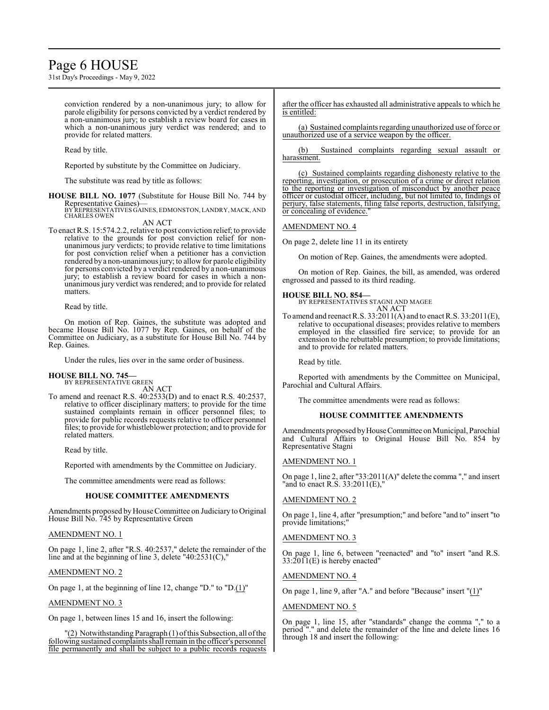## Page 6 HOUSE

31st Day's Proceedings - May 9, 2022

conviction rendered by a non-unanimous jury; to allow for parole eligibility for persons convicted by a verdict rendered by a non-unanimous jury; to establish a review board for cases in which a non-unanimous jury verdict was rendered; and to provide for related matters.

Read by title.

Reported by substitute by the Committee on Judiciary.

The substitute was read by title as follows:

**HOUSE BILL NO. 1077** (Substitute for House Bill No. 744 by Representative Gaines)—

BY REPRESENTATIVES GAINES, EDMONSTON, LANDRY, MACK, AND CHARLES OWEN AN ACT

To enact R.S. 15:574.2.2, relative to post conviction relief; to provide relative to the grounds for post conviction relief for nonunanimous jury verdicts; to provide relative to time limitations for post conviction relief when a petitioner has a conviction rendered by a non-unanimous jury; to allow for parole eligibility for persons convicted by a verdict rendered by a non-unanimous jury; to establish a review board for cases in which a nonunanimous jury verdict was rendered; and to provide for related matters.

Read by title.

On motion of Rep. Gaines, the substitute was adopted and became House Bill No. 1077 by Rep. Gaines, on behalf of the Committee on Judiciary, as a substitute for House Bill No. 744 by Rep. Gaines.

Under the rules, lies over in the same order of business.

## **HOUSE BILL NO. 745—** BY REPRESENTATIVE GREEN

AN ACT

To amend and reenact R.S. 40:2533(D) and to enact R.S. 40:2537, relative to officer disciplinary matters; to provide for the time sustained complaints remain in officer personnel files; to provide for public records requests relative to officer personnel files; to provide for whistleblower protection; and to provide for related matters.

Read by title.

Reported with amendments by the Committee on Judiciary.

The committee amendments were read as follows:

## **HOUSE COMMITTEE AMENDMENTS**

Amendments proposed byHouse Committee on Judiciary to Original House Bill No. 745 by Representative Green

## AMENDMENT NO. 1

On page 1, line 2, after "R.S. 40:2537," delete the remainder of the line and at the beginning of line 3, delete "40:2531(C),"

## AMENDMENT NO. 2

On page 1, at the beginning of line 12, change "D." to "D.(1)"

## AMENDMENT NO. 3

On page 1, between lines 15 and 16, insert the following:

"(2) Notwithstanding Paragraph (1) ofthis Subsection, all ofthe following sustained complaints shall remain in the officer's personnel file permanently and shall be subject to a public records requests after the officer has exhausted all administrative appeals to which he is entitled:

(a) Sustained complaints regarding unauthorized use offorce or unauthorized use of a service weapon by the officer.

(b) Sustained complaints regarding sexual assault or harassment.

(c) Sustained complaints regarding dishonesty relative to the reporting, investigation, or prosecution of a crime or direct relation to the reporting or investigation of misconduct by another peace officer or custodial officer, including, but not limited to, findings of perjury, false statements, filing false reports, destruction, falsifying, or concealing of evidence.

AMENDMENT NO. 4

On page 2, delete line 11 in its entirety

On motion of Rep. Gaines, the amendments were adopted.

On motion of Rep. Gaines, the bill, as amended, was ordered engrossed and passed to its third reading.

## **HOUSE BILL NO. 854—**

BY REPRESENTATIVES STAGNI AND MAGEE AN ACT

To amend and reenact R.S. 33:2011(A) and to enact R.S. 33:2011(E), relative to occupational diseases; provides relative to members employed in the classified fire service; to provide for an extension to the rebuttable presumption; to provide limitations; and to provide for related matters.

Read by title.

Reported with amendments by the Committee on Municipal, Parochial and Cultural Affairs.

The committee amendments were read as follows:

## **HOUSE COMMITTEE AMENDMENTS**

Amendments proposed by House Committee on Municipal, Parochial and Cultural Affairs to Original House Bill No. 854 by Representative Stagni

## AMENDMENT NO. 1

On page 1, line 2, after "33:2011(A)" delete the comma "," and insert "and to enact R.S. 33:2011(E),"

## AMENDMENT NO. 2

On page 1, line 4, after "presumption;" and before "and to" insert "to provide limitations;"

## AMENDMENT NO. 3

On page 1, line 6, between "reenacted" and "to" insert "and R.S.  $33:2011(E)$  is hereby enacted"

## AMENDMENT NO. 4

On page 1, line 9, after "A." and before "Because" insert "(1)"

AMENDMENT NO. 5

On page 1, line 15, after "standards" change the comma "," to a period "." and delete the remainder of the line and delete lines 16 through 18 and insert the following: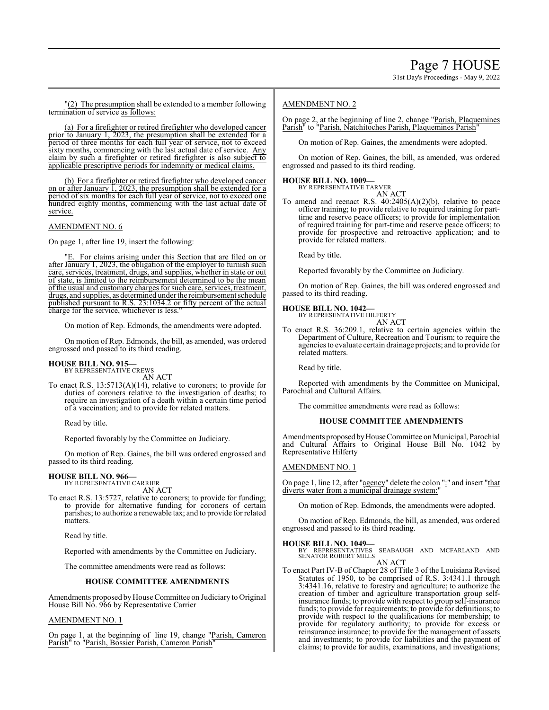"(2) The presumption shall be extended to a member following termination of service as follows:

(a) For a firefighter or retired firefighter who developed cancer prior to January 1, 2023, the presumption shall be extended for a period of three months for each full year of service, not to exceed sixty months, commencing with the last actual date of service. Any claim by such a firefighter or retired firefighter is also subject to applicable prescriptive periods for indemnity or medical claims.

(b) For a firefighter or retired firefighter who developed cancer on or after January  $\overline{1, 2023}$ , the presumption shall be extended for a period of six months for each full year of service, not to exceed one hundred eighty months, commencing with the last actual date of service.

## AMENDMENT NO. 6

On page 1, after line 19, insert the following:

"E. For claims arising under this Section that are filed on or after January 1, 2023, the obligation of the employer to furnish such care, services, treatment, drugs, and supplies, whether in state or out of state, is limited to the reimbursement determined to be the mean ofthe usual and customary charges for such care, services, treatment, drugs, and supplies, as determined under the reimbursement schedule published pursuant to R.S. 23:1034.2 or fifty percent of the actual charge for the service, whichever is less."

On motion of Rep. Edmonds, the amendments were adopted.

On motion of Rep. Edmonds, the bill, as amended, was ordered engrossed and passed to its third reading.

## **HOUSE BILL NO. 915—** BY REPRESENTATIVE CREWS

AN ACT

To enact R.S. 13:5713(A)(14), relative to coroners; to provide for duties of coroners relative to the investigation of deaths; to require an investigation of a death within a certain time period of a vaccination; and to provide for related matters.

Read by title.

Reported favorably by the Committee on Judiciary.

On motion of Rep. Gaines, the bill was ordered engrossed and passed to its third reading.

## **HOUSE BILL NO. 966—** BY REPRESENTATIVE CARRIER

AN ACT

To enact R.S. 13:5727, relative to coroners; to provide for funding; to provide for alternative funding for coroners of certain parishes; to authorize a renewable tax; and to provide for related **matters** 

Read by title.

Reported with amendments by the Committee on Judiciary.

The committee amendments were read as follows:

## **HOUSE COMMITTEE AMENDMENTS**

Amendments proposed by House Committee on Judiciary to Original House Bill No. 966 by Representative Carrier

## AMENDMENT NO. 1

On page 1, at the beginning of line 19, change "Parish, Cameron Parish" to "Parish, Bossier Parish, Cameron Parish"

## AMENDMENT NO. 2

On page 2, at the beginning of line 2, change "Parish, Plaquemines Parish" to "Parish, Natchitoches Parish, Plaquemines Parish"

On motion of Rep. Gaines, the amendments were adopted.

On motion of Rep. Gaines, the bill, as amended, was ordered engrossed and passed to its third reading.

## **HOUSE BILL NO. 1009—** BY REPRESENTATIVE TARVER

AN ACT

To amend and reenact R.S. 40:2405(A)(2)(b), relative to peace officer training; to provide relative to required training for parttime and reserve peace officers; to provide for implementation of required training for part-time and reserve peace officers; to provide for prospective and retroactive application; and to provide for related matters.

Read by title.

Reported favorably by the Committee on Judiciary.

On motion of Rep. Gaines, the bill was ordered engrossed and passed to its third reading.

**HOUSE BILL NO. 1042—** BY REPRESENTATIVE HILFERTY AN ACT

To enact R.S. 36:209.1, relative to certain agencies within the Department of Culture, Recreation and Tourism; to require the agencies to evaluate certain drainage projects; and to provide for related matters.

Read by title.

Reported with amendments by the Committee on Municipal, Parochial and Cultural Affairs.

The committee amendments were read as follows:

## **HOUSE COMMITTEE AMENDMENTS**

Amendments proposed by House Committee on Municipal, Parochial and Cultural Affairs to Original House Bill No. 1042 by Representative Hilferty

## AMENDMENT NO. 1

On page 1, line 12, after "agency" delete the colon ":" and insert "that diverts water from a municipal drainage system:"

On motion of Rep. Edmonds, the amendments were adopted.

On motion of Rep. Edmonds, the bill, as amended, was ordered engrossed and passed to its third reading.

## **HOUSE BILL NO. 1049—**

BY REPRESENTATIVES SEABAUGH AND MCFARLAND AND SENATOR ROBERT MILLS AN ACT

To enact Part IV-B of Chapter 28 of Title 3 of the Louisiana Revised Statutes of 1950, to be comprised of R.S. 3:4341.1 through 3:4341.16, relative to forestry and agriculture; to authorize the creation of timber and agriculture transportation group selfinsurance funds; to provide with respect to group self-insurance funds; to provide for requirements; to provide for definitions; to provide with respect to the qualifications for membership; to provide for regulatory authority; to provide for excess or reinsurance insurance; to provide for the management of assets and investments; to provide for liabilities and the payment of claims; to provide for audits, examinations, and investigations;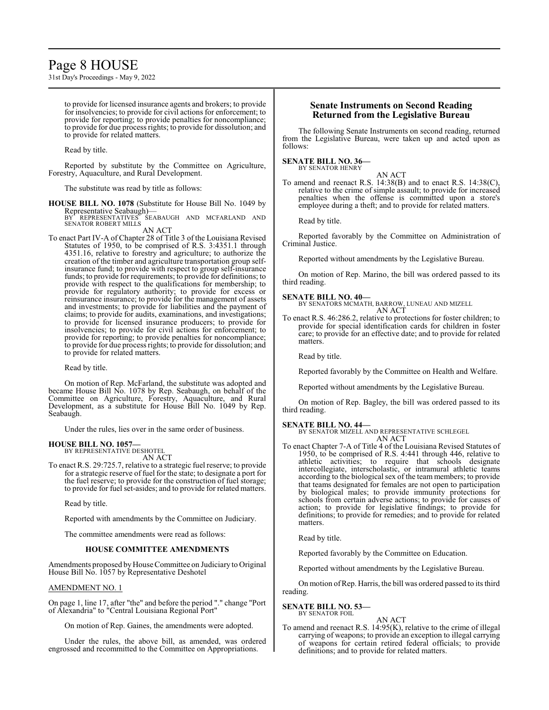## Page 8 HOUSE

31st Day's Proceedings - May 9, 2022

to provide for licensed insurance agents and brokers; to provide for insolvencies; to provide for civil actions for enforcement; to provide for reporting; to provide penalties for noncompliance; to provide for due process rights; to provide for dissolution; and to provide for related matters.

Read by title.

Reported by substitute by the Committee on Agriculture, Forestry, Aquaculture, and Rural Development.

The substitute was read by title as follows:

**HOUSE BILL NO. 1078** (Substitute for House Bill No. 1049 by Representative Seabaugh)— BY REPRESENTATIVES SEABAUGH AND MCFARLAND AND

SENATOR ROBERT MILLS AN ACT

To enact Part IV-A of Chapter 28 of Title 3 of the Louisiana Revised Statutes of 1950, to be comprised of R.S. 3:4351.1 through 4351.16, relative to forestry and agriculture; to authorize the creation of the timber and agriculture transportation group selfinsurance fund; to provide with respect to group self-insurance funds; to provide for requirements; to provide for definitions; to provide with respect to the qualifications for membership; to provide for regulatory authority; to provide for excess or reinsurance insurance; to provide for the management of assets and investments; to provide for liabilities and the payment of claims; to provide for audits, examinations, and investigations; to provide for licensed insurance producers; to provide for insolvencies; to provide for civil actions for enforcement; to provide for reporting; to provide penalties for noncompliance; to provide for due process rights; to provide for dissolution; and to provide for related matters.

Read by title.

On motion of Rep. McFarland, the substitute was adopted and became House Bill No. 1078 by Rep. Seabaugh, on behalf of the Committee on Agriculture, Forestry, Aquaculture, and Rural Development, as a substitute for House Bill No. 1049 by Rep. Seabaugh.

Under the rules, lies over in the same order of business.

## **HOUSE BILL NO. 1057—**

BY REPRESENTATIVE DESHOTEL

AN ACT To enact R.S. 29:725.7, relative to a strategic fuel reserve; to provide for a strategic reserve of fuel for the state; to designate a port for the fuel reserve; to provide for the construction of fuel storage; to provide for fuel set-asides; and to provide for related matters.

Read by title.

Reported with amendments by the Committee on Judiciary.

The committee amendments were read as follows:

## **HOUSE COMMITTEE AMENDMENTS**

Amendments proposed byHouse Committee on Judiciary to Original House Bill No. 1057 by Representative Deshotel

## AMENDMENT NO. 1

On page 1, line 17, after "the" and before the period "." change "Port of Alexandria" to "Central Louisiana Regional Port"

On motion of Rep. Gaines, the amendments were adopted.

Under the rules, the above bill, as amended, was ordered engrossed and recommitted to the Committee on Appropriations.

## **Senate Instruments on Second Reading Returned from the Legislative Bureau**

The following Senate Instruments on second reading, returned from the Legislative Bureau, were taken up and acted upon as follows:

# **SENATE BILL NO. 36—** BY SENATOR HENRY

AN ACT

To amend and reenact R.S. 14:38(B) and to enact R.S. 14:38(C), relative to the crime of simple assault; to provide for increased penalties when the offense is committed upon a store's employee during a theft; and to provide for related matters.

Read by title.

Reported favorably by the Committee on Administration of Criminal Justice.

Reported without amendments by the Legislative Bureau.

On motion of Rep. Marino, the bill was ordered passed to its third reading.

## **SENATE BILL NO. 40—**

BY SENATORS MCMATH, BARROW, LUNEAU AND MIZELL AN ACT

To enact R.S. 46:286.2, relative to protections for foster children; to provide for special identification cards for children in foster care; to provide for an effective date; and to provide for related matters.

Read by title.

Reported favorably by the Committee on Health and Welfare.

Reported without amendments by the Legislative Bureau.

On motion of Rep. Bagley, the bill was ordered passed to its third reading.

**SENATE BILL NO. 44—** BY SENATOR MIZELL AND REPRESENTATIVE SCHLEGEL AN ACT

To enact Chapter 7-A of Title 4 of the Louisiana Revised Statutes of 1950, to be comprised of R.S. 4:441 through 446, relative to athletic activities; to require that schools designate intercollegiate, interscholastic, or intramural athletic teams according to the biological sex of the team members; to provide that teams designated for females are not open to participation by biological males; to provide immunity protections for schools from certain adverse actions; to provide for causes of action; to provide for legislative findings; to provide for definitions; to provide for remedies; and to provide for related matters.

Read by title.

Reported favorably by the Committee on Education.

Reported without amendments by the Legislative Bureau.

On motion ofRep. Harris, the bill was ordered passed to its third reading.

#### **SENATE BILL NO. 53—** BY SENATOR FOIL

## AN ACT

To amend and reenact R.S. 14:95(K), relative to the crime of illegal carrying of weapons; to provide an exception to illegal carrying of weapons for certain retired federal officials; to provide definitions; and to provide for related matters.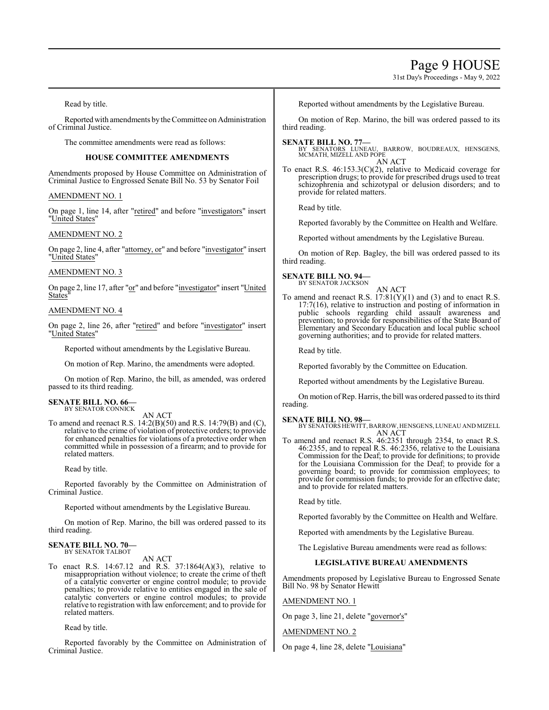## Page 9 HOUSE

31st Day's Proceedings - May 9, 2022

Read by title.

Reported with amendments by the Committee on Administration of Criminal Justice.

The committee amendments were read as follows:

## **HOUSE COMMITTEE AMENDMENTS**

Amendments proposed by House Committee on Administration of Criminal Justice to Engrossed Senate Bill No. 53 by Senator Foil

## AMENDMENT NO. 1

On page 1, line 14, after "retired" and before "investigators" insert "United States"

## AMENDMENT NO. 2

On page 2, line 4, after "attorney, or" and before "investigator" insert "United States"

## AMENDMENT NO. 3

On page 2, line 17, after "or" and before "investigator" insert "United **States** 

## AMENDMENT NO. 4

On page 2, line 26, after "retired" and before "investigator" insert "United States"

Reported without amendments by the Legislative Bureau.

On motion of Rep. Marino, the amendments were adopted.

On motion of Rep. Marino, the bill, as amended, was ordered passed to its third reading.

## **SENATE BILL NO. 66—**<br>BY SENATOR CONNICK

AN ACT

To amend and reenact R.S. 14:2(B)(50) and R.S. 14:79(B) and (C), relative to the crime of violation of protective orders; to provide for enhanced penalties for violations of a protective order when committed while in possession of a firearm; and to provide for related matters.

Read by title.

Reported favorably by the Committee on Administration of Criminal Justice.

Reported without amendments by the Legislative Bureau.

On motion of Rep. Marino, the bill was ordered passed to its third reading.

# **SENATE BILL NO. 70—**<br>BY SENATOR TALBOT

AN ACT

To enact R.S. 14:67.12 and R.S. 37:1864(A)(3), relative to misappropriation without violence; to create the crime of theft of a catalytic converter or engine control module; to provide penalties; to provide relative to entities engaged in the sale of catalytic converters or engine control modules; to provide relative to registration with law enforcement; and to provide for related matters.

Read by title.

Reported favorably by the Committee on Administration of Criminal Justice.

Reported without amendments by the Legislative Bureau.

On motion of Rep. Marino, the bill was ordered passed to its third reading.

**SENATE BILL NO. 77—** BY SENATORS LUNEAU, BARROW, BOUDREAUX, HENSGENS, MCMATH, MIZELL AND POPE AN ACT

To enact R.S. 46:153.3(C)(2), relative to Medicaid coverage for prescription drugs; to provide for prescribed drugs used to treat schizophrenia and schizotypal or delusion disorders; and to provide for related matters.

Read by title.

Reported favorably by the Committee on Health and Welfare.

Reported without amendments by the Legislative Bureau.

On motion of Rep. Bagley, the bill was ordered passed to its third reading.

## **SENATE BILL NO. 94—**

BY SENATOR JACKSON

AN ACT To amend and reenact R.S.  $17:81(Y)(1)$  and (3) and to enact R.S. 17:7(16), relative to instruction and posting of information in public schools regarding child assault awareness and prevention; to provide for responsibilities of the State Board of Elementary and Secondary Education and local public school governing authorities; and to provide for related matters.

Read by title.

Reported favorably by the Committee on Education.

Reported without amendments by the Legislative Bureau.

On motion ofRep. Harris, the bill was ordered passed to its third reading.

## **SENATE BILL NO. 98—**

BY SENATORS HEWITT,BARROW, HENSGENS, LUNEAU AND MIZELL AN ACT

To amend and reenact R.S. 46:2351 through 2354, to enact R.S. 46:2355, and to repeal R.S. 46:2356, relative to the Louisiana Commission for the Deaf; to provide for definitions; to provide for the Louisiana Commission for the Deaf; to provide for a governing board; to provide for commission employees; to provide for commission funds; to provide for an effective date; and to provide for related matters.

Read by title.

Reported favorably by the Committee on Health and Welfare.

Reported with amendments by the Legislative Bureau.

The Legislative Bureau amendments were read as follows:

## **LEGISLATIVE BUREAU AMENDMENTS**

Amendments proposed by Legislative Bureau to Engrossed Senate Bill No. 98 by Senator Hewitt

AMENDMENT NO. 1

On page 3, line 21, delete "governor's"

AMENDMENT NO. 2

On page 4, line 28, delete "Louisiana"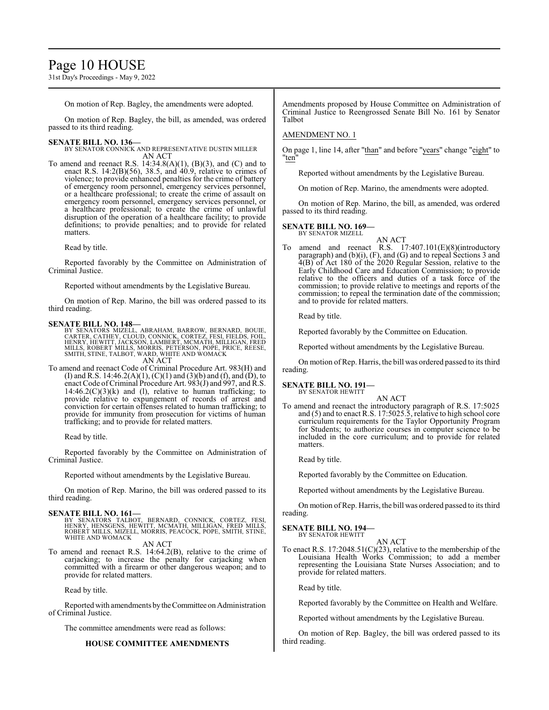## Page 10 HOUSE

31st Day's Proceedings - May 9, 2022

On motion of Rep. Bagley, the amendments were adopted.

On motion of Rep. Bagley, the bill, as amended, was ordered passed to its third reading.

## **SENATE BILL NO. 136—**

BY SENATOR CONNICK AND REPRESENTATIVE DUSTIN MILLER AN ACT

To amend and reenact R.S. 14:34.8(A)(1), (B)(3), and (C) and to enact R.S. 14:2(B)(56), 38.5, and 40.9, relative to crimes of violence; to provide enhanced penalties for the crime of battery of emergency room personnel, emergency services personnel, or a healthcare professional; to create the crime of assault on emergency room personnel, emergency services personnel, or a healthcare professional; to create the crime of unlawful disruption of the operation of a healthcare facility; to provide definitions; to provide penalties; and to provide for related matters.

Read by title.

Reported favorably by the Committee on Administration of Criminal Justice.

Reported without amendments by the Legislative Bureau.

On motion of Rep. Marino, the bill was ordered passed to its third reading.

**SENATE BILL NO. 148—**<br>BY SENATORS MIZELL, ABRAHAM, BARROW, BERNARD, BOUIE,<br>CARTER, CATHEY, CLOUD, CONNICK, CORTEZ, FESI, FIELDS, FOIL,<br>HENRY, HEWITT, JACKSON, LAMBERT, MCMATH, MILLIGAN, FRED<br>MILLS, ROBERT MILLS, MORRIS, P AN ACT

To amend and reenact Code of Criminal Procedure Art. 983(H) and (I) and R.S. 14:46.2(A)(1), (C)(1) and (3)(b) and (f), and (D), to enact Code of Criminal Procedure Art. 983(J) and 997, and R.S.  $14:46.2(C)(3)(k)$  and (l), relative to human trafficking; to provide relative to expungement of records of arrest and conviction for certain offenses related to human trafficking; to provide for immunity from prosecution for victims of human trafficking; and to provide for related matters.

Read by title.

Reported favorably by the Committee on Administration of Criminal Justice.

Reported without amendments by the Legislative Bureau.

On motion of Rep. Marino, the bill was ordered passed to its third reading.

## **SENATE BILL NO. 161—**

BY SENATORS TALBOT, BERNARD, CONNICK, CORTEZ, FESI,<br>HENRY, HENSGENS, HEWITT, MCMATH, MILLIGAN, FRED MILLS,<br>ROBERT MILLS, MIZELL, MORRIS, PEACOCK, POPE, SMITH, STINE,<br>WHITE AND WOMACK

AN ACT

To amend and reenact R.S. 14:64.2(B), relative to the crime of carjacking; to increase the penalty for carjacking when committed with a firearm or other dangerous weapon; and to provide for related matters.

Read by title.

Reported with amendments bytheCommittee on Administration of Criminal Justice.

The committee amendments were read as follows:

## **HOUSE COMMITTEE AMENDMENTS**

Amendments proposed by House Committee on Administration of Criminal Justice to Reengrossed Senate Bill No. 161 by Senator Talbot

## AMENDMENT NO. 1

On page 1, line 14, after "than" and before "years" change "eight" to "ten"

Reported without amendments by the Legislative Bureau.

On motion of Rep. Marino, the amendments were adopted.

On motion of Rep. Marino, the bill, as amended, was ordered passed to its third reading.

#### **SENATE BILL NO. 169—** BY SENATOR MIZELL

AN ACT

To amend and reenact R.S. 17:407.101(E)(8)(introductory paragraph) and (b)(i), (F), and (G) and to repeal Sections 3 and 4(B) of Act 180 of the 2020 Regular Session, relative to the Early Childhood Care and Education Commission; to provide relative to the officers and duties of a task force of the commission; to provide relative to meetings and reports of the commission; to repeal the termination date of the commission; and to provide for related matters.

Read by title.

Reported favorably by the Committee on Education.

Reported without amendments by the Legislative Bureau.

On motion of Rep. Harris, the bill was ordered passed to its third reading.

#### **SENATE BILL NO. 191—** BY SENATOR HEWITT

AN ACT

To amend and reenact the introductory paragraph of R.S. 17:5025 and (5) and to enact R.S. 17:5025.5, relative to high school core curriculum requirements for the Taylor Opportunity Program for Students; to authorize courses in computer science to be included in the core curriculum; and to provide for related matters.

Read by title.

Reported favorably by the Committee on Education.

Reported without amendments by the Legislative Bureau.

On motion ofRep. Harris, the bill was ordered passed to its third reading.

## **SENATE BILL NO. 194—**

BY SENATOR HEWITT AN ACT

To enact R.S. 17:2048.51(C)(23), relative to the membership of the Louisiana Health Works Commission; to add a member representing the Louisiana State Nurses Association; and to provide for related matters.

Read by title.

Reported favorably by the Committee on Health and Welfare.

Reported without amendments by the Legislative Bureau.

On motion of Rep. Bagley, the bill was ordered passed to its third reading.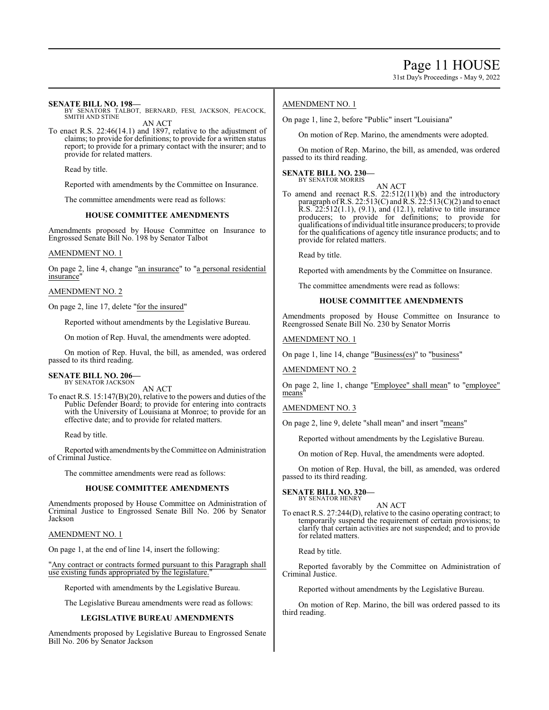31st Day's Proceedings - May 9, 2022

## **SENATE BILL NO. 198—**

BY SENATORS TALBOT, BERNARD, FESI, JACKSON, PEACOCK, SMITH AND STINE AN ACT

To enact R.S. 22:46(14.1) and 1897, relative to the adjustment of claims; to provide for definitions; to provide for a written status report; to provide for a primary contact with the insurer; and to provide for related matters.

Read by title.

Reported with amendments by the Committee on Insurance.

The committee amendments were read as follows:

## **HOUSE COMMITTEE AMENDMENTS**

Amendments proposed by House Committee on Insurance to Engrossed Senate Bill No. 198 by Senator Talbot

## AMENDMENT NO. 1

On page 2, line 4, change "an insurance" to "a personal residential insurance"

## AMENDMENT NO. 2

On page 2, line 17, delete "for the insured"

Reported without amendments by the Legislative Bureau.

On motion of Rep. Huval, the amendments were adopted.

On motion of Rep. Huval, the bill, as amended, was ordered passed to its third reading.

#### **SENATE BILL NO. 206—** BY SENATOR JACKSON

AN ACT

To enact R.S. 15:147(B)(20), relative to the powers and duties of the Public Defender Board; to provide for entering into contracts with the University of Louisiana at Monroe; to provide for an effective date; and to provide for related matters.

Read by title.

Reported with amendments by the Committee on Administration of Criminal Justice.

The committee amendments were read as follows:

## **HOUSE COMMITTEE AMENDMENTS**

Amendments proposed by House Committee on Administration of Criminal Justice to Engrossed Senate Bill No. 206 by Senator Jackson

AMENDMENT NO. 1

On page 1, at the end of line 14, insert the following:

"Any contract or contracts formed pursuant to this Paragraph shall use existing funds appropriated by the legislature."

Reported with amendments by the Legislative Bureau.

The Legislative Bureau amendments were read as follows:

## **LEGISLATIVE BUREAU AMENDMENTS**

Amendments proposed by Legislative Bureau to Engrossed Senate Bill No. 206 by Senator Jackson

## AMENDMENT NO. 1

On page 1, line 2, before "Public" insert "Louisiana"

On motion of Rep. Marino, the amendments were adopted.

On motion of Rep. Marino, the bill, as amended, was ordered passed to its third reading.

#### **SENATE BILL NO. 230—** BY SENATOR MORRIS

AN ACT

To amend and reenact R.S. 22:512(11)(b) and the introductory paragraph of R.S. 22:513(C) and R.S. 22:513(C)(2) and to enact R.S. 22:512(1.1), (9.1), and (12.1), relative to title insurance producers; to provide for definitions; to provide for qualifications ofindividual title insurance producers; to provide for the qualifications of agency title insurance products; and to provide for related matters.

Read by title.

Reported with amendments by the Committee on Insurance.

The committee amendments were read as follows:

## **HOUSE COMMITTEE AMENDMENTS**

Amendments proposed by House Committee on Insurance to Reengrossed Senate Bill No. 230 by Senator Morris

AMENDMENT NO. 1

On page 1, line 14, change "Business(es)" to "business"

AMENDMENT NO. 2

On page 2, line 1, change "Employee" shall mean" to "employee" means"

## AMENDMENT NO. 3

On page 2, line 9, delete "shall mean" and insert "means"

Reported without amendments by the Legislative Bureau.

On motion of Rep. Huval, the amendments were adopted.

On motion of Rep. Huval, the bill, as amended, was ordered passed to its third reading.

**SENATE BILL NO. 320—** BY SENATOR HENRY

## AN ACT

To enact R.S. 27:244(D), relative to the casino operating contract; to temporarily suspend the requirement of certain provisions; to clarify that certain activities are not suspended; and to provide for related matters.

Read by title.

Reported favorably by the Committee on Administration of Criminal Justice.

Reported without amendments by the Legislative Bureau.

On motion of Rep. Marino, the bill was ordered passed to its third reading.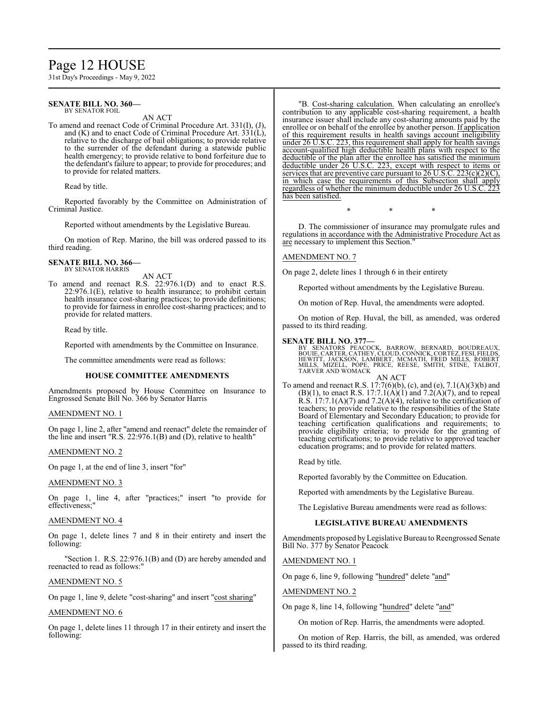# Page 12 HOUSE

31st Day's Proceedings - May 9, 2022

#### **SENATE BILL NO. 360—** BY SENATOR FOIL

AN ACT

To amend and reenact Code of Criminal Procedure Art. 331(I), (J), and (K) and to enact Code of Criminal Procedure Art. 331(L), relative to the discharge of bail obligations; to provide relative to the surrender of the defendant during a statewide public health emergency; to provide relative to bond forfeiture due to the defendant's failure to appear; to provide for procedures; and to provide for related matters.

Read by title.

Reported favorably by the Committee on Administration of Criminal Justice.

Reported without amendments by the Legislative Bureau.

On motion of Rep. Marino, the bill was ordered passed to its third reading.

#### **SENATE BILL NO. 366—** BY SENATOR HARRIS

AN ACT

To amend and reenact R.S. 22:976.1(D) and to enact R.S. 22:976.1(E), relative to health insurance; to prohibit certain health insurance cost-sharing practices; to provide definitions; to provide for fairness in enrollee cost-sharing practices; and to provide for related matters.

Read by title.

Reported with amendments by the Committee on Insurance.

The committee amendments were read as follows:

## **HOUSE COMMITTEE AMENDMENTS**

Amendments proposed by House Committee on Insurance to Engrossed Senate Bill No. 366 by Senator Harris

## AMENDMENT NO. 1

On page 1, line 2, after "amend and reenact" delete the remainder of the line and insert "R.S. 22:976.1(B) and (D), relative to health"

## AMENDMENT NO. 2

On page 1, at the end of line 3, insert "for"

## AMENDMENT NO. 3

On page 1, line 4, after "practices;" insert "to provide for effectiveness;"

## AMENDMENT NO. 4

On page 1, delete lines 7 and 8 in their entirety and insert the following:

"Section 1. R.S. 22:976.1(B) and (D) are hereby amended and reenacted to read as follows:"

## AMENDMENT NO. 5

On page 1, line 9, delete "cost-sharing" and insert "cost sharing"

## AMENDMENT NO. 6

On page 1, delete lines 11 through 17 in their entirety and insert the following:

"B. Cost-sharing calculation. When calculating an enrollee's contribution to any applicable cost-sharing requirement, a health insurance issuer shall include any cost-sharing amounts paid by the enrollee or on behalf of the enrollee by another person. If application of this requirement results in health savings account ineligibility under 26 U.S.C. 223, this requirement shall apply for health savings account-qualified high deductible health plans with respect to the deductible of the plan after the enrollee has satisfied the minimum deductible under 26 U.S.C. 223, except with respect to items or services that are preventive care pursuant to  $26$  U.S.C.  $223(c)(2)(C)$ , in which case the requirements of this Subsection shall apply regardless of whether the minimum deductible under 26 U.S.C. has been satisfied.

\* \* \*

D. The commissioner of insurance may promulgate rules and regulations in accordance with the Administrative Procedure Act as are necessary to implement this Section."

## AMENDMENT NO. 7

On page 2, delete lines 1 through 6 in their entirety

Reported without amendments by the Legislative Bureau.

On motion of Rep. Huval, the amendments were adopted.

On motion of Rep. Huval, the bill, as amended, was ordered passed to its third reading.

## **SENATE BILL NO. 377—**

BY SENATORS PEACOCK, BARROW, BERNARD, BOUDREAUX,<br>BOUIE,CARTER,CATHEY,CLOUD,CONNICK,CORTEZ,FESI,FIELDS,<br>HEWITT,JACKSON, LAMBERT, MCMATH, FRED MILLS, ROBERT<br>MILLS, MIZELL, POPE, PRICE, REESE, SMITH, STINE, TALBOT,<br>TARVER AND AN ACT

To amend and reenact R.S. 17:7(6)(b), (c), and (e), 7.1(A)(3)(b) and  $(B)(1)$ , to enact R.S. 17:7.1(A)(1) and 7.2(A)(7), and to repeal R.S.  $17:7.1(A)(7)$  and  $7.2(A)(4)$ , relative to the certification of teachers; to provide relative to the responsibilities of the State Board of Elementary and Secondary Education; to provide for teaching certification qualifications and requirements; to provide eligibility criteria; to provide for the granting of teaching certifications; to provide relative to approved teacher education programs; and to provide for related matters.

Read by title.

Reported favorably by the Committee on Education.

Reported with amendments by the Legislative Bureau.

The Legislative Bureau amendments were read as follows:

## **LEGISLATIVE BUREAU AMENDMENTS**

Amendments proposed byLegislative Bureau to Reengrossed Senate Bill No. 377 by Senator Peacock

AMENDMENT NO. 1

On page 6, line 9, following "hundred" delete "and"

AMENDMENT NO. 2

On page 8, line 14, following "hundred" delete "and"

On motion of Rep. Harris, the amendments were adopted.

On motion of Rep. Harris, the bill, as amended, was ordered passed to its third reading.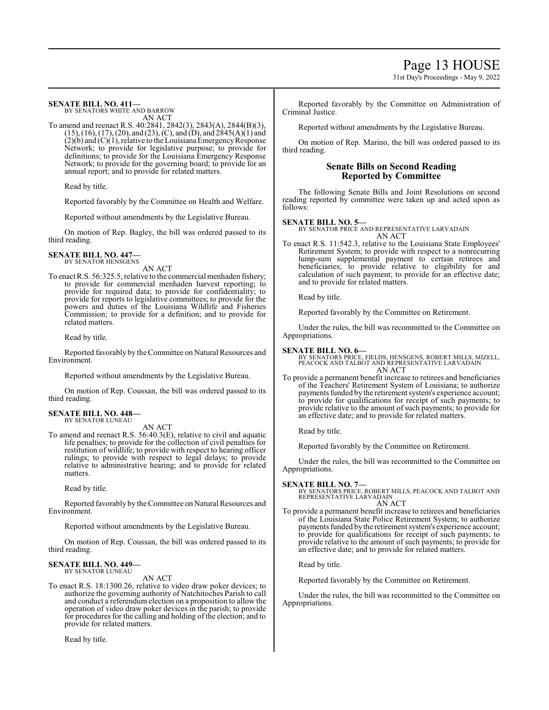Page 13 HOUSE

31st Day's Proceedings - May 9, 2022

## **SENATE BILL NO. 411—**

BY SENATORS WHITE AND BARROW AN ACT

To amend and reenact R.S. 40:2841, 2842(3), 2843(A), 2844(B)(3), (15), (16), (17), (20), and (23), (C), and (D), and 2845(A)(1) and  $(2)(b)$  and  $(C)(1)$ , relative to the Louisiana Emergency Response Network; to provide for legislative purpose; to provide for definitions; to provide for the Louisiana Emergency Response Network; to provide for the governing board; to provide for an annual report; and to provide for related matters.

Read by title.

Reported favorably by the Committee on Health and Welfare.

Reported without amendments by the Legislative Bureau.

On motion of Rep. Bagley, the bill was ordered passed to its third reading.

#### **SENATE BILL NO. 447—** BY SENATOR HENSGENS

AN ACT

To enact R.S. 56:325.5, relative to the commercial menhaden fishery; to provide for commercial menhaden harvest reporting; to provide for required data; to provide for confidentiality; to provide for reports to legislative committees; to provide for the powers and duties of the Louisiana Wildlife and Fisheries Commission; to provide for a definition; and to provide for related matters.

Read by title.

Reported favorably by the Committee on Natural Resources and Environment.

Reported without amendments by the Legislative Bureau.

On motion of Rep. Coussan, the bill was ordered passed to its third reading.

## **SENATE BILL NO. 448—** BY SENATOR LUNEAU

AN ACT

To amend and reenact R.S. 56:40.3(E), relative to civil and aquatic life penalties; to provide for the collection of civil penalties for restitution of wildlife; to provide with respect to hearing officer rulings; to provide with respect to legal delays; to provide relative to administrative hearing; and to provide for related matters.

Read by title.

Reported favorably by theCommittee on Natural Resources and Environment.

Reported without amendments by the Legislative Bureau.

On motion of Rep. Coussan, the bill was ordered passed to its third reading.

#### **SENATE BILL NO. 449—** BY SENATOR LUNEAU

AN ACT

To enact R.S. 18:1300.26, relative to video draw poker devices; to authorize the governing authority of Natchitoches Parish to call and conduct a referendum election on a proposition to allow the operation of video draw poker devices in the parish; to provide for procedures for the calling and holding of the election; and to provide for related matters.

Read by title.

Reported favorably by the Committee on Administration of Criminal Justice.

Reported without amendments by the Legislative Bureau.

On motion of Rep. Marino, the bill was ordered passed to its third reading.

## **Senate Bills on Second Reading Reported by Committee**

The following Senate Bills and Joint Resolutions on second reading reported by committee were taken up and acted upon as follows:

## **SENATE BILL NO. 5—**

BY SENATOR PRICE AND REPRESENTATIVE LARVADAIN AN ACT

To enact R.S. 11:542.3, relative to the Louisiana State Employees' Retirement System; to provide with respect to a nonrecurring lump-sum supplemental payment to certain retirees and beneficiaries; to provide relative to eligibility for and calculation of such payment; to provide for an effective date; and to provide for related matters.

Read by title.

Reported favorably by the Committee on Retirement.

Under the rules, the bill was recommitted to the Committee on Appropriations.

## **SENATE BILL NO. 6—**

BY SENATORS PRICE, FIELDS, HENSGENS, ROBERT MILLS, MIZELL, PEACOCK AND TALBOT AND REPRESENTATIVE LARVADAIN AN ACT

To provide a permanent benefit increase to retirees and beneficiaries of the Teachers' Retirement System of Louisiana; to authorize payments funded by the retirement system's experience account; to provide for qualifications for receipt of such payments; to provide relative to the amount of such payments; to provide for an effective date; and to provide for related matters.

Read by title.

Reported favorably by the Committee on Retirement.

Under the rules, the bill was recommitted to the Committee on Appropriations.

**SENATE BILL NO. 7—**<br>BY SENATORS PRICE, ROBERT MILLS, PEACOCK AND TALBOT AND<br>REPRESENTATIVE LARVADAIN AN ACT

To provide a permanent benefit increase to retirees and beneficiaries of the Louisiana State Police Retirement System; to authorize payments funded bythe retirement system's experience account; to provide for qualifications for receipt of such payments; to provide relative to the amount of such payments; to provide for an effective date; and to provide for related matters.

Read by title.

Reported favorably by the Committee on Retirement.

Under the rules, the bill was recommitted to the Committee on Appropriations.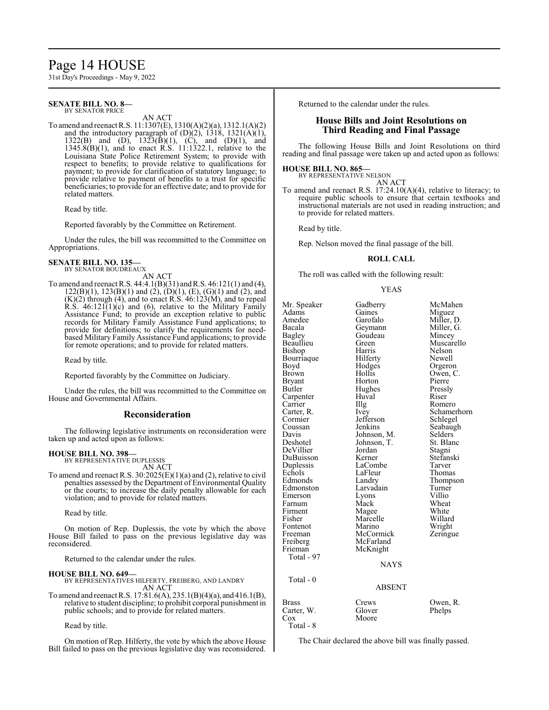## Page 14 HOUSE

31st Day's Proceedings - May 9, 2022

#### **SENATE BILL NO. 8—** BY SENATOR PRICE

AN ACT

To amend and reenact R.S. 11:1307(E), 1310(A)(2)(a), 1312.1(A)(2) and the introductory paragraph of  $(D)(2)$ , 1318, 1321 $(A)(1)$ , 1322(B) and (D),  $1323(\dot{B})(1)$ , (C), and (D)(1), and 1345.8(B)(1), and to enact R.S. 11:1322.1, relative to the Louisiana State Police Retirement System; to provide with respect to benefits; to provide relative to qualifications for payment; to provide for clarification of statutory language; to provide relative to payment of benefits to a trust for specific beneficiaries; to provide for an effective date; and to provide for related matters.

Read by title.

Reported favorably by the Committee on Retirement.

Under the rules, the bill was recommitted to the Committee on Appropriations.

#### **SENATE BILL NO. 135—** BY SENATOR BOUDREAUX

AN ACT

To amend and reenact R.S. 44:4.1(B)(31) andR.S. 46:121(1) and (4),  $122(B)(1)$ ,  $123(B)(1)$  and  $(2)$ ,  $(D)(1)$ ,  $(E)$ ,  $(G)(1)$  and  $(2)$ , and  $(K)(2)$  through  $(4)$ , and to enact R.S.  $46:123(M)$ , and to repeal R.S.  $46:121(1)(c)$  and (6), relative to the Military Family Assistance Fund; to provide an exception relative to public records for Military Family Assistance Fund applications; to provide for definitions; to clarify the requirements for needbased Military Family Assistance Fund applications; to provide for remote operations; and to provide for related matters.

Read by title.

Reported favorably by the Committee on Judiciary.

Under the rules, the bill was recommitted to the Committee on House and Governmental Affairs.

## **Reconsideration**

The following legislative instruments on reconsideration were taken up and acted upon as follows:

## **HOUSE BILL NO. 398—**

BY REPRESENTATIVE DUPLESSIS AN ACT

To amend and reenact R.S. 30:2025(E)(1)(a) and (2), relative to civil penalties assessed by the Department of Environmental Quality or the courts; to increase the daily penalty allowable for each violation; and to provide for related matters.

Read by title.

On motion of Rep. Duplessis, the vote by which the above House Bill failed to pass on the previous legislative day was reconsidered.

Returned to the calendar under the rules.

## **HOUSE BILL NO. 649—**

BY REPRESENTATIVES HILFERTY, FREIBERG, AND LANDRY AN ACT

To amend and reenact R.S. 17:81.6(A), 235.1(B)(4)(a), and 416.1(B), relative to student discipline; to prohibit corporal punishment in public schools; and to provide for related matters.

Read by title.

On motion of Rep. Hilferty, the vote by which the above House Bill failed to pass on the previous legislative day was reconsidered. Returned to the calendar under the rules.

## **House Bills and Joint Resolutions on Third Reading and Final Passage**

The following House Bills and Joint Resolutions on third reading and final passage were taken up and acted upon as follows:

## **HOUSE BILL NO. 865—**

BY REPRESENTATIVE NELSON AN ACT

To amend and reenact R.S. 17:24.10(A)(4), relative to literacy; to require public schools to ensure that certain textbooks and instructional materials are not used in reading instruction; and to provide for related matters.

Read by title.

Rep. Nelson moved the final passage of the bill.

## **ROLL CALL**

The roll was called with the following result:

## YEAS

Mr. Speaker Gadberry McMahen<br>Adams Gaines Miguez Adams Gaines Miguez<br>Amedee Garofalo Miller I Amedee Garofalo Miller, D.<br>Bacala Geymann Miller G. Bacala Geymann Miller, G. Bagley Goudeau<br>Beaullieu Green Green Muscarello<br>Harris Nelson Bishop Harris Nelson<br>Bourriaque Hilferty Newell Bourriaque Hilferty<br>Boyd Hodges Boyd Hodges Orgeron<br>Brown Hollis Owen, C Hollis Owen, C.<br>Horton Pierre Bryant Horton Pierre<br>Butler Hughes Presslv Hughes Pressl<br>Huval Riser Carpenter Huv<br>Carrier HIIg Carrier IIIg Romero<br>Carter, R. Ivev Schame Carter, R. Ivey Schamerhorn<br>
Cormier Iefferson Schlegel Cormier Jefferson<br>Coussan Jenkins Coussan Jenkins Seabaugh<br>
Davis Johnson, M. Selders Davis Johnson, M. Selders<br>Deshotel Johnson, T. St. Blanc Johnson, T. St. Blanch<br>Jordan Stagni DeVillier Jordan<br>DuBuisson Kerner DuBuisson Kerner Stefanski Duplessis LaCombe Tarver LaFleur Thomas<br>Landry Thomason Edmonds Landry Thomp<br>Edmonston Larvadain Turner Edmonston Larvadain Turner<br>Emerson Lyons Villio Emerson Lyons Villio<br>Farnum Mack Wheat Farnum Mack Wheat<br>Firment Magee White Firment Magee White<br>
Fisher Marcelle Willard Marcelle Willard<br>
Marino Wright Fontenot Marino Wright<br>
Freeman McCormick Zeringue Freeman McCormick<br>
Freiberg McFarland Freiberg McFarland<br>Frieman McKnight McKnight Total - 97 NAYS Total - 0 ABSENT Brass Crews Owen, R.<br>Carter, W. Glover Phelps Carter, W. Cox Moore

Total - 8

The Chair declared the above bill was finally passed.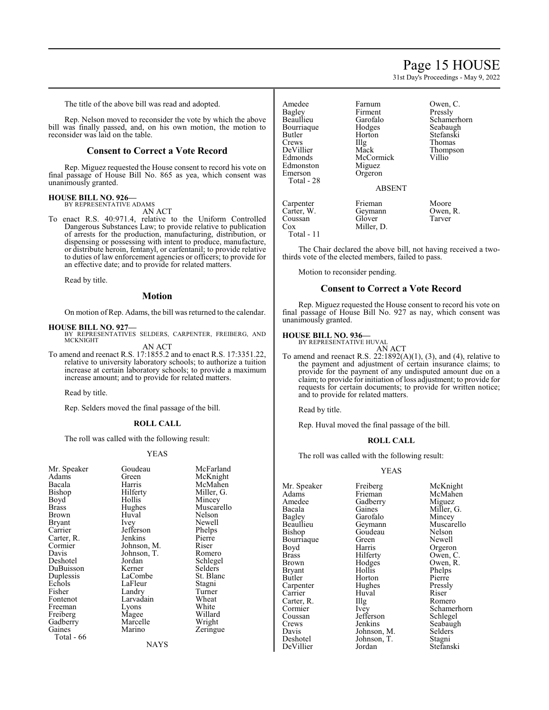## Page 15 HOUSE

31st Day's Proceedings - May 9, 2022

The title of the above bill was read and adopted.

Rep. Nelson moved to reconsider the vote by which the above bill was finally passed, and, on his own motion, the motion to reconsider was laid on the table.

## **Consent to Correct a Vote Record**

Rep. Miguez requested the House consent to record his vote on final passage of House Bill No. 865 as yea, which consent was unanimously granted.

## **HOUSE BILL NO. 926—** BY REPRESENTATIVE ADAMS

AN ACT

To enact R.S. 40:971.4, relative to the Uniform Controlled Dangerous Substances Law; to provide relative to publication of arrests for the production, manufacturing, distribution, or dispensing or possessing with intent to produce, manufacture, or distribute heroin, fentanyl, or carfentanil; to provide relative to duties of law enforcement agencies or officers; to provide for an effective date; and to provide for related matters.

Read by title.

## **Motion**

On motion of Rep. Adams, the bill was returned to the calendar.

- **HOUSE BILL NO. 927—** BY REPRESENTATIVES SELDERS, CARPENTER, FREIBERG, AND MCKNIGHT AN ACT
- To amend and reenact R.S. 17:1855.2 and to enact R.S. 17:3351.22, relative to university laboratory schools; to authorize a tuition increase at certain laboratory schools; to provide a maximum increase amount; and to provide for related matters.

Read by title.

Rep. Selders moved the final passage of the bill.

## **ROLL CALL**

The roll was called with the following result:

#### YEAS

| Mr. Speaker | Goudeau     | McFarland  |  |
|-------------|-------------|------------|--|
| Adams       | Green       | McKnight   |  |
| Bacala      | Harris      | McMahen    |  |
| Bishop      | Hilferty    | Miller, G. |  |
| Boyd        | Hollis      | Mincey     |  |
| Brass       | Hughes      | Muscarello |  |
| Brown       | Huval       | Nelson     |  |
| Bryant      | Ivey        | Newell     |  |
| Carrier     | Jefferson   | Phelps     |  |
| Carter, R.  | Jenkins     | Pierre     |  |
| Cormier     | Johnson, M. | Riser      |  |
| Davis       | Johnson, T. | Romero     |  |
| Deshotel    | Jordan      | Schlegel   |  |
| DuBuisson   | Kerner      | Selders    |  |
| Duplessis   | LaCombe     | St. Blanc  |  |
| Echols      | LaFleur     | Stagni     |  |
| Fisher      | Landry      | Turner     |  |
| Fontenot    | Larvadain   | Wheat      |  |
| Freeman     | Lyons       | White      |  |
| Freiberg    | Magee       | Willard    |  |
| Gadberry    | Marcelle    | Wright     |  |
| Gaines      | Marino      | Zeringue   |  |
| Total - 66  |             |            |  |
| NAYS        |             |            |  |

Amedee Farnum Owen, C.<br>Ragley Firment Pressly Bagley Firment<br>Beaullieu Garofalo Bourriaque Hodges<br>Butler Horton Butler Horton Stefanski<br>Crews IIIg Thomas Crews Illg Thomas<br>
DeVillier Mack Thomps DeVillier Mack Thompson<br>Edmonds McCormick Villio Edmonston<br>Emerson Total - 28

McCormick<br>Miguez Orgeron

Miller, D.

Garofalo Schamerhorn<br>Hodges Seabaugh

## ABSENT

Carpenter Frieman Moore<br>Carter. W. Geymann Owen. R. Coussan Glover<br>Cox Miller, Total - 11

Geymann Owen,<br>Glover Tarver

The Chair declared the above bill, not having received a twothirds vote of the elected members, failed to pass.

Motion to reconsider pending.

## **Consent to Correct a Vote Record**

Rep. Miguez requested the House consent to record his vote on final passage of House Bill No. 927 as nay, which consent was unanimously granted.

## **HOUSE BILL NO. 936—** BY REPRESENTATIVE HUVAL

AN ACT

To amend and reenact R.S. 22:1892(A)(1), (3), and (4), relative to the payment and adjustment of certain insurance claims; to provide for the payment of any undisputed amount due on a claim; to provide for initiation of loss adjustment; to provide for requests for certain documents; to provide for written notice; and to provide for related matters.

Read by title.

Rep. Huval moved the final passage of the bill.

## **ROLL CALL**

The roll was called with the following result:

## YEAS

Mr. Speaker Freiberg McKnight<br>
Adams Frieman McMahen Adams Frieman McMahen<br>Amedee Gadberry Miguez Amedee Gadberry<br>Bacala Gaines Bacala Gaines Miller, G. Bagley Garofalo Mincey Bagley Garofalo<br>Beaullieu Geymann Bourriaque Green<br>Bovd Harris Boyd Harris Orgeron<br>Brass Hilferty Owen C Brass Hilferty Owen, C.<br>Brown Hodges Owen, R. Bryant Hollis Phelps<br>Butler Horton Pierre Butler Horton Pierre Carpenter Hughes Pressly<br>Carrier Huval Riser Carrier Huval Riser<br>Carter, R. Illg Romero Carter, R.<br>Cormier Coussan Jefferson<br>Crews Jenkins Crews Jenkins Seabaugh<br>
Davis Johnson, M. Selders Davis Johnson, M. Selder:<br>Deshotel Johnson, T. Stagni DeVillier

Goudeau Nelson<br>Green Newell

Beaullieu Geymann Muscarello<br>Bishop Goudeau Nelson Hodges Owen, R.<br>Hollis Phelps Cormier Ivey Schamerhorn<br>
Coussan Jefferson Schlegel Johnson, T. Stagni<br>Jordan Stefanski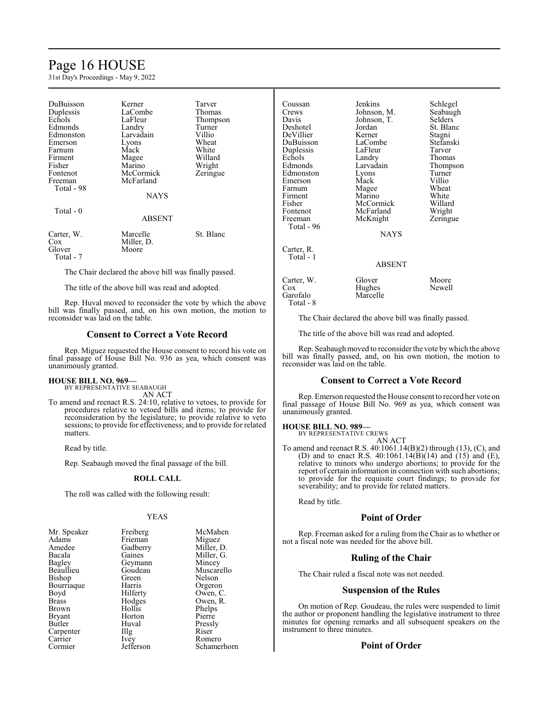# Page 16 HOUSE

31st Day's Proceedings - May 9, 2022

| DuBuisson<br>Duplessis<br>Echols<br>Edmonds<br>Edmonston<br>Emerson<br>Farnum<br>Firment<br>Fisher<br>Fontenot<br>Freeman<br>Total - 98 | Kerner<br>LaCombe<br>LaFleur<br>Landry<br>Larvadain<br>Lyons<br>Mack<br>Magee<br>Marino<br>McCormick<br>McFarland<br><b>NAYS</b> | Tarver<br>Thomas<br>Thompson<br>Turner<br>Villio<br>Wheat<br>White<br>Willard<br>Wright<br>Zeringue |
|-----------------------------------------------------------------------------------------------------------------------------------------|----------------------------------------------------------------------------------------------------------------------------------|-----------------------------------------------------------------------------------------------------|
| Total - 0                                                                                                                               | <b>ABSENT</b>                                                                                                                    |                                                                                                     |
| Carter, W.<br>Cox<br>Glover<br>Total - 7                                                                                                | Marcelle<br>Miller, D.<br>Moore                                                                                                  | St. Blanc                                                                                           |

The Chair declared the above bill was finally passed.

The title of the above bill was read and adopted.

Rep. Huval moved to reconsider the vote by which the above bill was finally passed, and, on his own motion, the motion to reconsider was laid on the table.

## **Consent to Correct a Vote Record**

Rep. Miguez requested the House consent to record his vote on final passage of House Bill No. 936 as yea, which consent was unanimously granted.

#### **HOUSE BILL NO. 969—** BY REPRESENTATIVE SEABAUGH

AN ACT

To amend and reenact R.S. 24:10, relative to vetoes, to provide for procedures relative to vetoed bills and items; to provide for reconsideration by the legislature; to provide relative to veto sessions; to provide for effectiveness; and to provide for related matters.

Read by title.

Rep. Seabaugh moved the final passage of the bill.

## **ROLL CALL**

The roll was called with the following result:

## YEAS

| Mr. Speaker   | Freiberg  | McMahen     |
|---------------|-----------|-------------|
| Adams         | Frieman   | Miguez      |
| Amedee        | Gadberry  | Miller, D.  |
| Bacala        | Gaines    | Miller, G.  |
| <b>Bagley</b> | Geymann   | Mincey      |
| Beaullieu     | Goudeau   | Muscarello  |
| Bishop        | Green     | Nelson      |
| Bourriaque    | Harris    | Orgeron     |
| Boyd          | Hilferty  | Owen, C.    |
| <b>Brass</b>  | Hodges    | Owen, R.    |
| <b>Brown</b>  | Hollis    | Phelps      |
| <b>Bryant</b> | Horton    | Pierre      |
| Butler        | Huval     | Pressly     |
| Carpenter     | Illg      | Riser       |
| Carrier       | Ivey      | Romero      |
| Cormier       | Jefferson | Schamerhorn |

| Coussan<br>Crews<br>Davis<br>Deshotel<br>DeVillier<br>DuBuisson<br>Duplessis<br>Echols<br>Edmonds<br>Edmonston<br>Emerson<br>Farnum<br>Firment<br>Fisher<br>Fontenot<br>Freeman<br>Total - 96 | Jenkins<br>Johnson, M.<br>Johnson, T.<br>Jordan<br>Kerner<br>LaCombe<br>LaFleur<br>Landry<br>Larvadain<br>Lyons<br>Mack<br>Magee<br>Marino<br>McCormick<br>McFarland<br>McKnight<br><b>NAYS</b> | Schlegel<br>Seabaugh<br>Selders<br>St. Blanc<br>Stagni<br>Stefanski<br>Tarver<br>Thomas<br>Thompson<br>Turner<br>Villio<br>Wheat<br>White<br>Willard<br>Wright<br>Zeringue |
|-----------------------------------------------------------------------------------------------------------------------------------------------------------------------------------------------|-------------------------------------------------------------------------------------------------------------------------------------------------------------------------------------------------|----------------------------------------------------------------------------------------------------------------------------------------------------------------------------|
| Carter, R.<br>Total - 1                                                                                                                                                                       | ABSENT                                                                                                                                                                                          |                                                                                                                                                                            |
| Carter, W.<br>Cox<br>Garofalo                                                                                                                                                                 | Glover<br>Hughes<br>Marcelle                                                                                                                                                                    | Moore<br>Newell                                                                                                                                                            |

The Chair declared the above bill was finally passed.

The title of the above bill was read and adopted.

Rep. Seabaugh moved to reconsider the vote by which the above bill was finally passed, and, on his own motion, the motion to reconsider was laid on the table.

## **Consent to Correct a Vote Record**

Rep. Emerson requested the House consent to record her vote on final passage of House Bill No. 969 as yea, which consent was unanimously granted.

## **HOUSE BILL NO. 989—** BY REPRESENTATIVE CREWS

Garofalo Total - 8

AN ACT

To amend and reenact R.S. 40:1061.14(B)(2) through (13), (C), and (D) and to enact R.S.  $40:1061.14(B)(14)$  and  $(15)'$  and  $(E)$ , relative to minors who undergo abortions; to provide for the report of certain information in connection with such abortions; to provide for the requisite court findings; to provide for severability; and to provide for related matters.

Read by title.

## **Point of Order**

Rep. Freeman asked for a ruling from the Chair as to whether or not a fiscal note was needed for the above bill.

## **Ruling of the Chair**

The Chair ruled a fiscal note was not needed.

## **Suspension of the Rules**

On motion of Rep. Goudeau, the rules were suspended to limit the author or proponent handling the legislative instrument to three minutes for opening remarks and all subsequent speakers on the instrument to three minutes.

## **Point of Order**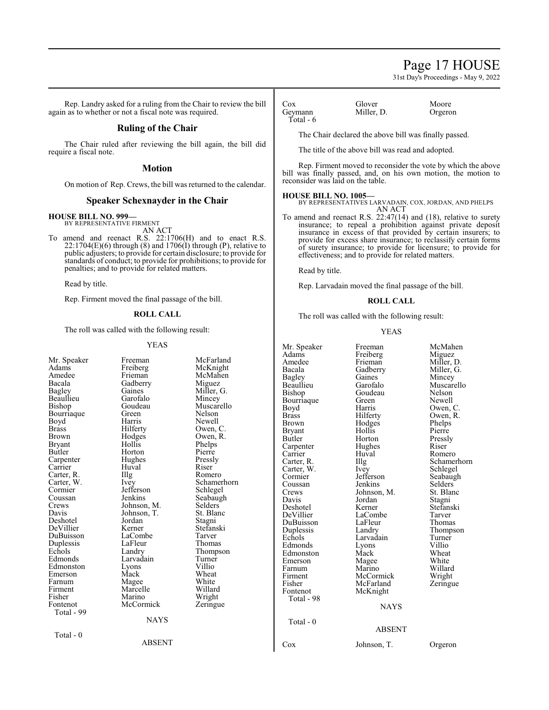## Page 17 HOUSE

31st Day's Proceedings - May 9, 2022

Rep. Landry asked for a ruling from the Chair to review the bill again as to whether or not a fiscal note was required.

## **Ruling of the Chair**

The Chair ruled after reviewing the bill again, the bill did require a fiscal note.

## **Motion**

On motion of Rep. Crews, the bill was returned to the calendar.

## **Speaker Schexnayder in the Chair**

## **HOUSE BILL NO. 999—** BY REPRESENTATIVE FIRMENT

AN ACT

To amend and reenact R.S. 22:1706(H) and to enact R.S.  $22:1704(E)(6)$  through  $(8)$  and  $1706(I)$  through  $(P)$ , relative to public adjusters; to provide for certain disclosure; to provide for standards of conduct; to provide for prohibitions; to provide for penalties; and to provide for related matters.

Read by title.

Rep. Firment moved the final passage of the bill.

## **ROLL CALL**

The roll was called with the following result:

## YEAS

| Mr. Speaker<br>Adams<br>Amedee<br>Bacala<br>Bagley<br>Beaullieu<br>Bishop<br>Bourriaque<br>Boyd<br><b>Brass</b><br>Brown<br>Bryant<br>Butler<br>Carpenter<br>Carrier<br>Carter, R.<br>Carter, W.<br>Cormier<br>Coussan<br>Crews<br>Davis<br>Deshotel<br>DeVillier<br>DuBuisson<br>Duplessis<br>Echols<br>Edmonds | טרש ו<br>Freeman<br>Freiberg<br>Frieman<br>Gadberry<br>Gaines<br>Garofalo<br>Goudeau<br>Green<br>Harris<br>Hilferty<br>Hodges<br>Hollis<br>Horton<br>Hughes<br>Huval<br>Illg<br>Ivey<br>Jefferson<br>Jenkins<br>Johnson, M.<br>Johnson, T.<br>Jordan<br>Kerner<br>LaCombe<br>LaFleur<br>Landry<br>Larvadain | McFarland<br>McKnight<br>McMahen<br>Miguez<br>Miller, G.<br>Mincey<br>Muscarello<br>Nelson<br>Newell<br>Owen, C.<br>Owen, R.<br>Phelps<br>Pierre<br>Pressly<br>Riser<br>Romero<br>Schamerhorn<br>Schlegel<br>Seabaugh<br>Selders<br>St. Blanc<br>Stagni<br>Stefanski<br>Tarver<br>Thomas<br>Thompson<br>Turner | Mr. Speaker<br>Adams<br>Amedee<br>Bacala<br>Bagley<br>Beaullieu<br>Bishop<br>Bourriaque<br>Boyd<br><b>Brass</b><br><b>Brown</b><br><b>Bryant</b><br>Butler<br>Carpenter<br>Carrier<br>Carter, R.<br>Carter, W.<br>Cormier<br>Coussan<br>Crews<br>Davis<br>Deshotel<br>DeVillier<br>DuBuisson<br>Duplessis<br>Echols<br>Edmonds<br>Edmonston<br>Emerson | Freeman<br>Freiberg<br>Frieman<br>Gadberry<br>Gaines<br>Garofalo<br>Goudeau<br>Green<br>Harris<br>Hilferty<br>Hodges<br>Hollis<br>Horton<br>Hughes<br>Huval<br>Illg<br>Ivey<br>Jefferson<br>Jenkins<br>Johnson, M.<br>Jordan<br>Kerner<br>LaCombe<br>LaFleur<br>Landry<br>Larvadain<br>Lyons<br>Mack<br>Magee | McMahen<br>Miguez<br>Miller, D.<br>Miller, G.<br>Mincey<br>Muscarello<br>Nelson<br>Newell<br>Owen, C.<br>Owen, R.<br>Phelps<br>Pierre<br>Pressly<br>Riser<br>Romero<br>Schamerhorn<br>Schlegel<br>Seabaugh<br><b>Selders</b><br>St. Blanc<br>Stagni<br>Stefanski<br>Tarver<br>Thomas<br>Thompson<br>Turner<br>Villio<br>Wheat<br>White |
|------------------------------------------------------------------------------------------------------------------------------------------------------------------------------------------------------------------------------------------------------------------------------------------------------------------|-------------------------------------------------------------------------------------------------------------------------------------------------------------------------------------------------------------------------------------------------------------------------------------------------------------|----------------------------------------------------------------------------------------------------------------------------------------------------------------------------------------------------------------------------------------------------------------------------------------------------------------|--------------------------------------------------------------------------------------------------------------------------------------------------------------------------------------------------------------------------------------------------------------------------------------------------------------------------------------------------------|---------------------------------------------------------------------------------------------------------------------------------------------------------------------------------------------------------------------------------------------------------------------------------------------------------------|----------------------------------------------------------------------------------------------------------------------------------------------------------------------------------------------------------------------------------------------------------------------------------------------------------------------------------------|
|                                                                                                                                                                                                                                                                                                                  |                                                                                                                                                                                                                                                                                                             |                                                                                                                                                                                                                                                                                                                |                                                                                                                                                                                                                                                                                                                                                        |                                                                                                                                                                                                                                                                                                               |                                                                                                                                                                                                                                                                                                                                        |
|                                                                                                                                                                                                                                                                                                                  |                                                                                                                                                                                                                                                                                                             |                                                                                                                                                                                                                                                                                                                |                                                                                                                                                                                                                                                                                                                                                        |                                                                                                                                                                                                                                                                                                               |                                                                                                                                                                                                                                                                                                                                        |
|                                                                                                                                                                                                                                                                                                                  |                                                                                                                                                                                                                                                                                                             |                                                                                                                                                                                                                                                                                                                |                                                                                                                                                                                                                                                                                                                                                        |                                                                                                                                                                                                                                                                                                               |                                                                                                                                                                                                                                                                                                                                        |
|                                                                                                                                                                                                                                                                                                                  |                                                                                                                                                                                                                                                                                                             |                                                                                                                                                                                                                                                                                                                |                                                                                                                                                                                                                                                                                                                                                        |                                                                                                                                                                                                                                                                                                               |                                                                                                                                                                                                                                                                                                                                        |
|                                                                                                                                                                                                                                                                                                                  |                                                                                                                                                                                                                                                                                                             |                                                                                                                                                                                                                                                                                                                |                                                                                                                                                                                                                                                                                                                                                        |                                                                                                                                                                                                                                                                                                               |                                                                                                                                                                                                                                                                                                                                        |
| Edmonston<br>Emerson                                                                                                                                                                                                                                                                                             | Lyons<br>Mack                                                                                                                                                                                                                                                                                               | Villio<br>Wheat                                                                                                                                                                                                                                                                                                | Farnum<br>Firment                                                                                                                                                                                                                                                                                                                                      | Marino<br>McCormick                                                                                                                                                                                                                                                                                           | Willard<br>Wright                                                                                                                                                                                                                                                                                                                      |
| Farnum<br>Firment<br>Fisher                                                                                                                                                                                                                                                                                      | Magee<br>Marcelle<br>Marino                                                                                                                                                                                                                                                                                 | White<br>Willard<br>Wright                                                                                                                                                                                                                                                                                     | Fisher<br>Fontenot<br>Total - 98                                                                                                                                                                                                                                                                                                                       | McFarland<br>McKnight                                                                                                                                                                                                                                                                                         | Zeringue                                                                                                                                                                                                                                                                                                                               |
| Fontenot<br>Total - 99                                                                                                                                                                                                                                                                                           | McCormick                                                                                                                                                                                                                                                                                                   | Zeringue                                                                                                                                                                                                                                                                                                       |                                                                                                                                                                                                                                                                                                                                                        | <b>NAYS</b>                                                                                                                                                                                                                                                                                                   |                                                                                                                                                                                                                                                                                                                                        |
|                                                                                                                                                                                                                                                                                                                  | <b>NAYS</b>                                                                                                                                                                                                                                                                                                 |                                                                                                                                                                                                                                                                                                                | Total - 0                                                                                                                                                                                                                                                                                                                                              | <b>ABSENT</b>                                                                                                                                                                                                                                                                                                 |                                                                                                                                                                                                                                                                                                                                        |
| Total - 0                                                                                                                                                                                                                                                                                                        | <b>ABSENT</b>                                                                                                                                                                                                                                                                                               |                                                                                                                                                                                                                                                                                                                | Cox                                                                                                                                                                                                                                                                                                                                                    | Johnson, T.                                                                                                                                                                                                                                                                                                   | Orgeron                                                                                                                                                                                                                                                                                                                                |

Total - 6

Cox Glover Moore<br>Geymann Miller, D. Orgeron Miller, D.

The Chair declared the above bill was finally passed.

The title of the above bill was read and adopted.

Rep. Firment moved to reconsider the vote by which the above bill was finally passed, and, on his own motion, the motion to reconsider was laid on the table.

## **HOUSE BILL NO. 1005—**

BY REPRESENTATIVES LARVADAIN, COX, JORDAN, AND PHELPS AN ACT

To amend and reenact R.S. 22:47(14) and (18), relative to surety insurance; to repeal a prohibition against private deposit insurance in excess of that provided by certain insurers; to provide for excess share insurance; to reclassify certain forms of surety insurance; to provide for licensure; to provide for effectiveness; and to provide for related matters.

Read by title.

Rep. Larvadain moved the final passage of the bill.

## **ROLL CALL**

The roll was called with the following result:

#### YEAS

| Pressly     |
|-------------|
| Riser       |
| Romero      |
| Schamerhori |
| Schlegel    |
| Seabaugh    |
| Selders     |
| St. Blanc   |
| Stagni      |
| Stefanski   |
| Tarver      |
| Thomas      |
| Thompson    |
| Turner      |
| Villio      |
| Wheat       |
| White       |
| Willard     |
| Wright      |
| Zeringue    |
|             |
|             |
|             |
|             |

Orgeron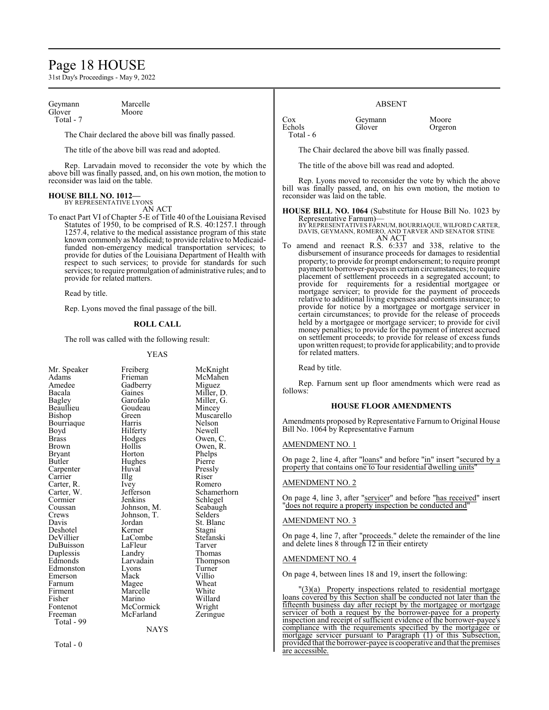## Page 18 HOUSE

31st Day's Proceedings - May 9, 2022

Geymann Marcelle<br>Glover Moore Glover Total - 7

The Chair declared the above bill was finally passed.

The title of the above bill was read and adopted.

Rep. Larvadain moved to reconsider the vote by which the above bill was finally passed, and, on his own motion, the motion to reconsider was laid on the table.

#### **HOUSE BILL NO. 1012—** BY REPRESENTATIVE LYONS

AN ACT

To enact Part VI of Chapter 5-E of Title 40 of the Louisiana Revised Statutes of 1950, to be comprised of R.S. 40:1257.1 through 1257.4, relative to the medical assistance program of this state known commonly as Medicaid; to provide relative to Medicaidfunded non-emergency medical transportation services; to provide for duties of the Louisiana Department of Health with respect to such services; to provide for standards for such services; to require promulgation of administrative rules; and to provide for related matters.

Read by title.

Rep. Lyons moved the final passage of the bill.

## **ROLL CALL**

The roll was called with the following result:

#### YEAS

McKnight McMahen Miguez Miller, D. Miller, G. Mincey Muscarello Nelson Newell Owen, C. Owen, R. Phelps Pierre Pressly<br>Riser

Romero Schamerhorn Schlegel Seabaugh Selders<sup>®</sup> St. Blanc Stagni Stefanski<br>Tarver

Thomas Thompson Turner Villio<br>Wheat

Willard Wright Zeringue

| Mr. Speaker   | Freiberg    | McKn    |
|---------------|-------------|---------|
| Adams         | Frieman     | McMa    |
| Amedee        | Gadberry    | Migue   |
| Bacala        | Gaines      | Miller  |
| <b>Bagley</b> | Garofalo    | Miller  |
| Beaullieu     | Goudeau     | Mince   |
| Bishop        | Green       | Musca   |
| Bourriaque    | Harris      | Nelson  |
| Boyd          | Hilferty    | Newel   |
| <b>Brass</b>  | Hodges      | Owen,   |
| Brown         | Hollis      | Owen,   |
| <b>Bryant</b> | Horton      | Phelps  |
| Butler        | Hughes      | Pierre  |
| Carpenter     | Huval       | Pressly |
| Carrier       | Illg        | Riser   |
| Carter, R.    | Ivey        | Romer   |
| Carter, W.    | Jefferson   | Scham   |
| Cormier       | Jenkins     | Schleg  |
| Coussan       | Johnson, M. | Seabai  |
| Crews         | Johnson, T. | Selder  |
| Davis         | Jordan      | St. Bla |
| Deshotel      | Kerner      | Stagni  |
| DeVillier     | LaCombe     | Stefan  |
| DuBuisson     | LaFleur     | Tarver  |
| Duplessis     | Landry      | Thoma   |
| Edmonds       | Larvadain   | Thomp   |
| Edmonston     | Lyons       | Turnei  |
| Emerson       | Mack        | Villio  |
| Farnum        | Magee       | Wheat   |
| Firment       | Marcelle    | White   |
| Fisher        | Marino      | Willar  |
| Fontenot      | McCormick   | Wrigh   |
| Freeman       | McFarland   | Zering  |
| Total - 99    |             |         |
|               | NAYS        |         |
|               |             |         |

 $Total - 0$ 

ABSENT

Cox Geymann Moore<br>
Echols Glover Orgero Total - 6

Orgeron

The Chair declared the above bill was finally passed.

The title of the above bill was read and adopted.

Rep. Lyons moved to reconsider the vote by which the above bill was finally passed, and, on his own motion, the motion to reconsider was laid on the table.

**HOUSE BILL NO. 1064** (Substitute for House Bill No. 1023 by Representative Farnum)— BY REPRESENTATIVES FÁRNUM, BOURRIAQUE, WILFORD CARTER,<br>DAVIS, GEYMANN, ROMERO, AND TARVER AND SENATOR STINE

AN ACT To amend and reenact R.S. 6:337 and 338, relative to the disbursement of insurance proceeds for damages to residential property; to provide for prompt endorsement; to require prompt payment to borrower-payees in certain circumstances; to require placement of settlement proceeds in a segregated account; to provide for requirements for a residential mortgagee or mortgage servicer; to provide for the payment of proceeds relative to additional living expenses and contents insurance; to provide for notice by a mortgagee or mortgage servicer in certain circumstances; to provide for the release of proceeds held by a mortgagee or mortgage servicer; to provide for civil money penalties; to provide for the payment of interest accrued on settlement proceeds; to provide for release of excess funds upon written request; to provide for applicability; and to provide for related matters.

Read by title.

Rep. Farnum sent up floor amendments which were read as follows:

## **HOUSE FLOOR AMENDMENTS**

Amendments proposed by Representative Farnum to Original House Bill No. 1064 by Representative Farnum

## AMENDMENT NO. 1

On page 2, line 4, after "loans" and before "in" insert "secured by a property that contains one to four residential dwelling units'

## AMENDMENT NO. 2

On page 4, line 3, after "servicer" and before "has received" insert "does not require a property inspection be conducted and"

#### AMENDMENT NO. 3

On page 4, line 7, after "proceeds." delete the remainder of the line and delete lines 8 through 12 in their entirety

#### AMENDMENT NO. 4

On page 4, between lines 18 and 19, insert the following:

"(3)(a) Property inspections related to residential mortgage loans covered by this Section shall be conducted not later than the fifteenth business day after reciept by the mortgagee or mortgage servicer of both a request by the borrower-payee for a property inspection and receipt of sufficient evidence of the borrower-payee's compliance with the requirements specified by the mortgagee or mortgage servicer pursuant to Paragraph (1) of this Subsection, provided that the borrower-payee is cooperative and that the premises are accessible.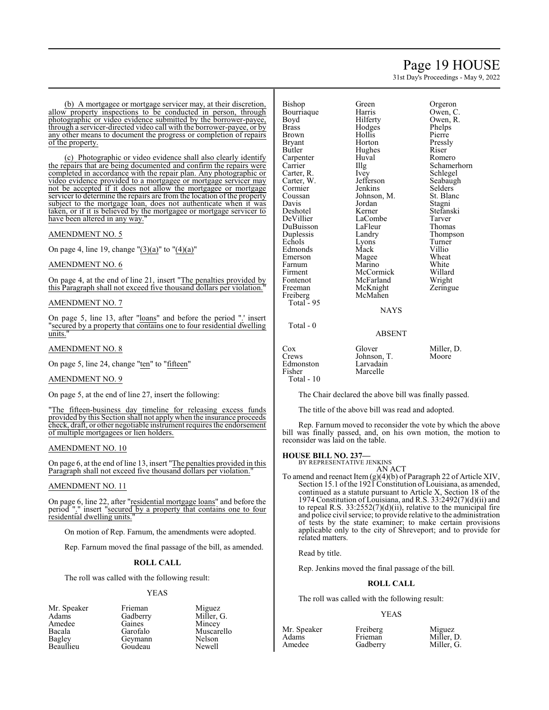## Page 19 HOUSE

31st Day's Proceedings - May 9, 2022

(b) A mortgagee or mortgage servicer may, at their discretion, allow property inspections to be conducted in person, through photographic or video evidence submitted by the borrower-payee, through a servicer-directed video call with the borrower-payee, or by any other means to document the progress or completion of repairs of the property.

(c) Photographic or video evidence shall also clearly identify the repairs that are being documented and confirm the repairs were completed in accordance with the repair plan. Any photographic or video evidence provided to a mortgagee or mortgage servicer may not be accepted if it does not allow the mortgagee or mortgage servicer to determine the repairs are from the location of the property subject to the mortgage loan, does not authenticate when it was taken, or if it is believed by the mortgagee or mortgage servicer to have been altered in any way."

## AMENDMENT NO. 5

On page 4, line 19, change " $(3)(a)$ " to " $(4)(a)$ "

## AMENDMENT NO. 6

On page 4, at the end of line 21, insert "The penalties provided by this Paragraph shall not exceed five thousand dollars per violation."

## AMENDMENT NO. 7

On page 5, line 13, after "loans" and before the period ".' insert "secured by a property that contains one to four residential dwelling units."

## AMENDMENT NO. 8

On page 5, line 24, change "ten" to "fifteen"

## AMENDMENT NO. 9

On page 5, at the end of line 27, insert the following:

"The fifteen-business day timeline for releasing excess funds provided by this Section shall not apply when the insurance proceeds check, draft, or other negotiable instrument requires the endorsement of multiple mortgagees or lien holders.

## AMENDMENT NO. 10

On page 6, at the end of line 13, insert "The penalties provided in this Paragraph shall not exceed five thousand dollars per violation."

## AMENDMENT NO. 11

On page 6, line 22, after "residential mortgage loans" and before the period "." insert "secured by a property that contains one to four residential dwelling units."

On motion of Rep. Farnum, the amendments were adopted.

Rep. Farnum moved the final passage of the bill, as amended.

## **ROLL CALL**

The roll was called with the following result:

## YEAS

Mr. Speaker Frieman Miguez<br>Adams Gadberry Miller, 0 Amedee Gaines<br>Bacala Garofalo Bacala Garofalo Muscarello Beaullieu

Gadberry Miller, G.<br>Gaines Mincey Geymann Nelson<br>Goudeau Newell

Total - 0

Hodges Phelps<br>
Hollis Pierre Hollis<br>Horton Hughes Riser<br>Huval Rome Johnson, M. St. Bla<br>Jordan Stagni Jordan<br>Kerner LaFleur<br>Landry Lyons<br>Mack Magee Wheat<br>
Marino White McKnight McMahen

Green Orgeron<br>Bishop Green Communist<br>Communist Communist Communist Communist Communist Communist Communist Communist Communist Communist Communist Communist Communist Communist Communist Communist Communist Communist Commu Harris Owen, C.<br>Hilferty Owen, R. Owen, R.<br>Phelps Pressly Huval Romero<br>Illg Schame Illg Schamerhorn<br>Ivev Schlegel Schlegel<br>Seabaugh Jefferson Seabaug<br>Jenkins Selders Jenkins Selders<br>Johnson, M. St. Blanc Stefanski LaCombe Tarver<br>
LaFleur Thomas Thompson<br>Turner Villio<br>Wheat Marino White<br>
McCormick Willard McCormick Willard<br>
McFarland Wright McFarland Wright<br>
McKnight Zeringue

## **NAYS**

## ABSENT

| Cox<br>Crews<br>Edmonston<br>Fisher | Glover<br>Johnson, T.<br>Larvadain<br>Marcelle | Miller, D.<br>Moore |
|-------------------------------------|------------------------------------------------|---------------------|
| Total $-10$                         |                                                |                     |

The Chair declared the above bill was finally passed.

The title of the above bill was read and adopted.

Rep. Farnum moved to reconsider the vote by which the above bill was finally passed, and, on his own motion, the motion to reconsider was laid on the table.

## **HOUSE BILL NO. 237—**

BY REPRESENTATIVE JENKINS AN ACT

To amend and reenact Item (g)(4)(b) of Paragraph 22 of Article XIV, Section 15.1 of the 1921 Constitution of Louisiana, as amended, continued as a statute pursuant to Article X, Section 18 of the 1974 Constitution of Louisiana, and R.S. 33:2492(7)(d)(ii) and to repeal R.S.  $33:2552(7)(d)(ii)$ , relative to the municipal fire and police civil service; to provide relative to the administration of tests by the state examiner; to make certain provisions applicable only to the city of Shreveport; and to provide for related matters.

Read by title.

Rep. Jenkins moved the final passage of the bill.

## **ROLL CALL**

The roll was called with the following result:

## YEAS

| Mr. Speaker | Freiberg | Miguez     |
|-------------|----------|------------|
| Adams       | Frieman  | Miller, D. |
| Amedee      | Gadberry | Miller, G. |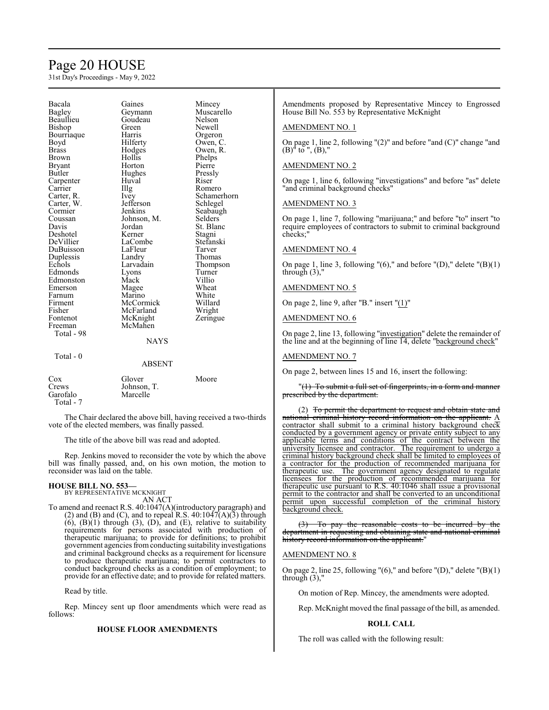# Page 20 HOUSE

31st Day's Proceedings - May 9, 2022

| Bacala       | Gaines      | Mincey      |
|--------------|-------------|-------------|
| Bagley       | Geymann     | Muscarello  |
| Beaullieu    | Goudeau     | Nelson      |
| Bishop       | Green       | Newell      |
| Bourriaque   | Harris      | Orgeron     |
| Boyd         | Hilferty    | Owen, C.    |
| Brass        | Hodges      | Owen, R.    |
| <b>Brown</b> | Hollis      | Phelps      |
| Bryant       | Horton      | Pierre      |
| Butler       | Hughes      | Pressly     |
| Carpenter    | Huval       | Riser       |
| Carrier      | Illg        | Romero      |
| Carter, R.   | <i>lvey</i> | Schamerhorn |
| Carter, W.   | Jefferson   | Schlegel    |
| Cormier      | Jenkins     | Seabaugh    |
| Coussan      | Johnson, M. | Selders     |
| Davis        | Jordan      | St. Blanc   |
| Deshotel     | Kerner      | Stagni      |
| DeVillier    | LaCombe     | Stefanski   |
| DuBuisson    | LaFleur     | Tarver      |
| Duplessis    | Landry      | Thomas      |
| Echols       | Larvadain   | Thompson    |
| Edmonds      | Lyons       | Turner      |
| Edmonston    | Mack        | Villio      |
| Emerson      | Magee       | Wheat       |
| Farnum       | Marino      | White       |
| Firment      | McCormick   | Willard     |
| Fisher       | McFarland   | Wright      |
| Fontenot     | McKnight    | Zeringue    |
| Freeman      | McMahen     |             |
| Total - 98   |             |             |
|              | <b>NAYS</b> |             |
| Total - 0    |             |             |
|              | ABSENT      |             |
| Cox          | Glover      | Moore       |
| Crews        | Johnson, T. |             |
| Garofalo     | Marcelle    |             |
| Total - 7    |             |             |

The Chair declared the above bill, having received a two-thirds vote of the elected members, was finally passed.

The title of the above bill was read and adopted.

Rep. Jenkins moved to reconsider the vote by which the above bill was finally passed, and, on his own motion, the motion to reconsider was laid on the table.

# **HOUSE BILL NO. 553—** BY REPRESENTATIVE MCKNIGHT

AN ACT To amend and reenact R.S. 40:1047(A)(introductory paragraph) and (2) and (B) and (C), and to repeal R.S.  $40:1047(A)(3)$  through  $(6)$ ,  $(B)(1)$  through  $(3)$ ,  $(D)$ , and  $(E)$ , relative to suitability requirements for persons associated with production of therapeutic marijuana; to provide for definitions; to prohibit government agencies fromconducting suitability investigations and criminal background checks as a requirement for licensure to produce therapeutic marijuana; to permit contractors to

conduct background checks as a condition of employment; to provide for an effective date; and to provide for related matters.

Read by title.

Rep. Mincey sent up floor amendments which were read as follows:

## **HOUSE FLOOR AMENDMENTS**

Amendments proposed by Representative Mincey to Engrossed House Bill No. 553 by Representative McKnight

## AMENDMENT NO. 1

On page 1, line 2, following "(2)" and before "and (C)" change "and  $(B)$ <sup>"</sup> to ",  $(B)$ ,"

## AMENDMENT NO. 2

On page 1, line 6, following "investigations" and before "as" delete "and criminal background checks"

## AMENDMENT NO. 3

On page 1, line 7, following "marijuana;" and before "to" insert "to require employees of contractors to submit to criminal background checks;"

## AMENDMENT NO. 4

On page 1, line 3, following "(6)," and before "(D)," delete "(B)(1) through  $(3)$ ,"

## AMENDMENT NO. 5

On page 2, line 9, after "B." insert "(1)"

## AMENDMENT NO. 6

On page 2, line 13, following "investigation" delete the remainder of the line and at the beginning of line 14, delete "background check"

## AMENDMENT NO. 7

On page 2, between lines 15 and 16, insert the following:

"(1) To submit a full set of fingerprints, in a form and manner prescribed by the department.

(2) To permit the department to request and obtain state and national criminal history record information on the applicant. A contractor shall submit to a criminal history background check conducted by a government agency or private entity subject to any applicable terms and conditions of the contract between the university licensee and contractor. The requirement to undergo a criminal history background check shall be limited to employees of a contractor for the production of recommended marijuana for therapeutic use. The government agency designated to regulate licensees for the production of recommended marijuana for therapeutic use pursuant to R.S. 40:1046 shall issue a provisional permit to the contractor and shall be converted to an unconditional permit upon successful completion of the criminal history background check.

 $(3)$  To pay the reasonable costs to be incurred by the department in requesting and obtaining state and national criminal history record information on the applicant."

## AMENDMENT NO. 8

On page 2, line 25, following " $(6)$ ," and before " $(D)$ ," delete " $(B)(1)$ through  $(3)$ ,"

On motion of Rep. Mincey, the amendments were adopted.

Rep. McKnight moved the final passage of the bill, as amended.

#### **ROLL CALL**

The roll was called with the following result: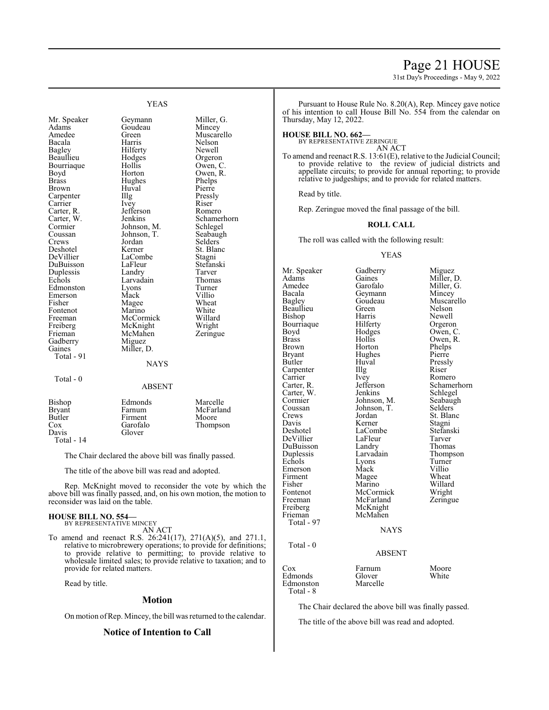## Page 21 HOUSE

31st Day's Proceedings - May 9, 2022

Mr. Speaker Geymann Miller, G.<br>Adams Goudeau Mincey Adams Goudeau<br>Amedee Green Amedee Green Muscarello<br>
Bacala Harris Nelson Bacala Harris Nelson Beaullieu Hodges Orgeron Bourriaque Hollis<br>Boyd Horton Boyd Horton Owen, R.<br>Brass Hughes Phelps Brass Hughes Phelps<br>Brown Huval Pierre Carpenter IIIg Pressl<br>Carrier Ivey Riser Carrier Ivey Riser<br>Carter, R. Jefferson Romero Carter, R. Jefferson<br>Carter, W. Jenkins Cormier Johnson, M. Schlegel<br>Coussan Johnson, T. Seabaugh Coussan Johnson, T.<br>Crews Jordan Deshotel Kerner St. Blanc St. Blanc Stagni<br>
DeVillier LaCombe Stagni DuBuisson LaFleur Stefans<br>
Duplessis Landry Tarver Duplessis Landry Tarver Edmonston Lyons Turner<br>Emerson Mack Villio Emerson Mack Villio<br>
Fisher Magee Wheat Fisher Magee Wheat<br>Fontenot Marino White Fontenot Marino White<br>
Freeman McCormick Willard Freeman McCormick Willard<br>
Freiberg McKnight Wright Freiberg McKnight Wright<br>
Frieman McMahen Zeringue Gadberry<br>Gaines Total - 91

YEAS

Hilferty Newell<br>
Hodges Orgeron Huval Pierre<br>Illg Pressly Carter, W. Jenkins Schamerhorn<br>Cormier Johnson, M. Schlegel Jordan Selders<br>
Kerner St. Blanc LaCombe Stagni<br>LaFleur Stefanski Larvadain Thoma<br>Lyons Turner

## **NAYS**

ABSENT

Total - 0

| Bishop     | Edmonds  | Marcelle  |
|------------|----------|-----------|
| Bryant     | Farnum   | McFarland |
| Butler     | Firment  | Moore     |
| Cox        | Garofalo | Thompson  |
| Davis      | Glover   |           |
| Total - 14 |          |           |

McMahen<br>Miguez

Miller, D.

The Chair declared the above bill was finally passed.

The title of the above bill was read and adopted.

Rep. McKnight moved to reconsider the vote by which the above bill was finally passed, and, on his own motion, the motion to reconsider was laid on the table.

## **HOUSE BILL NO. 554—**

BY REPRESENTATIVE MINCEY AN ACT

To amend and reenact R.S. 26:241(17), 271(A)(5), and 271.1, relative to microbrewery operations; to provide for definitions; to provide relative to permitting; to provide relative to wholesale limited sales; to provide relative to taxation; and to provide for related matters.

Read by title.

## **Motion**

On motion ofRep. Mincey, the bill was returned to the calendar.

## **Notice of Intention to Call**

Pursuant to House Rule No. 8.20(A), Rep. Mincey gave notice of his intention to call House Bill No. 554 from the calendar on Thursday, May 12, 2022.

## **HOUSE BILL NO. 662—**

BY REPRESENTATIVE ZERINGUE

AN ACT To amend and reenact R.S. 13:61(E), relative to the Judicial Council; to provide relative to the review of judicial districts and appellate circuits; to provide for annual reporting; to provide relative to judgeships; and to provide for related matters.

Read by title.

Rep. Zeringue moved the final passage of the bill.

## **ROLL CALL**

The roll was called with the following result:

## YEAS

Mr. Speaker Gadberry Miguez<br>Adams Gaines Miller, I Adams Gaines Miller, D.<br>Amedee Garofalo Miller, G. Amedee Garofalo Miller, G.<br>Bacala Geymann Mincey Bacala Geymann<br>Bagley Goudeau Beaullieu Green<br>Bishop Harris Bourriaque Hilferty<br>Boyd Hodges Boyd Hodges Owen, C.<br>Brass Hollis Owen, R. Brass Hollis Owen, R. Brown Horton Phelps<br>Bryant Hughes Pierre Bryant Hughes<br>Butler Huval Carpenter Illg<br>Carrier Ivev Carrier Ivey Romero<br>Carter, R. Jefferson Schamer Carter, W. Jenkins Schlegel<br>Cormier Johnson, M. Seabaugh Cormier Johnson, M. Seabaug<br>Coussan Johnson, T. Selders Coussan Johnson, T.<br>Crews Jordan Crews Jordan St. Blanc<br>
Davis Kerner Stagni Davis Kerner Stagni<br>
Deshotel LaCombe Stefanski DeVillier LaFleur Tarver DuBuisson Landry<br>
Duplessis Larvadain Echols Lyons Turner<br>Emerson Mack Villio Emerson Mack Villio<br>Firment Magee Wheat Firment Magee Wheat<br>
Fisher Marino Willard Fisher Marino Willard Fontenot McCormick Wright<br>
Freeman McFarland Zeringue Freeman McFarland<br>Freiberg McKnight Freiberg McKnight<br>Frieman McMahen McMahen Total - 97 Total - 0

Goudeau Muscarello<br>Green Nelson Harris Newell<br>Hilferty Orgeron Huval Pressly<br>Illg Riser Jefferson Schamerhorn<br>Jenkins Schlegel LaCombe<br>LaFleur Stefans<br>Tarver Larvadain Thompson<br>Lyons Turner

## **NAYS**

## ABSENT

| Cox       | Farnum   | Moore |
|-----------|----------|-------|
| Edmonds   | Glover   | White |
| Edmonston | Marcelle |       |
| Total - 8 |          |       |

The Chair declared the above bill was finally passed.

The title of the above bill was read and adopted.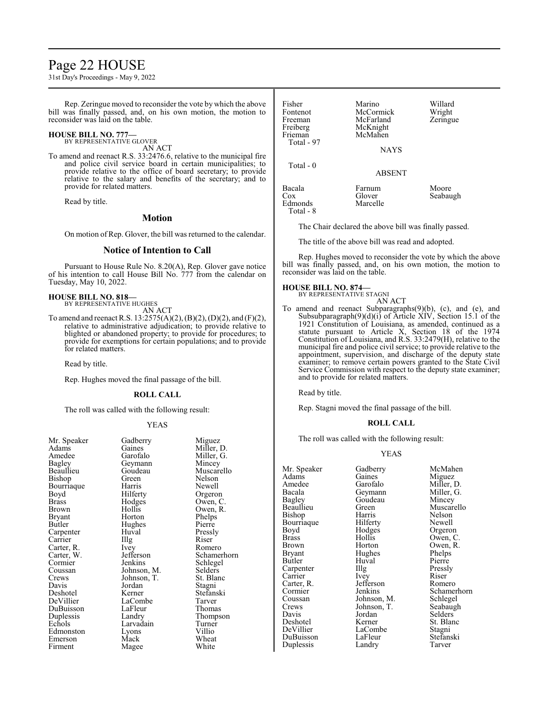## Page 22 HOUSE

31st Day's Proceedings - May 9, 2022

Rep. Zeringue moved to reconsider the vote by which the above bill was finally passed, and, on his own motion, the motion to reconsider was laid on the table.

## **HOUSE BILL NO. 777—**

BY REPRESENTATIVE GLOVER

AN ACT

To amend and reenact R.S. 33:2476.6, relative to the municipal fire and police civil service board in certain municipalities; to provide relative to the office of board secretary; to provide relative to the salary and benefits of the secretary; and to provide for related matters.

Read by title.

## **Motion**

On motion of Rep. Glover, the bill was returned to the calendar.

## **Notice of Intention to Call**

Pursuant to House Rule No. 8.20(A), Rep. Glover gave notice of his intention to call House Bill No. 777 from the calendar on Tuesday, May 10, 2022.

**HOUSE BILL NO. 818—** BY REPRESENTATIVE HUGHES

AN ACT

To amend and reenact R.S. 13:2575(A)(2), (B)(2), (D)(2), and (F)(2), relative to administrative adjudication; to provide relative to blighted or abandoned property; to provide for procedures; to provide for exemptions for certain populations; and to provide for related matters.

Read by title.

Rep. Hughes moved the final passage of the bill.

## **ROLL CALL**

The roll was called with the following result:

## YEAS

| Mr. Speaker<br>Adams<br>Amedee<br>Bagley<br>Beaullieu<br>Bishop<br>Bourriaque<br>Boyd<br><b>Brass</b><br>Brown<br>Bryant<br>Butler<br>Carpenter<br>Carrier<br>Carter, R. | Gadberry<br>Gaines<br>Garofalo<br>Geymann<br>Goudeau<br>Green<br>Harris<br>Hilferty<br>Hodges<br>Hollis<br>Horton<br>Hughes<br>Huval<br>Illg<br>Ivey | Miguez<br>Miller, I<br>Miller, 0<br>Mincey<br>Muscare<br>Nelson<br>Newell<br>Orgeron<br>Owen, C<br>Owen, F<br>Phelps<br>Pierre<br>Pressly<br>Riser<br>Romero |
|--------------------------------------------------------------------------------------------------------------------------------------------------------------------------|------------------------------------------------------------------------------------------------------------------------------------------------------|--------------------------------------------------------------------------------------------------------------------------------------------------------------|
| Carter, W.<br>Cormier                                                                                                                                                    | Jefferson<br>Jenkins                                                                                                                                 | Schame                                                                                                                                                       |
| Coussan                                                                                                                                                                  | Johnson, M.                                                                                                                                          | Schlegel<br>Selders                                                                                                                                          |
| Crews                                                                                                                                                                    | Johnson, T.                                                                                                                                          | St. Blan                                                                                                                                                     |
| Davis                                                                                                                                                                    | Jordan                                                                                                                                               | Stagni                                                                                                                                                       |
| Deshotel                                                                                                                                                                 | Kerner                                                                                                                                               | Stefansk                                                                                                                                                     |
| DeVillier                                                                                                                                                                | LaCombe                                                                                                                                              | Tarver                                                                                                                                                       |
| DuBuisson                                                                                                                                                                | LaFleur                                                                                                                                              | Thomas                                                                                                                                                       |
| Duplessis                                                                                                                                                                | Landry                                                                                                                                               | Thomps                                                                                                                                                       |
| Echols                                                                                                                                                                   | Larvadain                                                                                                                                            | Turner                                                                                                                                                       |
| Edmonston                                                                                                                                                                | Lyons                                                                                                                                                | Villio                                                                                                                                                       |
| Emerson                                                                                                                                                                  | Mack                                                                                                                                                 | Wheat                                                                                                                                                        |
| Firment                                                                                                                                                                  | Magee                                                                                                                                                | White                                                                                                                                                        |
|                                                                                                                                                                          |                                                                                                                                                      |                                                                                                                                                              |

Miller, D. Miller, G. Mincey Muscarello<br>Nelson Newell Orgeron Owen, C. Owen, R. Phelps Pierre Pressly<br>Riser R<sub>omero</sub> Schamerhorn Schlegel Selders St. Blanc Stagni Stefanski Tarver Thomas Thompson Turner<br>Villio Wheat

| Fisher<br>Fontenot<br>Freeman<br>Freiberg<br>Frieman<br>Total - 97 | Marino<br>McCormick<br>McFarland<br>McKnight<br>McMahen<br><b>NAYS</b> | Willard<br>Wright<br>Zeringue |
|--------------------------------------------------------------------|------------------------------------------------------------------------|-------------------------------|
| Total $-0$                                                         | <b>ABSENT</b>                                                          |                               |
| Bacala<br>Cox<br>Edmonds<br>Total - 8                              | Farnum<br>Glover<br>Marcelle                                           | Moore<br>Seabaugh             |

The Chair declared the above bill was finally passed.

The title of the above bill was read and adopted.

Rep. Hughes moved to reconsider the vote by which the above bill was finally passed, and, on his own motion, the motion to reconsider was laid on the table.

#### **HOUSE BILL NO. 874—** BY REPRESENTATIVE STAGNI

AN ACT

To amend and reenact Subparagraphs(9)(b), (c), and (e), and Subsubparagraph(9)(d)(i) of Article XIV, Section 15.1 of the 1921 Constitution of Louisiana, as amended, continued as a statute pursuant to Article X, Section 18 of the 1974 Constitution of Louisiana, and R.S. 33:2479(H), relative to the municipal fire and police civil service; to provide relative to the appointment, supervision, and discharge of the deputy state examiner; to remove certain powers granted to the State Civil Service Commission with respect to the deputy state examiner; and to provide for related matters.

Read by title.

Rep. Stagni moved the final passage of the bill.

## **ROLL CALL**

The roll was called with the following result:

## YEAS

| Mr. Speaker   | Gadberry    | McMahen     |
|---------------|-------------|-------------|
| Adams         | Gaines      | Miguez      |
| Amedee        | Garofalo    | Miller, D.  |
| Bacala        | Geymann     | Miller, G.  |
| <b>Bagley</b> | Goudeau     | Mincey      |
| Beaullieu     | Green       | Muscarello  |
|               | Harris      | Nelson      |
| Bishop        |             |             |
| Bourriaque    | Hilferty    | Newell      |
| Boyd          | Hodges      | Orgeron     |
| <b>Brass</b>  | Hollis      | Owen, C.    |
| Brown         | Horton      | Owen, R.    |
| Bryant        | Hughes      | Phelps      |
| Butler        | Huval       | Pierre      |
| Carpenter     | Illg        | Pressly     |
| Carrier       | Ivey        | Riser       |
| Carter, R.    | Jefferson   | Romero      |
| Cormier       | Jenkins     | Schamerhorn |
| Coussan       | Johnson, M. | Schlegel    |
| Crews         | Johnson, T. | Seabaugh    |
| Davis         | Jordan      | Selders     |
| Deshotel      | Kerner      | St. Blanc   |
| DeVillier     | LaCombe     | Stagni      |
| DuBuisson     | LaFleur     | Stefanski   |
| Duplessis     | Landry      | Tarver      |
|               |             |             |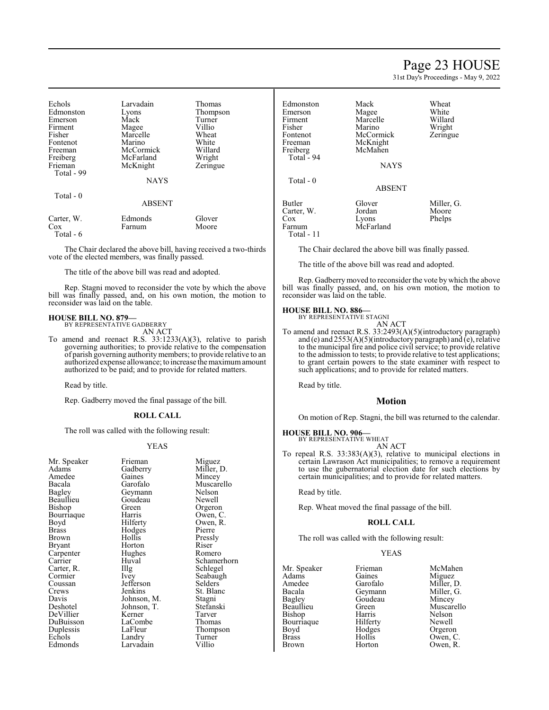## Page 23 HOUSE

31st Day's Proceedings - May 9, 2022

| Echols<br>Edmonston<br>Emerson<br>Firment<br>Fisher<br>Fontenot<br>Freeman<br>Freiberg<br>Frieman<br>Total - 99<br>Total - 0 | Larvadain<br>Lyons<br>Mack<br>Magee<br>Marcelle<br>Marino<br>McCormick<br>McFarland<br>McKnight<br><b>NAYS</b><br><b>ABSENT</b> | Thomas<br>Thompson<br>Turner<br>Villio<br>Wheat<br>White<br>Willard<br>Wright<br>Zeringue |
|------------------------------------------------------------------------------------------------------------------------------|---------------------------------------------------------------------------------------------------------------------------------|-------------------------------------------------------------------------------------------|
| Carter, W.<br>Cox<br>Total - 6                                                                                               | Edmonds<br>Farnum                                                                                                               | Glover<br>Moore                                                                           |

The Chair declared the above bill, having received a two-thirds vote of the elected members, was finally passed.

The title of the above bill was read and adopted.

Rep. Stagni moved to reconsider the vote by which the above bill was finally passed, and, on his own motion, the motion to reconsider was laid on the table.

## **HOUSE BILL NO. 879—** BY REPRESENTATIVE GADBERRY

AN ACT

To amend and reenact R.S. 33:1233(A)(3), relative to parish governing authorities; to provide relative to the compensation of parish governing authority members; to provide relative to an authorized expense allowance; to increase the maximumamount authorized to be paid; and to provide for related matters.

Read by title.

Rep. Gadberry moved the final passage of the bill.

## **ROLL CALL**

The roll was called with the following result:

#### YEAS

| Mr. Speaker | Frieman     | Migue   |
|-------------|-------------|---------|
| Adams       | Gadberry    | Miller, |
| Amedee      | Gaines      | Mince   |
| Bacala      | Garofalo    | Musca   |
| Bagley      | Geymann     | Nelsor  |
| Beaullieu   | Goudeau     | Newel   |
| Bishop      | Green       | Orgero  |
| Bourriaque  | Harris      | Owen,   |
| Boyd        | Hilferty    | Owen,   |
| Brass       | Hodges      | Pierre  |
| Brown       | Hollis      | Pressly |
| Bryant      | Horton      | Riser   |
| Carpenter   | Hughes      | Romer   |
| Carrier     | Huval       | Scham   |
| Carter, R.  | Illg        | Schleg  |
| Cormier     | Ivey        | Seabau  |
| Coussan     | Jefferson   | Selder  |
| Crews       | Jenkins     | St. Bla |
| Davis       | Johnson, M. | Stagni  |
| Deshotel    | Johnson, T. | Stefan  |
| DeVillier   | Kerner      | Tarver  |
| DuBuisson   | LaCombe     | Thoma   |
| Duplessis   | LaFleur     | Thomp   |
| Echols      | Landry      | Turner  |
| Edmonds     | Larvadain   | Villio  |

Miguez Miller, D. Mincey Muscarello Nelson Newell Orgeron Owen, C. Owen, R.<br>Pierre Pressly<br>Riser Romero Schamerhorn Schlegel Seabaugh Selders St. Blanc Stagni Stefanski<br>Tarver Thomas Thompson Turner<br>Villio

| Edmonston<br>Emerson<br>Firment<br>Fisher<br>Fontenot<br>Freeman<br>Freiberg<br>Total $-94$ | Mack<br>Magee<br>Marcelle<br>Marino<br>McCormick<br>McKnight<br>McMahen<br><b>NAYS</b> | Wheat<br>White<br>Willard<br>Wright<br>Zeringue |
|---------------------------------------------------------------------------------------------|----------------------------------------------------------------------------------------|-------------------------------------------------|
| Total $-0$                                                                                  | <b>ABSENT</b>                                                                          |                                                 |
| <b>Butler</b><br>Carter, W.<br>$\cos$<br>Farnum<br>Total - 11                               | Glover<br>Jordan<br>Lyons<br>McFarland                                                 | Miller, G.<br>Moore<br>Phelps                   |

The Chair declared the above bill was finally passed.

The title of the above bill was read and adopted.

Rep. Gadberrymoved to reconsider the vote by which the above bill was finally passed, and, on his own motion, the motion to reconsider was laid on the table.

## **HOUSE BILL NO. 886—**

BY REPRESENTATIVE STAGNI AN ACT

To amend and reenact R.S. 33:2493(A)(5)(introductory paragraph) and (e) and 2553(A)(5)(introductory paragraph) and (e), relative to the municipal fire and police civil service; to provide relative to the admission to tests; to provide relative to test applications; to grant certain powers to the state examiner with respect to such applications; and to provide for related matters.

Read by title.

## **Motion**

On motion of Rep. Stagni, the bill was returned to the calendar.

## **HOUSE BILL NO. 906—**

BY REPRESENTATIVE WHEAT

AN ACT To repeal R.S. 33:383(A)(3), relative to municipal elections in certain Lawrason Act municipalities; to remove a requirement to use the gubernatorial election date for such elections by certain municipalities; and to provide for related matters.

Read by title.

Rep. Wheat moved the final passage of the bill.

## **ROLL CALL**

The roll was called with the following result:

## YEAS

| Mr. Speaker   | Frieman  | McMahen    |
|---------------|----------|------------|
| Adams         | Gaines   | Miguez     |
| Amedee        | Garofalo | Miller, D. |
| Bacala        | Geymann  | Miller, G. |
| <b>Bagley</b> | Goudeau  | Mincey     |
| Beaullieu     | Green    | Muscarello |
| Bishop        | Harris   | Nelson     |
| Bourriaque    | Hilferty | Newell     |
| Boyd          | Hodges   | Orgeron    |
| <b>Brass</b>  | Hollis   | Owen, C.   |
| <b>Brown</b>  | Horton   | Owen. R.   |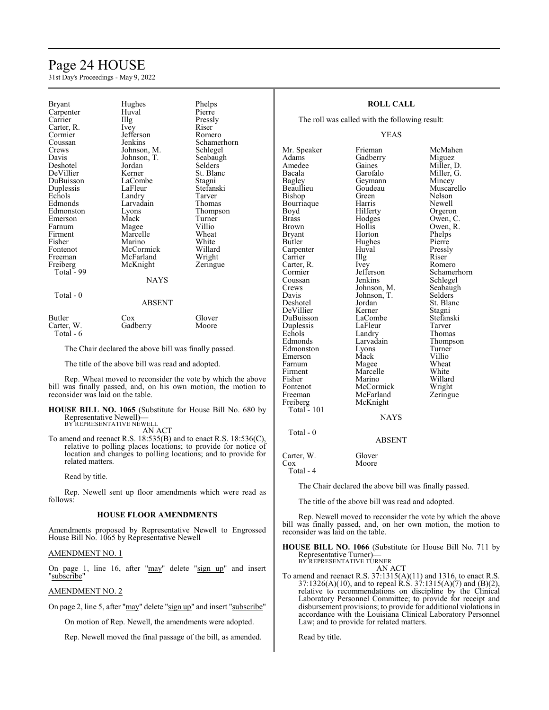## Page 24 HOUSE

31st Day's Proceedings - May 9, 2022

| Bryant<br>Carpenter<br>Carrier<br>Carter, R.<br>Cormier<br>Coussan<br>Crews<br>Davis<br>Deshotel<br>DeVillier<br>DuBuisson<br>Duplessis<br>Echols<br>Edmonds<br>Edmonston<br>Emerson<br>Farnum<br>Firment<br>Fisher<br>Fontenot<br>Freeman<br>Freiberg<br>Total - 99 | Hughes<br>Huval<br>Illg<br>Ivey<br>Jefferson<br>Jenkins<br>Johnson, M.<br>Johnson, T.<br>Jordan<br>Kerner<br>LaCombe<br>LaFleur<br>Landry<br>Larvadain<br>Lyons<br>Mack<br>Magee<br>Marcelle<br>Marino<br>McCormick<br>McFarland<br>McKnight<br>NAYS | Phelps<br>Pierre<br>Pressly<br>Riser<br>Romero<br>Schamerhorn<br>Schlegel<br>Seabaugh<br>Selders<br>St. Blanc<br>Stagni<br>Stefanski<br>Tarver<br>Thomas<br>Thompson<br>Turner<br>Villio<br>Wheat<br>White<br>Willard<br>Wright<br>Zeringue |
|----------------------------------------------------------------------------------------------------------------------------------------------------------------------------------------------------------------------------------------------------------------------|------------------------------------------------------------------------------------------------------------------------------------------------------------------------------------------------------------------------------------------------------|---------------------------------------------------------------------------------------------------------------------------------------------------------------------------------------------------------------------------------------------|
|                                                                                                                                                                                                                                                                      |                                                                                                                                                                                                                                                      |                                                                                                                                                                                                                                             |
|                                                                                                                                                                                                                                                                      |                                                                                                                                                                                                                                                      |                                                                                                                                                                                                                                             |
| Total - 0                                                                                                                                                                                                                                                            | <b>ABSENT</b>                                                                                                                                                                                                                                        |                                                                                                                                                                                                                                             |
| Butler<br>Carter, W.                                                                                                                                                                                                                                                 | Cox<br>Gadberry                                                                                                                                                                                                                                      | Glover<br>Moore                                                                                                                                                                                                                             |

Total - 6

The Chair declared the above bill was finally passed.

The title of the above bill was read and adopted.

Rep. Wheat moved to reconsider the vote by which the above bill was finally passed, and, on his own motion, the motion to reconsider was laid on the table.

**HOUSE BILL NO. 1065** (Substitute for House Bill No. 680 by Representative Newell) BY REPRESENTATIVE NEWELL

AN ACT

To amend and reenact R.S. 18:535(B) and to enact R.S. 18:536(C), relative to polling places locations; to provide for notice of location and changes to polling locations; and to provide for related matters.

Read by title.

Rep. Newell sent up floor amendments which were read as follows:

## **HOUSE FLOOR AMENDMENTS**

Amendments proposed by Representative Newell to Engrossed House Bill No. 1065 by Representative Newell

## AMENDMENT NO. 1

On page 1, line 16, after "may" delete "sign up" and insert "<u>subscribe</u>"

## AMENDMENT NO. 2

On page 2, line 5, after "may" delete "sign up" and insert "subscribe"

On motion of Rep. Newell, the amendments were adopted.

Rep. Newell moved the final passage of the bill, as amended.

## **ROLL CALL**

The roll was called with the following result:

## YEAS

Adams Gadberry<br>Amedee Gaines Amedee Gaines Miller, D.<br>Bacala Garofalo Miller, G. Bacala Garofalo Miller, G.<br>Bagley Geymann Mincey Bagley Geymann<br>Beaullieu Goudeau Bishop Green Nelson<br>Bourriaque Harris Newell Bourriaque Harris Newell<br>Bovd Hilferty Orgeron Brass Brass Hodges Owen, C.<br>Brown Hollis Owen, R. Brown Hollis Owen, R.<br>Bryant Horton Phelps Bryant Horton Phelps<br>Butler Hughes Pierre Carpenter Huval Pressl<br>Carrier Hugh Riser Carrier IIIg Riser<br>Carter, R. Ivey Romero Carter, R. Ivey<br>Cormier Jefferson Cormier Jefferson Schamerhorn<br>
Coussan Jenkins Schlegel Coussan Jenkins Schlegel<br>Crews Johnson, M. Seabaugh Crews Johnson, M. Seabaugh<br>
Davis Johnson, T. Selders Davis Johnson, T.<br>Deshotel Jordan DeVillier Kerner Stagni<br>DuBuisson LaCombe Stefanski Duplessis LaFleur<br>Echols Landry Echols Landry Thomas<br>Edmonds Larvadain Thomps Edmonston Lyons Turner<br>Emerson Mack Villio Emerson Mack Villio<br>
Farnum Magee Wheat Farnum Magee Wheat<br>Firment Marcelle White Firment Marcelle White<br>
Fisher Marino Willard Fontenot McCormick Wright<br>
Freeman McFarland Zeringue

Mr. Speaker Frieman McMahen<br>Adams Gadberry Miguez Goudeau Muscarello<br>Green Nelson Hilferty Hughes Pierre<br>Huval Pressly Jordan St. Blanc<br>Kerner Stagni LaCombe Stefans<br>LaFleur Tarver Larvadain Thompson<br>Lyons Turner Marino Willard<br>
McCormick Wright McFarland<br>McKnight Freiberg McKnight **NAYS** 

## Total - 0

Total - 101

ABSENT

| Carter, W. | Glover |
|------------|--------|
| Cox        | Moore  |
| Total - 4  |        |

The Chair declared the above bill was finally passed.

The title of the above bill was read and adopted.

Rep. Newell moved to reconsider the vote by which the above bill was finally passed, and, on her own motion, the motion to reconsider was laid on the table.

**HOUSE BILL NO. 1066** (Substitute for House Bill No. 711 by Representative Turner)— BY REPRESENTATIVE TURNER

AN ACT

To amend and reenact R.S. 37:1315(A)(11) and 1316, to enact R.S. 37:1326(A)(10), and to repeal R.S. 37:1315(A)(7) and (B)(2), relative to recommendations on discipline by the Clinical Laboratory Personnel Committee; to provide for receipt and disbursement provisions; to provide for additional violations in accordance with the Louisiana Clinical Laboratory Personnel Law; and to provide for related matters.

Read by title.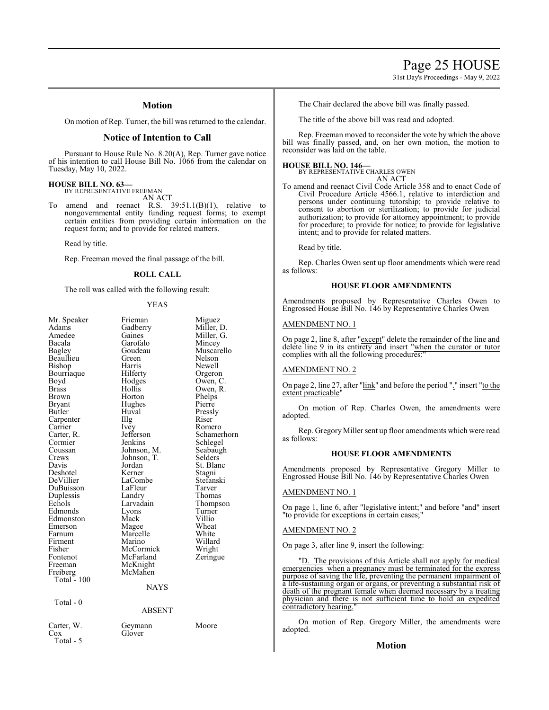31st Day's Proceedings - May 9, 2022

## **Motion**

On motion of Rep. Turner, the bill was returned to the calendar.

## **Notice of Intention to Call**

Pursuant to House Rule No. 8.20(A), Rep. Turner gave notice of his intention to call House Bill No. 1066 from the calendar on Tuesday, May 10, 2022.

## **HOUSE BILL NO. 63—** BY REPRESENTATIVE FREEMAN

AN ACT

amend and reenact R.S.  $39:51.1(B)(1)$ , relative to nongovernmental entity funding request forms; to exempt certain entities from providing certain information on the request form; and to provide for related matters.

Read by title.

Rep. Freeman moved the final passage of the bill.

## **ROLL CALL**

The roll was called with the following result:

## YEAS

| Mr. Speaker<br>Adams<br>Amedee<br>Bacala<br><b>Bagley</b><br>Beaullieu<br>Bishop<br>Bourriaque<br>Boyd<br><b>Brass</b><br><b>Brown</b><br>Bryant<br>Butler<br>Carpenter<br>Carrier<br>Carter, R.<br>Cormier<br>Coussan<br>Crews<br>Davis<br>Deshotel<br>DeVillier<br>DuBuisson<br>Duplessis<br>Echols<br>Edmonds<br>Edmonston<br>Emerson | Frieman<br>Gadberry<br>Gaines<br>Garofalo<br>Goudeau<br>Green<br>Harris<br>Hilferty<br>Hodges<br>Hollis<br>Horton<br>Hughes<br>Huval<br>Illg<br>Ivey<br>Jefferson<br>Jenkins<br>Johnson, M.<br>Johnson, T.<br>Jordan<br>Kerner<br>LaCombe<br>LaFleur<br>Landry<br>Larvadain<br>Lyons<br>Mack<br>Magee | Miguez<br>Miller, D.<br>Miller, G.<br>Mincey<br>Muscarello<br>Nelson<br>Newell<br>Orgeron<br>Owen, C.<br>Owen, R.<br>Phelps<br>Pierre<br>Pressly<br>Riser<br>Romero<br>Schamerhorn<br>Schlegel<br>Seabaugh<br>Selders<br>St. Blanc<br>Stagni<br>Stefanski<br>Tarver<br>Thomas<br>Thompson<br>Turner<br>Villio<br>Wheat |
|------------------------------------------------------------------------------------------------------------------------------------------------------------------------------------------------------------------------------------------------------------------------------------------------------------------------------------------|-------------------------------------------------------------------------------------------------------------------------------------------------------------------------------------------------------------------------------------------------------------------------------------------------------|------------------------------------------------------------------------------------------------------------------------------------------------------------------------------------------------------------------------------------------------------------------------------------------------------------------------|
|                                                                                                                                                                                                                                                                                                                                          |                                                                                                                                                                                                                                                                                                       |                                                                                                                                                                                                                                                                                                                        |
| Farnum<br>Firment                                                                                                                                                                                                                                                                                                                        | Marcelle<br>Marino                                                                                                                                                                                                                                                                                    | White<br>Willard                                                                                                                                                                                                                                                                                                       |
| Fisher                                                                                                                                                                                                                                                                                                                                   | McCormick                                                                                                                                                                                                                                                                                             | Wright                                                                                                                                                                                                                                                                                                                 |
| Fontenot<br>Freeman<br>Freiberg<br>Total $-100$                                                                                                                                                                                                                                                                                          | McFarland<br>McKnight<br>McMahen                                                                                                                                                                                                                                                                      | Zeringue                                                                                                                                                                                                                                                                                                               |
|                                                                                                                                                                                                                                                                                                                                          | <b>NAYS</b>                                                                                                                                                                                                                                                                                           |                                                                                                                                                                                                                                                                                                                        |
| Total - 0                                                                                                                                                                                                                                                                                                                                | <b>ABSENT</b>                                                                                                                                                                                                                                                                                         |                                                                                                                                                                                                                                                                                                                        |
| Carter, W.<br>Cox<br>Total - 5                                                                                                                                                                                                                                                                                                           | Geymann<br>Glover                                                                                                                                                                                                                                                                                     | Moore                                                                                                                                                                                                                                                                                                                  |

The Chair declared the above bill was finally passed.

The title of the above bill was read and adopted.

Rep. Freeman moved to reconsider the vote by which the above bill was finally passed, and, on her own motion, the motion to reconsider was laid on the table.

**HOUSE BILL NO. 146—** BY REPRESENTATIVE CHARLES OWEN AN ACT

To amend and reenact Civil Code Article 358 and to enact Code of Civil Procedure Article 4566.1, relative to interdiction and persons under continuing tutorship; to provide relative to consent to abortion or sterilization; to provide for judicial authorization; to provide for attorney appointment; to provide for procedure; to provide for notice; to provide for legislative intent; and to provide for related matters.

Read by title.

Rep. Charles Owen sent up floor amendments which were read as follows:

## **HOUSE FLOOR AMENDMENTS**

Amendments proposed by Representative Charles Owen to Engrossed House Bill No. 146 by Representative Charles Owen

## AMENDMENT NO. 1

On page 2, line 8, after "except" delete the remainder of the line and delete line 9 in its entirety and insert "when the curator or tutor complies with all the following procedures:

## AMENDMENT NO. 2

On page 2, line 27, after "link" and before the period "." insert "to the extent practicable"

On motion of Rep. Charles Owen, the amendments were adopted.

Rep. Gregory Miller sent up floor amendments which were read as follows:

## **HOUSE FLOOR AMENDMENTS**

Amendments proposed by Representative Gregory Miller to Engrossed House Bill No. 146 by Representative Charles Owen

#### AMENDMENT NO. 1

On page 1, line 6, after "legislative intent;" and before "and" insert "to provide for exceptions in certain cases;

## AMENDMENT NO. 2

On page 3, after line 9, insert the following:

"D. The provisions of this Article shall not apply for medical emergencies when a pregnancy must be terminated for the express purpose of saving the life, preventing the permanent impairment of a life-sustaining organ or organs, or preventing a substantial risk of death of the pregnant female when deemed necessary by a treating physician and there is not sufficient time to hold an expedited contradictory hearing.

On motion of Rep. Gregory Miller, the amendments were adopted.

## **Motion**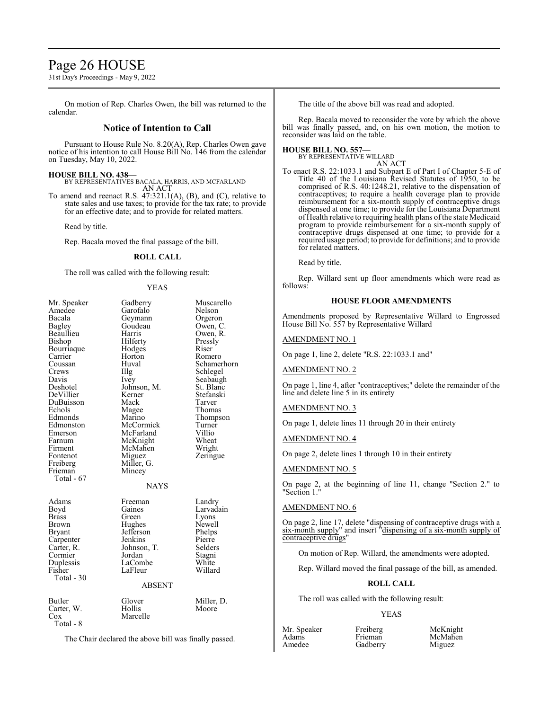## Page 26 HOUSE

31st Day's Proceedings - May 9, 2022

On motion of Rep. Charles Owen, the bill was returned to the calendar.

## **Notice of Intention to Call**

Pursuant to House Rule No. 8.20(A), Rep. Charles Owen gave notice of his intention to call House Bill No. 146 from the calendar on Tuesday, May 10, 2022.

**HOUSE BILL NO. 438—** BY REPRESENTATIVES BACALA, HARRIS, AND MCFARLAND AN ACT

To amend and reenact R.S. 47:321.1(A), (B), and (C), relative to state sales and use taxes; to provide for the tax rate; to provide for an effective date; and to provide for related matters.

Read by title.

Rep. Bacala moved the final passage of the bill.

## **ROLL CALL**

The roll was called with the following result:

#### YEAS

| Mr. Speaker<br>Amedee<br>Bacala<br>Bagley<br>Beaullieu<br>Bishop<br>Bourriaque<br>Carrier<br>Coussan<br>Crews<br>Davis<br>Deshotel<br>DeVillier<br>DuBuisson<br>Echols<br>Edmonds<br>Edmonston<br>Emerson<br>Farnum<br>Firment<br>Fontenot<br>Freiberg<br>Frieman<br>Total - 67 | Gadberry<br>Garofalo<br>Geymann<br>Goudeau<br>Harris<br>Hilferty<br>Hodges<br>Horton<br>Huval<br>Illg<br>Ivey<br>Johnson, M.<br>Kerner<br>Mack<br>Magee<br>Marino<br>McCormick<br>McFarland<br>McKnight<br>McMahen<br>Miguez<br>Miller, G.<br>Mincey<br><b>NAYS</b> | Muscarello<br>Nelson<br>Orgeron<br>Owen, C.<br>Owen, R.<br>Pressly<br>Riser<br>Romero<br>Schamerhorn<br>Schlegel<br>Seabaugh<br>St. Blanc<br>Stefanski<br>Tarver<br>Thomas<br>Thompson<br>Turner<br>Villio<br>Wheat<br>Wright<br>Zeringue |
|---------------------------------------------------------------------------------------------------------------------------------------------------------------------------------------------------------------------------------------------------------------------------------|---------------------------------------------------------------------------------------------------------------------------------------------------------------------------------------------------------------------------------------------------------------------|-------------------------------------------------------------------------------------------------------------------------------------------------------------------------------------------------------------------------------------------|
| Adams<br>Boyd<br>Brass<br>Brown<br><b>Bryant</b><br>Carpenter<br>Carter, R.<br>Cormier<br>Duplessis<br>Fisher<br>Total - 30                                                                                                                                                     | Freeman<br>Gaines<br>Green<br>Hughes<br>Jefferson<br>Jenkins<br>Johnson, T.<br>Jordan<br>LaCombe<br>LaFleur<br><b>ABSENT</b>                                                                                                                                        | Landry<br>Larvadain<br>Lyons<br>Newell<br>Phelps<br>Pierre<br>Selders<br>Stagni<br>White<br>Willard                                                                                                                                       |
| Butler<br>Carter, W.<br>$\cos$<br>Total - 8                                                                                                                                                                                                                                     | Glover<br>Hollis<br>Marcelle<br>The Chair declared the above bill was finally passed                                                                                                                                                                                | Miller, D.<br>Moore                                                                                                                                                                                                                       |

The Chair declared the above bill was finally passed.

The title of the above bill was read and adopted.

Rep. Bacala moved to reconsider the vote by which the above bill was finally passed, and, on his own motion, the motion to reconsider was laid on the table.

#### **HOUSE BILL NO. 557—**

BY REPRESENTATIVE WILLARD AN ACT

To enact R.S. 22:1033.1 and Subpart E of Part I of Chapter 5-E of Title 40 of the Louisiana Revised Statutes of 1950, to be comprised of R.S. 40:1248.21, relative to the dispensation of contraceptives; to require a health coverage plan to provide reimbursement for a six-month supply of contraceptive drugs dispensed at one time; to provide for the Louisiana Department of Health relative to requiring health plans of the state Medicaid program to provide reimbursement for a six-month supply of contraceptive drugs dispensed at one time; to provide for a required usage period; to provide for definitions; and to provide for related matters.

Read by title.

Rep. Willard sent up floor amendments which were read as follows:

## **HOUSE FLOOR AMENDMENTS**

Amendments proposed by Representative Willard to Engrossed House Bill No. 557 by Representative Willard

## AMENDMENT NO. 1

On page 1, line 2, delete "R.S. 22:1033.1 and"

AMENDMENT NO. 2

On page 1, line 4, after "contraceptives;" delete the remainder of the line and delete line 5 in its entirety

## AMENDMENT NO. 3

On page 1, delete lines 11 through 20 in their entirety

## AMENDMENT NO. 4

On page 2, delete lines 1 through 10 in their entirety

## AMENDMENT NO. 5

On page 2, at the beginning of line 11, change "Section 2." to "Section 1."

## AMENDMENT NO. 6

On page 2, line 17, delete "dispensing of contraceptive drugs with a six-month supply" and insert "dispensing of a six-month supply of contraceptive drugs"

On motion of Rep. Willard, the amendments were adopted.

Rep. Willard moved the final passage of the bill, as amended.

#### **ROLL CALL**

The roll was called with the following result:

#### YEAS

Mr. Speaker Freiberg McKnight<br>
Adams Frieman McMahen Adams Frieman McMahen<br>Amedee Gadberry Miguez

Gadberry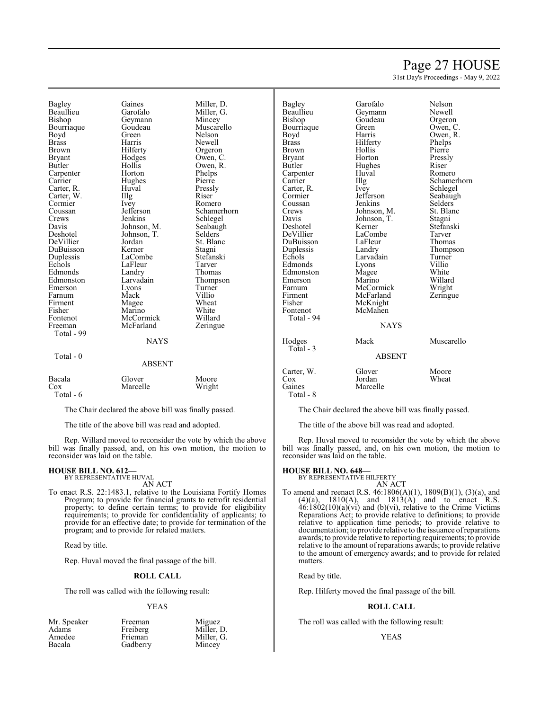## Page 27 HOUSE

31st Day's Proceedings - May 9, 2022

Bagley Gaines<br>
Beaullieu Garofalo Beaullieu<br>Bishop Geymann<br>Goudeau Bourriaque Goude<br>Boyd Green Boyd Green Nelson Brass Harris Brown Hilferty<br>Bryant Hodges Bryant Hodges<br>Butler Hollis Hollis<br>Horton Carpenter<br>Carrier Hughes<br>Huval Carter, R. Huval Press, Press, Press, Press, Press, Press, Press, Press, Press, Press, Press, Press, Press, Press, Press, Press, Press, Press, Press, Press, Press, Press, Press, Press, Press, Press, Press, Press, Press, Pr Carter, W. Illg<br>Cormier Ivey Cormier<br>Coussan Jefferson Crews Jenkins<br>Davis Johnson Davis Johnson, M.<br>Deshotel Johnson, T. Johnson, T.<br>Jordan DeVillier Jordan<br>DuBuisson Kerner DuBuisson<br>Duplessis Duplessis LaCombe<br>Echols LaFleur LaFleur<br>Landry Edmonds<br>Edmonston Larvadain<br>Lyons Emerson Lyons<br>Farnum Mack Farnum<br>Firment Firment Magee<br>Fisher Marino Fisher Marino<br>Fontenot McCorr Fontenot McCormick<br>Freeman McFarland McFarland Total - 99 **NAYS**  Total - 0 ABSENT Bacala Glover Moore Cox Marcelle Total - 6

The Chair declared the above bill was finally passed.

The title of the above bill was read and adopted.

Rep. Willard moved to reconsider the vote by which the above bill was finally passed, and, on his own motion, the motion to reconsider was laid on the table.

#### **HOUSE BILL NO. 612—** BY REPRESENTATIVE HUVAL

AN ACT

To enact R.S. 22:1483.1, relative to the Louisiana Fortify Homes Program; to provide for financial grants to retrofit residential property; to define certain terms; to provide for eligibility requirements; to provide for confidentiality of applicants; to provide for an effective date; to provide for termination of the program; and to provide for related matters.

Read by title.

Rep. Huval moved the final passage of the bill.

## **ROLL CALL**

The roll was called with the following result:

## YEAS

| Freeman  | Miguez<br>Miller, D. |
|----------|----------------------|
| Freiberg |                      |
| Frieman  | Miller, G.           |
| Gadberry | Mincey               |
|          |                      |

| Miller, D.                                         |
|----------------------------------------------------|
| Miller, G.                                         |
| Mincey                                             |
| Muscarello                                         |
| Nelson                                             |
| Newell                                             |
| Orgeron                                            |
| Owen, C.                                           |
| Owen, R.                                           |
| Phelps                                             |
| Pierre                                             |
| Pressly                                            |
| Riser                                              |
| Romero                                             |
| Schamerhorn<br>Schlegel                            |
|                                                    |
| Seabaugh                                           |
| Selders                                            |
| St. Blanc                                          |
| Stagni                                             |
|                                                    |
|                                                    |
| stagm<br>Stefanski<br>Farver<br>Thompson<br>Turner |
|                                                    |
|                                                    |
|                                                    |
| Villio                                             |
| Wheat                                              |
| White                                              |
| Willard                                            |
| Zeringue                                           |
|                                                    |
|                                                    |
|                                                    |
|                                                    |
|                                                    |
|                                                    |

| Bagley      | Garofalo      | Nelson      |
|-------------|---------------|-------------|
| Beaullieu   | Geymann       | Newell      |
| Bishop      | Goudeau       | Orgeron     |
| Bourriaque  | Green         | Owen, C.    |
| Boyd        | Harris        | Owen, R.    |
| Brass       | Hilferty      | Phelps      |
| Brown       | Hollis        | Pierre      |
| Bryant      | Horton        | Pressly     |
| Butler      | Hughes        | Riser       |
| Carpenter   | Huval         | Romero      |
| Carrier     | Illg          | Schamerhorn |
| Carter, R.  | <i>lvey</i>   | Schlegel    |
| Cormier     | Jefferson     | Seabaugh    |
| Coussan     | Jenkins       | Selders     |
| Crews       | Johnson, M.   | St. Blanc   |
| Davis       | Johnson, T.   | Stagni      |
| Deshotel    | Kerner        | Stefanski   |
| DeVillier   | LaCombe       | Tarver      |
| DuBuisson   | LaFleur       | Thomas      |
| Duplessis   | Landry        | Thompson    |
| Echols      | Larvadain     | Turner      |
| Edmonds     | Lyons         | Villio      |
| Edmonston   | Magee         | White       |
| Emerson     | Marino        | Willard     |
| Farnum      | McCormick     | Wright      |
| Firment     | McFarland     | Zeringue    |
| Fisher      | McKnight      |             |
| Fontenot    | McMahen       |             |
| Total - 94  |               |             |
|             | <b>NAYS</b>   |             |
| Hodges      | Mack          | Muscarello  |
| $Total - 3$ |               |             |
|             | <b>ABSENT</b> |             |

# y Phelps<br>Pierre St. Blanc

|                                          | ABSEN I                      |                |
|------------------------------------------|------------------------------|----------------|
| Carter, W.<br>Cox<br>Gaines<br>Total - 8 | Glover<br>Jordan<br>Marcelle | Moore<br>Wheat |
|                                          |                              |                |

The Chair declared the above bill was finally passed.

The title of the above bill was read and adopted.

Rep. Huval moved to reconsider the vote by which the above bill was finally passed, and, on his own motion, the motion to reconsider was laid on the table.

## **HOUSE BILL NO. 648—**

BY REPRESENTATIVE HILFERTY AN ACT

To amend and reenact R.S. 46:1806(A)(1), 1809(B)(1), (3)(a), and  $(4)(a)$ ,  $1810(A)$ , and  $1813(A)$  and to enact R.S.  $46:1802(10)(a)(vi)$  and (b)(vi), relative to the Crime Victims Reparations Act; to provide relative to definitions; to provide relative to application time periods; to provide relative to documentation; to provide relative to the issuance ofreparations awards; to provide relative to reporting requirements; to provide relative to the amount of reparations awards; to provide relative to the amount of emergency awards; and to provide for related matters.

Read by title.

Rep. Hilferty moved the final passage of the bill.

## **ROLL CALL**

The roll was called with the following result:

## YEAS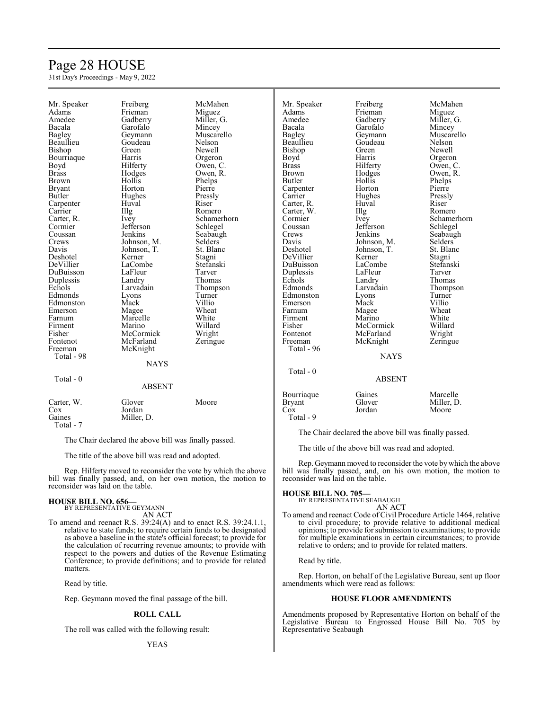# Page 28 HOUSE

31st Day's Proceedings - May 9, 2022

| Mr. Speaker   | Freiberg      | McMahen        | Mr. Speaker   | Freiberg      | McMahen        |
|---------------|---------------|----------------|---------------|---------------|----------------|
| Adams         | Frieman       | Miguez         | Adams         | Frieman       | Miguez         |
| Amedee        | Gadberry      | Miller, G.     | Amedee        | Gadberry      | Miller, G.     |
| Bacala        | Garofalo      | Mincey         | Bacala        | Garofalo      | Mincey         |
| Bagley        | Geymann       | Muscarello     | Bagley        | Geymann       | Muscarello     |
| Beaullieu     | Goudeau       | Nelson         | Beaullieu     | Goudeau       | Nelson         |
| Bishop        | Green         | Newell         | Bishop        | Green         | Newell         |
| Bourriaque    | Harris        | Orgeron        | Boyd          | Harris        | Orgeron        |
| Boyd          | Hilferty      | Owen, C.       | <b>Brass</b>  | Hilferty      | Owen, C.       |
| <b>Brass</b>  | Hodges        | Owen, R.       | <b>Brown</b>  | Hodges        | Owen, R.       |
| <b>Brown</b>  | Hollis        | Phelps         | Butler        | Hollis        | Phelps         |
|               | Horton        | Pierre         |               | Horton        | Pierre         |
| <b>Bryant</b> |               |                | Carpenter     |               |                |
| Butler        | Hughes        | Pressly        | Carrier       | Hughes        | Pressly        |
| Carpenter     | Huval         | Riser          | Carter, R.    | Huval         | Riser          |
| Carrier       | Illg          | Romero         | Carter, W.    | Illg          | Romero         |
| Carter, R.    | Ivey          | Schamerhorn    | Cormier       | Ivey          | Schamerhorn    |
| Cormier       | Jefferson     | Schlegel       | Coussan       | Jefferson     | Schlegel       |
| Coussan       | Jenkins       | Seabaugh       | Crews         | Jenkins       | Seabaugh       |
| Crews         | Johnson, M.   | <b>Selders</b> | Davis         | Johnson, M.   | <b>Selders</b> |
| Davis         | Johnson, T.   | St. Blanc      | Deshotel      | Johnson, T.   | St. Blanc      |
| Deshotel      | Kerner        | Stagni         | DeVillier     | Kerner        | Stagni         |
| DeVillier     | LaCombe       | Stefanski      | DuBuisson     | LaCombe       | Stefanski      |
| DuBuisson     | LaFleur       | Tarver         | Duplessis     | LaFleur       | Tarver         |
| Duplessis     | Landry        | Thomas         | Echols        | Landry        | <b>Thomas</b>  |
| Echols        | Larvadain     | Thompson       | Edmonds       | Larvadain     | Thompson       |
| Edmonds       | Lyons         | Turner         | Edmonston     | Lyons         | Turner         |
| Edmonston     | Mack          | Villio         | Emerson       | Mack          | Villio         |
| Emerson       | Magee         | Wheat          | Farnum        | Magee         | Wheat          |
| Farnum        | Marcelle      | White          | Firment       | Marino        | White          |
| Firment       | Marino        | Willard        | Fisher        | McCormick     | Willard        |
| Fisher        | McCormick     | Wright         | Fontenot      | McFarland     | Wright         |
| Fontenot      | McFarland     | Zeringue       | Freeman       | McKnight      | Zeringue       |
| Freeman       |               |                | Total - 96    |               |                |
|               | McKnight      |                |               | <b>NAYS</b>   |                |
| Total - 98    |               |                |               |               |                |
|               | <b>NAYS</b>   |                |               |               |                |
|               |               |                | Total - 0     |               |                |
| Total - 0     |               |                |               | <b>ABSENT</b> |                |
|               | <b>ABSENT</b> |                |               |               |                |
|               |               |                | Bourriaque    | Gaines        | Marcelle       |
| Carter, W.    | Glover        | Moore          | <b>Bryant</b> | Glover        | Miller, D.     |
| Cox           | Jordan        |                | Cox           | Jordan        | Moore          |
| Gaines        | Miller, D.    |                | Total - 9     |               |                |
| Total - 7     |               |                |               |               |                |
|               |               |                |               |               |                |

The Chair declared the above bill was finally passed.

The title of the above bill was read and adopted.

Rep. Hilferty moved to reconsider the vote by which the above bill was finally passed, and, on her own motion, the motion to reconsider was laid on the table.

#### **HOUSE BILL NO. 656—** BY REPRESENTATIVE GEYMANN

AN ACT

To amend and reenact R.S. 39:24(A) and to enact R.S. 39:24.1.1, relative to state funds; to require certain funds to be designated as above a baseline in the state's official forecast; to provide for the calculation of recurring revenue amounts; to provide with respect to the powers and duties of the Revenue Estimating Conference; to provide definitions; and to provide for related matters.

Read by title.

Rep. Geymann moved the final passage of the bill.

## **ROLL CALL**

The roll was called with the following result:

The Chair declared the above bill was finally passed.

The title of the above bill was read and adopted.

Rep. Geymann moved to reconsider the vote bywhich the above bill was finally passed, and, on his own motion, the motion to reconsider was laid on the table.

## **HOUSE BILL NO. 705—**

BY REPRESENTATIVE SEABAUGH AN ACT

To amend and reenact Code of Civil Procedure Article 1464, relative to civil procedure; to provide relative to additional medical opinions; to provide for submission to examinations; to provide for multiple examinations in certain circumstances; to provide relative to orders; and to provide for related matters.

Read by title.

Rep. Horton, on behalf of the Legislative Bureau, sent up floor amendments which were read as follows:

## **HOUSE FLOOR AMENDMENTS**

Amendments proposed by Representative Horton on behalf of the Legislative Bureau to Engrossed House Bill No. 705 by Representative Seabaugh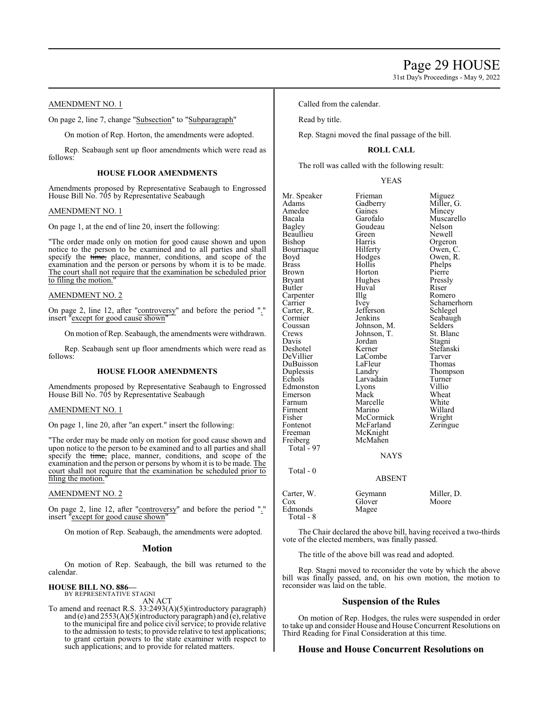## AMENDMENT NO. 1

On page 2, line 7, change "Subsection" to "Subparagraph"

On motion of Rep. Horton, the amendments were adopted.

Rep. Seabaugh sent up floor amendments which were read as follows:

## **HOUSE FLOOR AMENDMENTS**

Amendments proposed by Representative Seabaugh to Engrossed House Bill No. 705 by Representative Seabaugh

## AMENDMENT NO. 1

On page 1, at the end of line 20, insert the following:

"The order made only on motion for good cause shown and upon notice to the person to be examined and to all parties and shall specify the time, place, manner, conditions, and scope of the examination and the person or persons by whom it is to be made. The court shall not require that the examination be scheduled prior to filing the motion.

## AMENDMENT NO. 2

On page 2, line 12, after "controversy" and before the period "." insert "except for good cause shown"

On motion ofRep. Seabaugh, the amendments were withdrawn.

Rep. Seabaugh sent up floor amendments which were read as follows:

## **HOUSE FLOOR AMENDMENTS**

Amendments proposed by Representative Seabaugh to Engrossed House Bill No. 705 by Representative Seabaugh

## AMENDMENT NO. 1

On page 1, line 20, after "an expert." insert the following:

"The order may be made only on motion for good cause shown and upon notice to the person to be examined and to all parties and shall specify the time, place, manner, conditions, and scope of the examination and the person or persons by whom it is to be made. The court shall not require that the examination be scheduled prior to filing the motion.

#### AMENDMENT NO. 2

On page 2, line 12, after "controversy" and before the period "." insert "except for good cause shown"

On motion of Rep. Seabaugh, the amendments were adopted.

#### **Motion**

On motion of Rep. Seabaugh, the bill was returned to the calendar.

#### **HOUSE BILL NO. 886—** BY REPRESENTATIVE STAGNI

AN ACT

To amend and reenact R.S. 33:2493(A)(5)(introductory paragraph) and (e) and 2553(A)(5)(introductory paragraph) and (e), relative to the municipal fire and police civil service; to provide relative to the admission to tests; to provide relative to test applications; to grant certain powers to the state examiner with respect to such applications; and to provide for related matters.

Called from the calendar.

Read by title.

Rep. Stagni moved the final passage of the bill.

## **ROLL CALL**

The roll was called with the following result:

YEAS

| Mr. Speaker<br>Adams<br>Amedee<br>Bacala<br><b>Bagley</b><br>Beaullieu<br>Bishop<br>Bourriaque<br>Boyd<br><b>Brass</b><br><b>Brown</b><br>Bryant<br>Butler<br>Carpenter<br>Carrier<br>Carter, R.<br>Cormier<br>Coussan<br>Crews<br>Davis | Frieman<br>Gadberry<br>Gaines<br>Garofalo<br>Goudeau<br>Green<br>Harris<br>Hilferty<br>Hodges<br>Hollis<br>Horton<br>Hughes<br>Huval<br>Illg<br>Ivey<br>Jefferson<br>Jenkins<br>Johnson, M.<br>Johnson, T.<br>Jordan | Miguez<br>Miller, G.<br>Mincey<br>Muscarello<br>Nelson<br>Newell<br>Orgeron<br>Owen, C.<br>Owen, R.<br>Phelps<br>Pierre<br>Pressly<br>Riser<br>Romero<br>Schamerhorn<br>Schlegel<br>Seabaugh<br>Selders<br>St. Blanc<br>Stagni |
|------------------------------------------------------------------------------------------------------------------------------------------------------------------------------------------------------------------------------------------|----------------------------------------------------------------------------------------------------------------------------------------------------------------------------------------------------------------------|--------------------------------------------------------------------------------------------------------------------------------------------------------------------------------------------------------------------------------|
|                                                                                                                                                                                                                                          |                                                                                                                                                                                                                      |                                                                                                                                                                                                                                |
|                                                                                                                                                                                                                                          |                                                                                                                                                                                                                      |                                                                                                                                                                                                                                |
| Deshotel                                                                                                                                                                                                                                 | Kerner                                                                                                                                                                                                               | Stefanski                                                                                                                                                                                                                      |
| DeVillier                                                                                                                                                                                                                                | LaCombe                                                                                                                                                                                                              | Tarver                                                                                                                                                                                                                         |
| DuBuisson<br>Duplessis                                                                                                                                                                                                                   | LaFleur<br>Landry                                                                                                                                                                                                    | Thomas<br>Thompson                                                                                                                                                                                                             |
| Echols                                                                                                                                                                                                                                   | Larvadain                                                                                                                                                                                                            | Turner                                                                                                                                                                                                                         |
| Edmonston                                                                                                                                                                                                                                | Lyons                                                                                                                                                                                                                | Villio                                                                                                                                                                                                                         |
| Emerson                                                                                                                                                                                                                                  | Mack                                                                                                                                                                                                                 | Wheat                                                                                                                                                                                                                          |
| Farnum                                                                                                                                                                                                                                   | Marcelle                                                                                                                                                                                                             | White                                                                                                                                                                                                                          |
| Firment<br>Fisher                                                                                                                                                                                                                        | Marino<br>McCormick                                                                                                                                                                                                  | Willard                                                                                                                                                                                                                        |
| Fontenot                                                                                                                                                                                                                                 | McFarland                                                                                                                                                                                                            | Wright<br>Zeringue                                                                                                                                                                                                             |
| Freeman                                                                                                                                                                                                                                  | McKnight                                                                                                                                                                                                             |                                                                                                                                                                                                                                |
| Freiberg                                                                                                                                                                                                                                 | McMahen                                                                                                                                                                                                              |                                                                                                                                                                                                                                |
| Total $-97$                                                                                                                                                                                                                              |                                                                                                                                                                                                                      |                                                                                                                                                                                                                                |
|                                                                                                                                                                                                                                          | <b>NAYS</b>                                                                                                                                                                                                          |                                                                                                                                                                                                                                |
| Total - $0$                                                                                                                                                                                                                              |                                                                                                                                                                                                                      |                                                                                                                                                                                                                                |
|                                                                                                                                                                                                                                          | <b>ABSENT</b>                                                                                                                                                                                                        |                                                                                                                                                                                                                                |
| Carter, W.                                                                                                                                                                                                                               | Geymann                                                                                                                                                                                                              | Miller, D.                                                                                                                                                                                                                     |
| Cox                                                                                                                                                                                                                                      | Glover                                                                                                                                                                                                               | Moore                                                                                                                                                                                                                          |
| Edmonds<br>$Total - 8$                                                                                                                                                                                                                   | Magee                                                                                                                                                                                                                |                                                                                                                                                                                                                                |

The Chair declared the above bill, having received a two-thirds vote of the elected members, was finally passed.

The title of the above bill was read and adopted.

Rep. Stagni moved to reconsider the vote by which the above bill was finally passed, and, on his own motion, the motion to reconsider was laid on the table.

## **Suspension of the Rules**

On motion of Rep. Hodges, the rules were suspended in order to take up and consider House and House Concurrent Resolutions on Third Reading for Final Consideration at this time.

## **House and House Concurrent Resolutions on**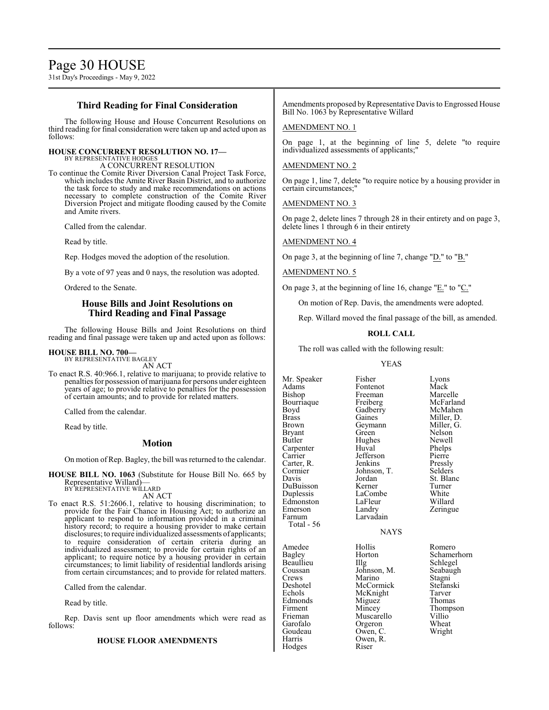## **Third Reading for Final Consideration**

The following House and House Concurrent Resolutions on third reading for final consideration were taken up and acted upon as follows:

## **HOUSE CONCURRENT RESOLUTION NO. 17—** BY REPRESENTATIVE HODGES

A CONCURRENT RESOLUTION

To continue the Comite River Diversion Canal Project Task Force, which includes the Amite River Basin District, and to authorize the task force to study and make recommendations on actions necessary to complete construction of the Comite River Diversion Project and mitigate flooding caused by the Comite and Amite rivers.

Called from the calendar.

Read by title.

Rep. Hodges moved the adoption of the resolution.

By a vote of 97 yeas and 0 nays, the resolution was adopted.

Ordered to the Senate.

## **House Bills and Joint Resolutions on Third Reading and Final Passage**

The following House Bills and Joint Resolutions on third reading and final passage were taken up and acted upon as follows:

## **HOUSE BILL NO. 700—**

BY REPRESENTATIVE BAGLEY AN ACT

To enact R.S. 40:966.1, relative to marijuana; to provide relative to penalties for possession of marijuana for persons under eighteen years of age; to provide relative to penalties for the possession of certain amounts; and to provide for related matters.

Called from the calendar.

Read by title.

## **Motion**

On motion of Rep. Bagley, the bill was returned to the calendar.

**HOUSE BILL NO. 1063** (Substitute for House Bill No. 665 by Representative Willard)— BY REPRESENTATIVE WILLARD

AN ACT

To enact R.S. 51:2606.1, relative to housing discrimination; to provide for the Fair Chance in Housing Act; to authorize an applicant to respond to information provided in a criminal history record; to require a housing provider to make certain disclosures; to require individualized assessments of applicants; to require consideration of certain criteria during an individualized assessment; to provide for certain rights of an applicant; to require notice by a housing provider in certain circumstances; to limit liability of residential landlords arising from certain circumstances; and to provide for related matters.

Called from the calendar.

Read by title.

Rep. Davis sent up floor amendments which were read as follows:

## **HOUSE FLOOR AMENDMENTS**

Amendments proposed by Representative Davis to Engrossed House Bill No. 1063 by Representative Willard

## AMENDMENT NO. 1

On page 1, at the beginning of line 5, delete "to require individualized assessments of applicants;"

## AMENDMENT NO. 2

On page 1, line 7, delete "to require notice by a housing provider in certain circumstances;"

AMENDMENT NO. 3

On page 2, delete lines 7 through 28 in their entirety and on page 3, delete lines 1 through 6 in their entirety

## AMENDMENT NO. 4

On page 3, at the beginning of line 7, change "D." to "B."

## AMENDMENT NO. 5

On page 3, at the beginning of line 16, change "E." to "C."

On motion of Rep. Davis, the amendments were adopted.

Rep. Willard moved the final passage of the bill, as amended.

## **ROLL CALL**

The roll was called with the following result:

#### YEAS

| Mr. Speaker | Fisher      | Lyons      |
|-------------|-------------|------------|
| Adams       | Fontenot    | Mack       |
| Bishop      | Freeman     | Marcelle   |
| Bourriaque  | Freiberg    | McFarland  |
| Boyd        | Gadberry    | McMahen    |
| Brass       | Gaines      | Miller, D. |
| Brown       | Geymann     | Miller, G. |
| Bryant      | Green       | Nelson     |
| Butler      | Hughes      | Newell     |
| Carpenter   | Huval       | Phelps     |
| Carrier     | Jefferson   | Pierre     |
| Carter, R.  | Jenkins     | Pressly    |
| Cormier     | Johnson, T. | Selders    |
| Davis       | Jordan      | St. Blanc  |
| DuBuisson   | Kerner      | Turner     |
| Duplessis   | LaCombe     | White      |
| Edmonston   | LaFleur     | Willard    |
| Emerson     | Landry      | Zeringue   |
| Farnum      | Larvadain   |            |
| Total - 56  |             |            |
|             | <b>NAYS</b> |            |
| Amedee      | Hollis      | Romero     |
| Bagley      | Horton      | Schamerho  |
| Beaullieu   | Illg        | Schlegel   |
| Coussan     | Johnson, M. | Seabaugh   |
| Crews       | Marino      | Stagni     |
| Deshotel    | McCormick   | Stefanski  |
| Echols      | McKnight    | Tarver     |
| Edmonds     | Miguez      | Thomas     |
| Firment     | Mincey      | Thompson   |
| Frieman     | Muscarello  | Villio     |
| Garofalo    | Orgeron     | Wheat      |

Goudeau Owen, C.<br>Harris Owen, R.

Hodges

Owen, R.<br>Riser

Bagley Horton Schamerhorn<br>Beaullieu IIIg Schlegel Garofalo Orgeron Wheat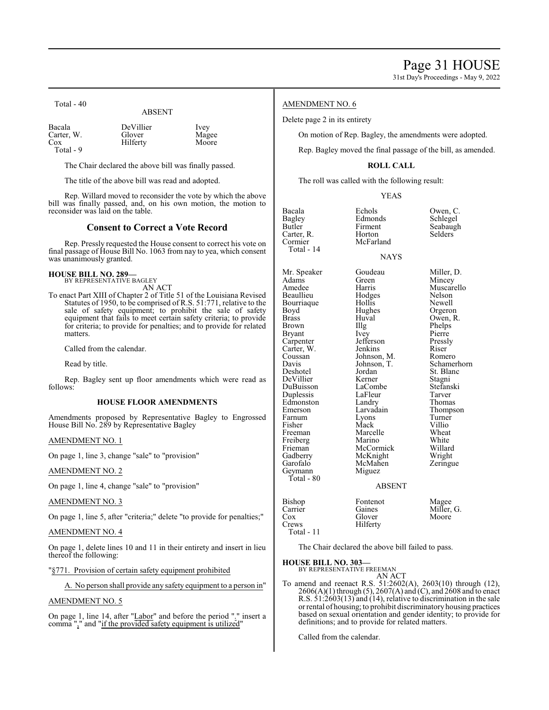| 1 VIII - TV                              | <b>ABSENT</b>                   |                        |
|------------------------------------------|---------------------------------|------------------------|
| Bacala<br>Carter, W.<br>Cox<br>Total - 9 | DeVillier<br>Glover<br>Hilferty | Ivey<br>Magee<br>Moore |

The Chair declared the above bill was finally passed.

The title of the above bill was read and adopted.

Rep. Willard moved to reconsider the vote by which the above bill was finally passed, and, on his own motion, the motion to reconsider was laid on the table.

## **Consent to Correct a Vote Record**

Rep. Pressly requested the House consent to correct his vote on final passage of House Bill No. 1063 from nay to yea, which consent was unanimously granted.

#### **HOUSE BILL NO. 289—** BY REPRESENTATIVE BAGLEY

 $T_{\alpha \uparrow \alpha}1$   $40$ 

AN ACT

To enact Part XIII of Chapter 2 of Title 51 of the Louisiana Revised Statutes of 1950, to be comprised of R.S. 51:771, relative to the sale of safety equipment; to prohibit the sale of safety equipment that fails to meet certain safety criteria; to provide for criteria; to provide for penalties; and to provide for related matters.

Called from the calendar.

Read by title.

Rep. Bagley sent up floor amendments which were read as follows:

## **HOUSE FLOOR AMENDMENTS**

Amendments proposed by Representative Bagley to Engrossed House Bill No. 289 by Representative Bagley

## AMENDMENT NO. 1

On page 1, line 3, change "sale" to "provision"

AMENDMENT NO. 2

On page 1, line 4, change "sale" to "provision"

AMENDMENT NO. 3

On page 1, line 5, after "criteria;" delete "to provide for penalties;"

## AMENDMENT NO. 4

On page 1, delete lines 10 and 11 in their entirety and insert in lieu thereof the following:

## "§771. Provision of certain safety equipment prohibited

A. No person shall provide any safety equipment to a person in"

## AMENDMENT NO. 5

On page 1, line 14, after "Labor" and before the period "." insert a comma "," and "if the provided safety equipment is utilized"

## AMENDMENT NO. 6

Delete page 2 in its entirety

On motion of Rep. Bagley, the amendments were adopted.

Rep. Bagley moved the final passage of the bill, as amended.

## **ROLL CALL**

The roll was called with the following result:

McFarland

YEAS

Bacala Echols Owen, C.<br>Bagley Edmonds Schlegel Bagley Edmonds Schlegel<br>Butler Firment Seabaugh Carter, R.<br>Cormier Total - 14

Adams Green Mincey<br>Amedee Harris Muscar Beaullieu Hodges Nelson Bourriaque Hollis<br>Boyd Hughes Boyd Hughes Orgeron<br>Brass Huval Owen, R Brass Huval Owen, R.<br>Brown Illg Phelps Bryant Ivey Pierre<br>
Carpenter Jefferson Pressly Carpenter Jefferson Pressl<br>Carter, W. Jenkins Riser Carter, W. Jenkins Riser<br>Coussan Johnson, M. Romero Coussan Johnson, M.<br>Davis Johnson, T. DuBuisson LaCombe Stefanski Duplessis LaFleur Tarver<br>
Edmonston Landry Thomas Edmonston Landry<br>
Emerson Larvadain Farnum Lyons<br>Fisher Mack Fisher Mack Villio<br>Freeman Marcelle Wheat Freeman Marcelle Wheat<br>
Freiberg Marino White Freiberg Marino White<br>
Frieman McCormick Willard Frieman McCormick Willard<br>Gadberry McKnight Wright Gadberry McKnight Wright<br>Garofalo McMahen Zeringue McMahen<br>Miguez

DeVillier

Geymann Total - 80 Firment Seabaugh<br>Horton Selders

## **NAYS**

Mr. Speaker Goudeau Miller, D.<br>Adams Green Mincey Harris Muscarello<br>
Hodges Nelson Illg Phelps<br>Ivey Pierre Davis Johnson, T. Schamerhorn<br>Deshotel Jordan St. Blanc Jordan St. Blanc<br>Kerner Stagni Emerson Larvadain Thompson<br>
Farnum Lyons Turner

## ABSENT

| Bishop     | Fontenot |                     |
|------------|----------|---------------------|
| Carrier    | Gaines   | Magee<br>Miller, G. |
| Cox        | Glover   | Moore               |
| Crews      | Hilferty |                     |
| Total - 11 |          |                     |

The Chair declared the above bill failed to pass.

**HOUSE BILL NO. 303—**

BY REPRESENTATIVE FREEMAN AN ACT

To amend and reenact R.S. 51:2602(A), 2603(10) through (12), 2606(A)(1) through (5), 2607(A) and (C), and 2608 and to enact R.S. 51:2603(13) and (14), relative to discrimination in the sale or rental of housing; to prohibit discriminatory housing practices based on sexual orientation and gender identity; to provide for definitions; and to provide for related matters.

Called from the calendar.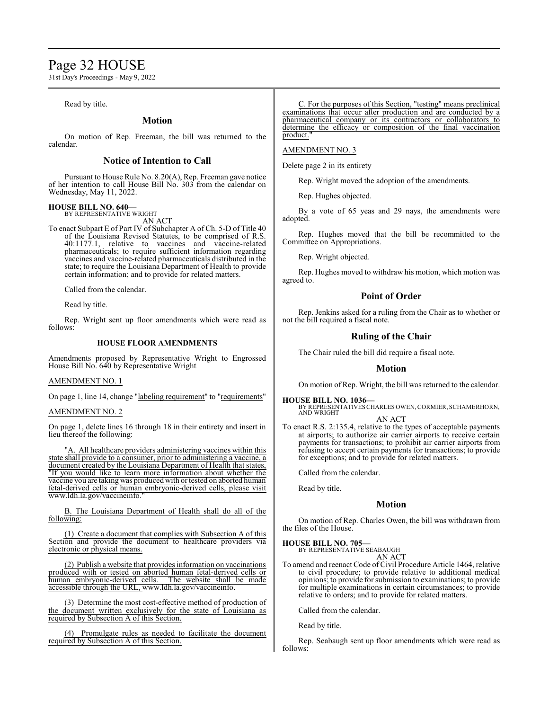## Page 32 HOUSE

31st Day's Proceedings - May 9, 2022

Read by title.

## **Motion**

On motion of Rep. Freeman, the bill was returned to the calendar.

## **Notice of Intention to Call**

Pursuant to House Rule No. 8.20(A), Rep. Freeman gave notice of her intention to call House Bill No. 303 from the calendar on Wednesday, May 11, 2022.

## **HOUSE BILL NO. 640—**

BY REPRESENTATIVE WRIGHT AN ACT

To enact Subpart E of Part IV of Subchapter A of Ch. 5-D of Title 40 of the Louisiana Revised Statutes, to be comprised of R.S. 40:1177.1, relative to vaccines and vaccine-related pharmaceuticals; to require sufficient information regarding vaccines and vaccine-related pharmaceuticals distributed in the state; to require the Louisiana Department of Health to provide certain information; and to provide for related matters.

Called from the calendar.

Read by title.

Rep. Wright sent up floor amendments which were read as follows:

## **HOUSE FLOOR AMENDMENTS**

Amendments proposed by Representative Wright to Engrossed House Bill No. 640 by Representative Wright

## AMENDMENT NO. 1

On page 1, line 14, change "labeling requirement" to "requirements"

## AMENDMENT NO. 2

On page 1, delete lines 16 through 18 in their entirety and insert in lieu thereof the following:

"A. All healthcare providers administering vaccines within this state shall provide to a consumer, prior to administering a vaccine, a document created by the Louisiana Department of Health that states, "If you would like to learn more information about whether the vaccine you are taking was produced with ortested on aborted human fetal-derived cells or human embryonic-derived cells, please visit www.ldh.la.gov/vaccineinfo."

B. The Louisiana Department of Health shall do all of the following:

(1) Create a document that complies with Subsection A of this Section and provide the document to healthcare providers via electronic or physical means.

(2) Publish a website that provides information on vaccinations produced with or tested on aborted human fetal-derived cells or human embryonic-derived cells. The website shall be made accessible through the URL, www.ldh.la.gov/vaccineinfo.

(3) Determine the most cost-effective method of production of the document written exclusively for the state of Louisiana as required by Subsection A of this Section.

(4) Promulgate rules as needed to facilitate the document required by Subsection A of this Section.

C. For the purposes of this Section, "testing" means preclinical examinations that occur after production and are conducted by a pharmaceutical company or its contractors or collaborators to determine the efficacy or composition of the final vaccination product.

## AMENDMENT NO. 3

Delete page 2 in its entirety

Rep. Wright moved the adoption of the amendments.

Rep. Hughes objected.

By a vote of 65 yeas and 29 nays, the amendments were adopted.

Rep. Hughes moved that the bill be recommitted to the Committee on Appropriations.

Rep. Wright objected.

Rep. Hughes moved to withdraw his motion, which motion was agreed to.

## **Point of Order**

Rep. Jenkins asked for a ruling from the Chair as to whether or not the bill required a fiscal note.

## **Ruling of the Chair**

The Chair ruled the bill did require a fiscal note.

## **Motion**

On motion of Rep. Wright, the bill was returned to the calendar.

**HOUSE BILL NO. 1036—**

BY REPRESENTATIVES CHARLES OWEN, CORMIER, SCHAMERHORN,<br>AND WRIGHT

AN ACT

To enact R.S. 2:135.4, relative to the types of acceptable payments at airports; to authorize air carrier airports to receive certain payments for transactions; to prohibit air carrier airports from refusing to accept certain payments for transactions; to provide for exceptions; and to provide for related matters.

Called from the calendar.

Read by title.

## **Motion**

On motion of Rep. Charles Owen, the bill was withdrawn from the files of the House.

## **HOUSE BILL NO. 705—** BY REPRESENTATIVE SEABAUGH

AN ACT

To amend and reenact Code of Civil Procedure Article 1464, relative to civil procedure; to provide relative to additional medical opinions; to provide for submission to examinations; to provide for multiple examinations in certain circumstances; to provide relative to orders; and to provide for related matters.

Called from the calendar.

Read by title.

Rep. Seabaugh sent up floor amendments which were read as follows: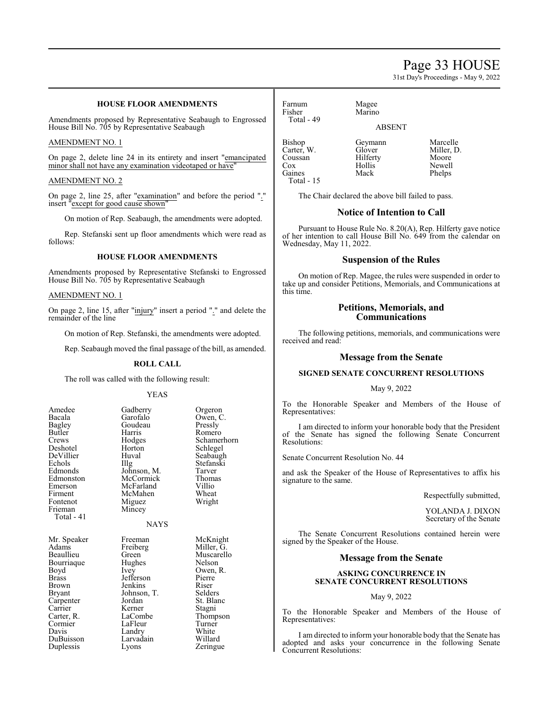## Page 33 HOUSE

31st Day's Proceedings - May 9, 2022

## **HOUSE FLOOR AMENDMENTS**

Amendments proposed by Representative Seabaugh to Engrossed House Bill No. 705 by Representative Seabaugh

## AMENDMENT NO. 1

On page 2, delete line 24 in its entirety and insert "emancipated minor shall not have any examination videotaped or have

## AMENDMENT NO. 2

On page 2, line 25, after "examination" and before the period "." insert "except for good cause shown"

On motion of Rep. Seabaugh, the amendments were adopted.

Rep. Stefanski sent up floor amendments which were read as follows:

## **HOUSE FLOOR AMENDMENTS**

Amendments proposed by Representative Stefanski to Engrossed House Bill No. 705 by Representative Seabaugh

## AMENDMENT NO. 1

On page 2, line 15, after "injury" insert a period "." and delete the remainder of the line

On motion of Rep. Stefanski, the amendments were adopted.

Rep. Seabaugh moved the final passage of the bill, as amended.

## **ROLL CALL**

The roll was called with the following result:

#### YEAS

| Amedee<br>Bacala<br>Bagley<br>Butler<br>Crews<br>Deshotel<br>DeVillier<br>Echols<br>Edmonds<br>Edmonston<br>Emerson<br>Firment<br>Fontenot<br>Frieman<br>Total - 41 | Gadberry<br>Garofalo<br>Goudeau<br>Harris<br>Hodges<br>Horton<br>Huval<br>$\prod_{i=1}^{n}$<br>Johnson, M.<br>McCormick<br>McFarland<br>McMahen<br>Miguez<br>Mincey<br><b>NAYS</b> | Orgeron<br>Owen, C.<br>Pressly<br>Romero<br>Schamerhorn<br>Schlegel<br>Seabaugh<br>Stefanski<br>Tarver<br>Thomas<br>Villio<br>Wheat<br>Wright |
|---------------------------------------------------------------------------------------------------------------------------------------------------------------------|------------------------------------------------------------------------------------------------------------------------------------------------------------------------------------|-----------------------------------------------------------------------------------------------------------------------------------------------|
| Mr. Speaker                                                                                                                                                         | Freeman                                                                                                                                                                            | McKnight                                                                                                                                      |
| Adams                                                                                                                                                               | Freiberg                                                                                                                                                                           | Miller, G.                                                                                                                                    |
| Beaullieu                                                                                                                                                           | Green                                                                                                                                                                              | Muscarello                                                                                                                                    |
| Bourriaque                                                                                                                                                          | Hughes                                                                                                                                                                             | Nelson                                                                                                                                        |
| Boyd                                                                                                                                                                | Ivey                                                                                                                                                                               | Owen, R.                                                                                                                                      |
| Brass                                                                                                                                                               | Jefferson                                                                                                                                                                          | Pierre                                                                                                                                        |
| Brown                                                                                                                                                               | Jenkins                                                                                                                                                                            | Riser                                                                                                                                         |
| Bryant                                                                                                                                                              | Johnson, T.                                                                                                                                                                        | Selders                                                                                                                                       |
| Carpenter                                                                                                                                                           | Jordan                                                                                                                                                                             | St. Blanc                                                                                                                                     |
| Carrier                                                                                                                                                             | Kerner                                                                                                                                                                             | Stagni                                                                                                                                        |
| Carter, R.                                                                                                                                                          | LaCombe                                                                                                                                                                            | Thompson                                                                                                                                      |
| Cormier                                                                                                                                                             | LaFleur                                                                                                                                                                            | Turner                                                                                                                                        |
| Davis                                                                                                                                                               | Landry                                                                                                                                                                             | White                                                                                                                                         |
| DuBuisson                                                                                                                                                           | Larvadain                                                                                                                                                                          | Willard                                                                                                                                       |
| Duplessis                                                                                                                                                           | Lyons                                                                                                                                                                              | Zeringue                                                                                                                                      |

Farnum Magee<br>Fisher Marino Total - 49

Marino ABSENT

Bishop Geymann Marcelle<br>Carter, W. Glover Miller, D. Carter, W. Glover Miller,<br>Coussan Hilferty Moore Coussan Hilferty<br>Cox Hollis Cox Hollis Newell<br>
Gaines Mack Phelps Total - 15

Phelps

The Chair declared the above bill failed to pass.

## **Notice of Intention to Call**

Pursuant to House Rule No. 8.20(A), Rep. Hilferty gave notice of her intention to call House Bill No. 649 from the calendar on Wednesday, May 11, 2022.

## **Suspension of the Rules**

On motion of Rep. Magee, the rules were suspended in order to take up and consider Petitions, Memorials, and Communications at this time.

## **Petitions, Memorials, and Communications**

The following petitions, memorials, and communications were received and read:

## **Message from the Senate**

## **SIGNED SENATE CONCURRENT RESOLUTIONS**

## May 9, 2022

To the Honorable Speaker and Members of the House of Representatives:

I am directed to inform your honorable body that the President of the Senate has signed the following Senate Concurrent Resolutions:

Senate Concurrent Resolution No. 44

and ask the Speaker of the House of Representatives to affix his signature to the same.

Respectfully submitted,

YOLANDA J. DIXON Secretary of the Senate

The Senate Concurrent Resolutions contained herein were signed by the Speaker of the House.

## **Message from the Senate**

## **ASKING CONCURRENCE IN SENATE CONCURRENT RESOLUTIONS**

## May 9, 2022

To the Honorable Speaker and Members of the House of Representatives:

I am directed to inform your honorable body that the Senate has adopted and asks your concurrence in the following Senate Concurrent Resolutions: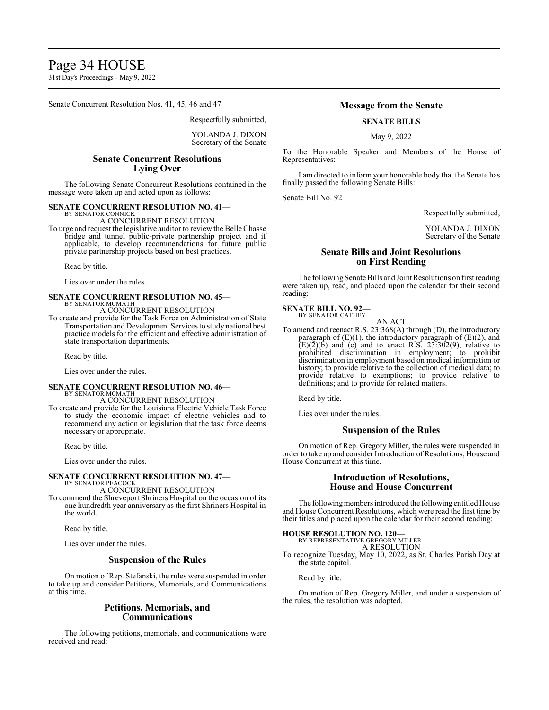## Page 34 HOUSE

31st Day's Proceedings - May 9, 2022

Senate Concurrent Resolution Nos. 41, 45, 46 and 47

Respectfully submitted,

YOLANDA J. DIXON Secretary of the Senate

## **Senate Concurrent Resolutions Lying Over**

The following Senate Concurrent Resolutions contained in the message were taken up and acted upon as follows:

## **SENATE CONCURRENT RESOLUTION NO. 41—**

BY SENATOR CONNICK A CONCURRENT RESOLUTION

To urge and request the legislative auditor to review the Belle Chasse bridge and tunnel public-private partnership project and if applicable, to develop recommendations for future public private partnership projects based on best practices.

Read by title.

Lies over under the rules.

## **SENATE CONCURRENT RESOLUTION NO. 45—** BY SENATOR MCMATH

A CONCURRENT RESOLUTION

To create and provide for the Task Force on Administration of State Transportation and Development Services to study national best practice models for the efficient and effective administration of state transportation departments.

Read by title.

Lies over under the rules.

## **SENATE CONCURRENT RESOLUTION NO. 46—** BY SENATOR MCMATH A CONCURRENT RESOLUTION

To create and provide for the Louisiana Electric Vehicle Task Force to study the economic impact of electric vehicles and to recommend any action or legislation that the task force deems necessary or appropriate.

Read by title.

Lies over under the rules.

#### **SENATE CONCURRENT RESOLUTION NO. 47—** BY SENATOR PEACOCK

A CONCURRENT RESOLUTION

To commend the Shreveport Shriners Hospital on the occasion of its one hundredth year anniversary as the first Shriners Hospital in the world.

Read by title.

Lies over under the rules.

## **Suspension of the Rules**

On motion of Rep. Stefanski, the rules were suspended in order to take up and consider Petitions, Memorials, and Communications at this time.

## **Petitions, Memorials, and Communications**

The following petitions, memorials, and communications were received and read:

## **Message from the Senate**

## **SENATE BILLS**

May 9, 2022

To the Honorable Speaker and Members of the House of Representatives:

I am directed to inform your honorable body that the Senate has finally passed the following Senate Bills:

Senate Bill No. 92

Respectfully submitted,

YOLANDA J. DIXON Secretary of the Senate

## **Senate Bills and Joint Resolutions on First Reading**

The following Senate Bills and Joint Resolutions on first reading were taken up, read, and placed upon the calendar for their second reading:

## **SENATE BILL NO. 92—** BY SENATOR CATHEY

AN ACT

To amend and reenact R.S. 23:368(A) through (D), the introductory paragraph of  $(E)(1)$ , the introductory paragraph of  $(E)(2)$ , and  $(E)(\overline{2})(\overline{b})$  and (c) and to enact R.S. 23:302(9), relative to prohibited discrimination in employment; to prohibit discrimination in employment based on medical information or history; to provide relative to the collection of medical data; to provide relative to exemptions; to provide relative to definitions; and to provide for related matters.

Read by title.

Lies over under the rules.

## **Suspension of the Rules**

On motion of Rep. Gregory Miller, the rules were suspended in order to take up and consider Introduction of Resolutions, House and House Concurrent at this time.

## **Introduction of Resolutions, House and House Concurrent**

The following members introduced the following entitled House and House Concurrent Resolutions, which were read the first time by their titles and placed upon the calendar for their second reading:

## **HOUSE RESOLUTION NO. 120—**

BY REPRESENTATIVE GREGORY MILLER A RESOLUTION

To recognize Tuesday, May 10, 2022, as St. Charles Parish Day at the state capitol.

Read by title.

On motion of Rep. Gregory Miller, and under a suspension of the rules, the resolution was adopted.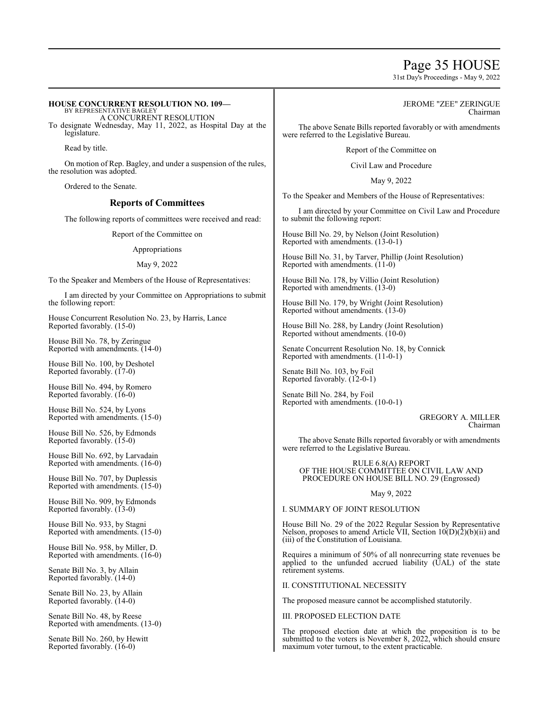## Page 35 HOUSE

31st Day's Proceedings - May 9, 2022

## **HOUSE CONCURRENT RESOLUTION NO. 109—**

BY REPRESENTATIVE BAGLEY A CONCURRENT RESOLUTION To designate Wednesday, May 11, 2022, as Hospital Day at the legislature.

Read by title.

On motion of Rep. Bagley, and under a suspension of the rules, the resolution was adopted.

Ordered to the Senate.

## **Reports of Committees**

The following reports of committees were received and read:

Report of the Committee on

Appropriations

May 9, 2022

To the Speaker and Members of the House of Representatives:

I am directed by your Committee on Appropriations to submit the following report:

House Concurrent Resolution No. 23, by Harris, Lance Reported favorably. (15-0)

House Bill No. 78, by Zeringue Reported with amendments. (14-0)

House Bill No. 100, by Deshotel Reported favorably. (17-0)

House Bill No. 494, by Romero Reported favorably. (16-0)

House Bill No. 524, by Lyons Reported with amendments. (15-0)

House Bill No. 526, by Edmonds Reported favorably. (15-0)

House Bill No. 692, by Larvadain Reported with amendments. (16-0)

House Bill No. 707, by Duplessis Reported with amendments. (15-0)

House Bill No. 909, by Edmonds Reported favorably. (13-0)

House Bill No. 933, by Stagni Reported with amendments. (15-0)

House Bill No. 958, by Miller, D. Reported with amendments. (16-0)

Senate Bill No. 3, by Allain Reported favorably. (14-0)

Senate Bill No. 23, by Allain Reported favorably. (14-0)

Senate Bill No. 48, by Reese Reported with amendments. (13-0)

Senate Bill No. 260, by Hewitt Reported favorably. (16-0)

## JEROME "ZEE" ZERINGUE Chairman

The above Senate Bills reported favorably or with amendments were referred to the Legislative Bureau.

Report of the Committee on

Civil Law and Procedure

May 9, 2022

To the Speaker and Members of the House of Representatives:

I am directed by your Committee on Civil Law and Procedure to submit the following report:

House Bill No. 29, by Nelson (Joint Resolution) Reported with amendments. (13-0-1)

House Bill No. 31, by Tarver, Phillip (Joint Resolution) Reported with amendments. (11-0)

House Bill No. 178, by Villio (Joint Resolution) Reported with amendments. (13-0)

House Bill No. 179, by Wright (Joint Resolution) Reported without amendments. (13-0)

House Bill No. 288, by Landry (Joint Resolution) Reported without amendments. (10-0)

Senate Concurrent Resolution No. 18, by Connick Reported with amendments. (11-0-1)

Senate Bill No. 103, by Foil Reported favorably. (12-0-1)

Senate Bill No. 284, by Foil Reported with amendments. (10-0-1)

> GREGORY A. MILLER Chairman

The above Senate Bills reported favorably or with amendments were referred to the Legislative Bureau.

RULE 6.8(A) REPORT OF THE HOUSE COMMITTEE ON CIVIL LAW AND PROCEDURE ON HOUSE BILL NO. 29 (Engrossed)

May 9, 2022

I. SUMMARY OF JOINT RESOLUTION

House Bill No. 29 of the 2022 Regular Session by Representative Nelson, proposes to amend Article VII, Section  $10(D)(2)(b)(ii)$  and (iii) of the Constitution of Louisiana.

Requires a minimum of 50% of all nonrecurring state revenues be applied to the unfunded accrued liability (UAL) of the state retirement systems.

II. CONSTITUTIONAL NECESSITY

The proposed measure cannot be accomplished statutorily.

III. PROPOSED ELECTION DATE

The proposed election date at which the proposition is to be submitted to the voters is November 8, 2022, which should ensure maximum voter turnout, to the extent practicable.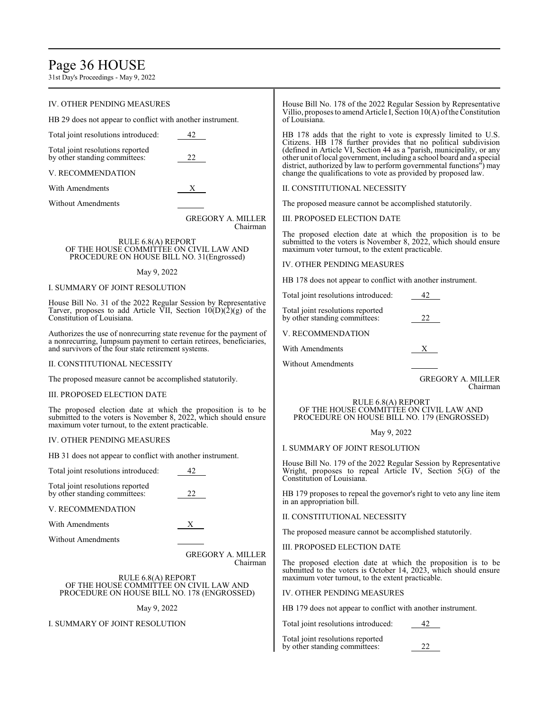# Page 36 HOUSE

31st Day's Proceedings - May 9, 2022

| IV. OTHER PENDING MEASURES                                                                                                                                                            |                                      | House Bill No. 178 of the 2022 Regular Session by Representative<br>Villio, proposes to amend Article I, Section $10(A)$ of the Constitution<br>of Louisiana.<br>HB 178 adds that the right to vote is expressly limited to U.S.<br>Citizens. HB 178 further provides that no political subdivision |  |
|---------------------------------------------------------------------------------------------------------------------------------------------------------------------------------------|--------------------------------------|-----------------------------------------------------------------------------------------------------------------------------------------------------------------------------------------------------------------------------------------------------------------------------------------------------|--|
| HB 29 does not appear to conflict with another instrument.                                                                                                                            |                                      |                                                                                                                                                                                                                                                                                                     |  |
| Total joint resolutions introduced:<br>42                                                                                                                                             |                                      |                                                                                                                                                                                                                                                                                                     |  |
| Total joint resolutions reported<br>by other standing committees:                                                                                                                     | 22                                   | (defined in Article VI, Section 44 as a "parish, municipality, or any<br>other unit of local government, including a school board and a special<br>district, authorized by law to perform governmental functions") may                                                                              |  |
| V. RECOMMENDATION                                                                                                                                                                     |                                      | change the qualifications to vote as provided by proposed law.                                                                                                                                                                                                                                      |  |
| With Amendments                                                                                                                                                                       | $X_{-}$                              | II. CONSTITUTIONAL NECESSITY                                                                                                                                                                                                                                                                        |  |
| <b>Without Amendments</b>                                                                                                                                                             |                                      | The proposed measure cannot be accomplished statutorily.                                                                                                                                                                                                                                            |  |
|                                                                                                                                                                                       | <b>GREGORY A. MILLER</b><br>Chairman | III. PROPOSED ELECTION DATE                                                                                                                                                                                                                                                                         |  |
| RULE 6.8(A) REPORT<br>OF THE HOUSE COMMITTEE ON CIVIL LAW AND<br>PROCEDURE ON HOUSE BILL NO. 31 (Engrossed)                                                                           |                                      | The proposed election date at which the proposition is to be<br>submitted to the voters is November 8, 2022, which should ensure<br>maximum voter turnout, to the extent practicable.                                                                                                               |  |
| May 9, 2022                                                                                                                                                                           |                                      | IV. OTHER PENDING MEASURES                                                                                                                                                                                                                                                                          |  |
| I. SUMMARY OF JOINT RESOLUTION                                                                                                                                                        |                                      | HB 178 does not appear to conflict with another instrument.                                                                                                                                                                                                                                         |  |
|                                                                                                                                                                                       |                                      | Total joint resolutions introduced:<br>42                                                                                                                                                                                                                                                           |  |
| House Bill No. 31 of the 2022 Regular Session by Representative<br>Tarver, proposes to add Article VII, Section $10(D)(2)(g)$ of the<br>Constitution of Louisiana.                    |                                      | Total joint resolutions reported<br>22<br>by other standing committees:                                                                                                                                                                                                                             |  |
| Authorizes the use of nonrecurring state revenue for the payment of                                                                                                                   |                                      | V. RECOMMENDATION                                                                                                                                                                                                                                                                                   |  |
| a nonrecurring, lumpsum payment to certain retirees, beneficiaries,<br>and survivors of the four state retirement systems.                                                            |                                      | With Amendments<br>X                                                                                                                                                                                                                                                                                |  |
| II. CONSTITUTIONAL NECESSITY                                                                                                                                                          |                                      | <b>Without Amendments</b>                                                                                                                                                                                                                                                                           |  |
| The proposed measure cannot be accomplished statutorily.                                                                                                                              |                                      | <b>GREGORY A. MILLER</b>                                                                                                                                                                                                                                                                            |  |
| III. PROPOSED ELECTION DATE                                                                                                                                                           |                                      | Chairman                                                                                                                                                                                                                                                                                            |  |
| The proposed election date at which the proposition is to be<br>submitted to the voters is November 8, 2022, which should ensure<br>maximum voter turnout, to the extent practicable. |                                      | RULE 6.8(A) REPORT<br>OF THE HOUSE COMMITTEE ON CIVIL LAW AND<br>PROCEDURE ON HOUSE BILL NO. 179 (ENGROSSED)                                                                                                                                                                                        |  |
| IV. OTHER PENDING MEASURES                                                                                                                                                            |                                      | May 9, 2022                                                                                                                                                                                                                                                                                         |  |
|                                                                                                                                                                                       |                                      | I. SUMMARY OF JOINT RESOLUTION                                                                                                                                                                                                                                                                      |  |
| HB 31 does not appear to conflict with another instrument.<br>Total joint resolutions introduced:<br>42                                                                               |                                      | House Bill No. 179 of the 2022 Regular Session by Representative<br>Wright, proposes to repeal Article IV, Section 5(G) of the                                                                                                                                                                      |  |
| Total joint resolutions reported                                                                                                                                                      |                                      | Constitution of Louisiana.                                                                                                                                                                                                                                                                          |  |
| by other standing committees:                                                                                                                                                         | 22                                   | HB 179 proposes to repeal the governor's right to veto any line item<br>in an appropriation bill.                                                                                                                                                                                                   |  |
| V. RECOMMENDATION                                                                                                                                                                     |                                      | II. CONSTITUTIONAL NECESSITY                                                                                                                                                                                                                                                                        |  |
| With Amendments                                                                                                                                                                       | X —                                  | The proposed measure cannot be accomplished statutorily.                                                                                                                                                                                                                                            |  |
| <b>Without Amendments</b>                                                                                                                                                             |                                      | III. PROPOSED ELECTION DATE                                                                                                                                                                                                                                                                         |  |
| RULE 6.8(A) REPORT                                                                                                                                                                    | <b>GREGORY A. MILLER</b><br>Chairman | The proposed election date at which the proposition is to be<br>submitted to the voters is October 14, 2023, which should ensure<br>maximum voter turnout, to the extent practicable.                                                                                                               |  |
| OF THE HOUSE COMMITTEE ON CIVIL LAW AND<br>PROCEDURE ON HOUSE BILL NO. 178 (ENGROSSED)                                                                                                |                                      | IV. OTHER PENDING MEASURES                                                                                                                                                                                                                                                                          |  |
|                                                                                                                                                                                       |                                      |                                                                                                                                                                                                                                                                                                     |  |
| May 9, 2022                                                                                                                                                                           |                                      | HB 179 does not appear to conflict with another instrument.                                                                                                                                                                                                                                         |  |
| I. SUMMARY OF JOINT RESOLUTION                                                                                                                                                        |                                      | Total joint resolutions introduced:<br>42                                                                                                                                                                                                                                                           |  |
|                                                                                                                                                                                       |                                      |                                                                                                                                                                                                                                                                                                     |  |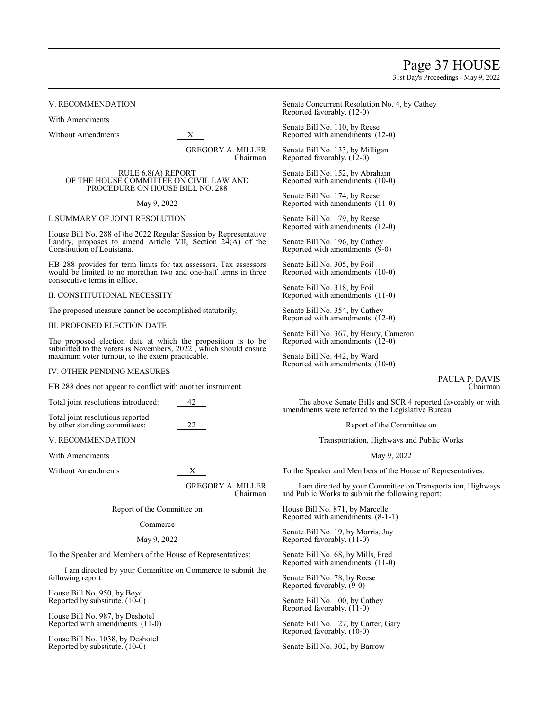# Page 37 HOUSE

31st Day's Proceedings - May 9, 2022

| V. RECOMMENDATION                                                                                                                                                                    |                                      | Senate Concurrent Resolution No. 4, by Cathey<br>Reported favorably. (12-0)                                        |  |
|--------------------------------------------------------------------------------------------------------------------------------------------------------------------------------------|--------------------------------------|--------------------------------------------------------------------------------------------------------------------|--|
| With Amendments<br><b>Without Amendments</b>                                                                                                                                         | X                                    | Senate Bill No. 110, by Reese<br>Reported with amendments. (12-0)                                                  |  |
|                                                                                                                                                                                      | <b>GREGORY A. MILLER</b><br>Chairman | Senate Bill No. 133, by Milligan<br>Reported favorably. (12-0)                                                     |  |
| RULE 6.8(A) REPORT<br>OF THE HOUSE COMMITTEE ON CIVIL LAW AND                                                                                                                        |                                      | Senate Bill No. 152, by Abraham<br>Reported with amendments. (10-0)                                                |  |
| PROCEDURE ON HOUSE BILL NO. 288<br>May 9, 2022                                                                                                                                       |                                      | Senate Bill No. 174, by Reese<br>Reported with amendments. (11-0)                                                  |  |
| I. SUMMARY OF JOINT RESOLUTION                                                                                                                                                       |                                      | Senate Bill No. 179, by Reese                                                                                      |  |
| House Bill No. 288 of the 2022 Regular Session by Representative                                                                                                                     |                                      | Reported with amendments. (12-0)                                                                                   |  |
| Landry, proposes to amend Article VII, Section $24(A)$ of the<br>Constitution of Louisiana.                                                                                          |                                      | Senate Bill No. 196, by Cathey<br>Reported with amendments. (9-0)                                                  |  |
| HB 288 provides for term limits for tax assessors. Tax assessors<br>would be limited to no more than two and one-half terms in three                                                 |                                      | Senate Bill No. 305, by Foil<br>Reported with amendments. (10-0)                                                   |  |
| consecutive terms in office.<br>II. CONSTITUTIONAL NECESSITY                                                                                                                         |                                      | Senate Bill No. 318, by Foil<br>Reported with amendments. (11-0)                                                   |  |
| The proposed measure cannot be accomplished statutorily.                                                                                                                             |                                      | Senate Bill No. 354, by Cathey<br>Reported with amendments. (12-0)                                                 |  |
| III. PROPOSED ELECTION DATE                                                                                                                                                          |                                      |                                                                                                                    |  |
| The proposed election date at which the proposition is to be<br>submitted to the voters is November8, 2022, which should ensure<br>maximum voter turnout, to the extent practicable. |                                      | Senate Bill No. 367, by Henry, Cameron<br>Reported with amendments. (12-0)                                         |  |
|                                                                                                                                                                                      |                                      | Senate Bill No. 442, by Ward<br>Reported with amendments. (10-0)                                                   |  |
| IV. OTHER PENDING MEASURES                                                                                                                                                           |                                      | PAULA P. DAVIS                                                                                                     |  |
| HB 288 does not appear to conflict with another instrument.                                                                                                                          |                                      | Chairman                                                                                                           |  |
| Total joint resolutions introduced:                                                                                                                                                  | 42                                   | The above Senate Bills and SCR 4 reported favorably or with<br>amendments were referred to the Legislative Bureau. |  |
| Total joint resolutions reported<br>by other standing committees:                                                                                                                    | 22                                   | Report of the Committee on                                                                                         |  |
| V. RECOMMENDATION                                                                                                                                                                    |                                      | Transportation, Highways and Public Works                                                                          |  |
| With Amendments                                                                                                                                                                      |                                      | May 9, 2022                                                                                                        |  |
| <b>Without Amendments</b>                                                                                                                                                            | $X -$                                | To the Speaker and Members of the House of Representatives:                                                        |  |
|                                                                                                                                                                                      | <b>GREGORY A. MILLER</b><br>Chairman | I am directed by your Committee on Transportation, Highways<br>and Public Works to submit the following report:    |  |
| Report of the Committee on                                                                                                                                                           |                                      | House Bill No. 871, by Marcelle<br>Reported with amendments. (8-1-1)                                               |  |
| Commerce                                                                                                                                                                             |                                      | Senate Bill No. 19, by Morris, Jay                                                                                 |  |
| May 9, 2022                                                                                                                                                                          |                                      | Reported favorably. (11-0)                                                                                         |  |
| To the Speaker and Members of the House of Representatives:                                                                                                                          |                                      | Senate Bill No. 68, by Mills, Fred<br>Reported with amendments. (11-0)                                             |  |
| I am directed by your Committee on Commerce to submit the<br>following report:                                                                                                       |                                      | Senate Bill No. 78, by Reese<br>Reported favorably. (9-0)                                                          |  |
| House Bill No. 950, by Boyd<br>Reported by substitute. (10-0)                                                                                                                        |                                      | Senate Bill No. 100, by Cathey<br>Reported favorably. (11-0)                                                       |  |
| House Bill No. 987, by Deshotel<br>Reported with amendments. (11-0)                                                                                                                  |                                      | Senate Bill No. 127, by Carter, Gary                                                                               |  |

Reported favorably. (10-0) Senate Bill No. 302, by Barrow

House Bill No. 1038, by Deshotel Reported by substitute. (10-0)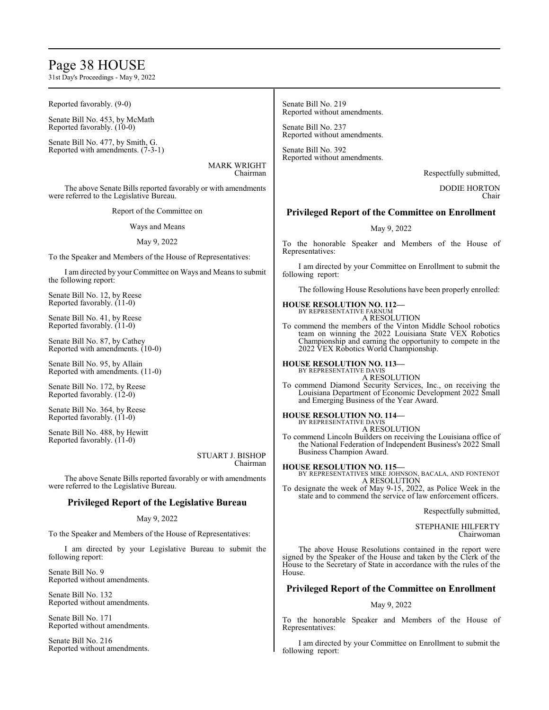## Page 38 HOUSE

31st Day's Proceedings - May 9, 2022

Reported favorably. (9-0)

Senate Bill No. 453, by McMath Reported favorably. (10-0)

Senate Bill No. 477, by Smith, G. Reported with amendments. (7-3-1)

> MARK WRIGHT Chairman

The above Senate Bills reported favorably or with amendments were referred to the Legislative Bureau.

Report of the Committee on

Ways and Means

## May 9, 2022

To the Speaker and Members of the House of Representatives:

I am directed by your Committee on Ways and Means to submit the following report:

Senate Bill No. 12, by Reese Reported favorably. (11-0)

Senate Bill No. 41, by Reese Reported favorably. (11-0)

Senate Bill No. 87, by Cathey Reported with amendments. (10-0)

Senate Bill No. 95, by Allain Reported with amendments. (11-0)

Senate Bill No. 172, by Reese Reported favorably. (12-0)

Senate Bill No. 364, by Reese Reported favorably. (11-0)

Senate Bill No. 488, by Hewitt Reported favorably. (11-0)

> STUART J. BISHOP Chairman

The above Senate Bills reported favorably or with amendments were referred to the Legislative Bureau.

## **Privileged Report of the Legislative Bureau**

## May 9, 2022

To the Speaker and Members of the House of Representatives:

I am directed by your Legislative Bureau to submit the following report:

Senate Bill No. 9 Reported without amendments.

Senate Bill No. 132 Reported without amendments.

Senate Bill No. 171 Reported without amendments.

Senate Bill No. 216 Reported without amendments.

Senate Bill No. 219 Reported without amendments.

Senate Bill No. 237 Reported without amendments.

Senate Bill No. 392 Reported without amendments.

Respectfully submitted,

DODIE HORTON Chair

## **Privileged Report of the Committee on Enrollment**

May 9, 2022

To the honorable Speaker and Members of the House of Representatives:

I am directed by your Committee on Enrollment to submit the following report:

The following House Resolutions have been properly enrolled:

**HOUSE RESOLUTION NO. 112—**

BY REPRESENTATIVE FARNUM A RESOLUTION

To commend the members of the Vinton Middle School robotics team on winning the 2022 Louisiana State VEX Robotics Championship and earning the opportunity to compete in the 2022 VEX Robotics World Championship.

**HOUSE RESOLUTION NO. 113—**

BY REPRESENTATIVE DAVIS A RESOLUTION

To commend Diamond Security Services, Inc., on receiving the Louisiana Department of Economic Development 2022 Small and Emerging Business of the Year Award.

**HOUSE RESOLUTION NO. 114—** BY REPRESENTATIVE DAVIS

A RESOLUTION

To commend Lincoln Builders on receiving the Louisiana office of the National Federation of Independent Business's 2022 Small Business Champion Award.

**HOUSE RESOLUTION NO. 115—** BY REPRESENTATIVES MIKE JOHNSON, BACALA, AND FONTENOT A RESOLUTION

To designate the week of May 9-15, 2022, as Police Week in the state and to commend the service of law enforcement officers.

Respectfully submitted,

STEPHANIE HILFERTY Chairwoman

The above House Resolutions contained in the report were signed by the Speaker of the House and taken by the Clerk of the House to the Secretary of State in accordance with the rules of the House.

## **Privileged Report of the Committee on Enrollment**

## May 9, 2022

To the honorable Speaker and Members of the House of Representatives:

I am directed by your Committee on Enrollment to submit the following report: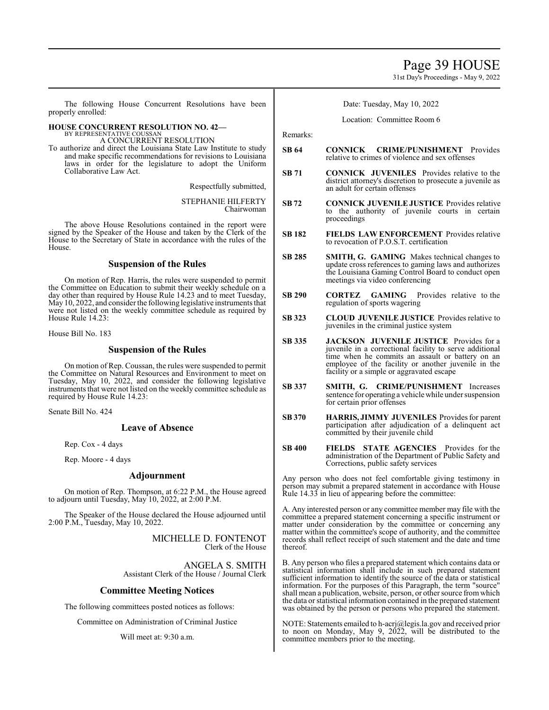## Page 39 HOUSE

31st Day's Proceedings - May 9, 2022

The following House Concurrent Resolutions have been properly enrolled:

## **HOUSE CONCURRENT RESOLUTION NO. 42—** BY REPRESENTATIVE COUSSA

A CONCURRENT RESOLUTION

To authorize and direct the Louisiana State Law Institute to study and make specific recommendations for revisions to Louisiana laws in order for the legislature to adopt the Uniform Collaborative Law Act.

Respectfully submitted,

STEPHANIE HILFERTY Chairwoman

The above House Resolutions contained in the report were signed by the Speaker of the House and taken by the Clerk of the House to the Secretary of State in accordance with the rules of the House.

## **Suspension of the Rules**

On motion of Rep. Harris, the rules were suspended to permit the Committee on Education to submit their weekly schedule on a day other than required by House Rule 14.23 and to meet Tuesday, May 10, 2022, and consider the following legislative instruments that were not listed on the weekly committee schedule as required by House Rule 14.23:

House Bill No. 183

## **Suspension of the Rules**

On motion of Rep. Coussan, the rules were suspended to permit the Committee on Natural Resources and Environment to meet on Tuesday, May 10, 2022, and consider the following legislative instruments that were not listed on the weekly committee schedule as required by House Rule 14.23:

Senate Bill No. 424

## **Leave of Absence**

Rep. Cox - 4 days

Rep. Moore - 4 days

## **Adjournment**

On motion of Rep. Thompson, at 6:22 P.M., the House agreed to adjourn until Tuesday, May 10, 2022, at  $2:00 \text{ P.M.}$ 

The Speaker of the House declared the House adjourned until 2:00 P.M., Tuesday, May 10, 2022.

> MICHELLE D. FONTENOT Clerk of the House

ANGELA S. SMITH Assistant Clerk of the House / Journal Clerk

## **Committee Meeting Notices**

The following committees posted notices as follows:

Committee on Administration of Criminal Justice

Will meet at: 9:30 a.m.

Date: Tuesday, May 10, 2022

## Location: Committee Room 6

Remarks:

- **SB 64 CONNICK CRIME/PUNISHMENT** Provides relative to crimes of violence and sex offenses
- **SB 71 CONNICK JUVENILES** Provides relative to the district attorney's discretion to prosecute a juvenile as an adult for certain offenses
- **SB 72 CONNICK JUVENILE JUSTICE** Provides relative to the authority of juvenile courts in certain proceedings
- **SB 182 FIELDS LAW ENFORCEMENT** Provides relative to revocation of P.O.S.T. certification
- **SB 285 SMITH, G. GAMING** Makes technical changes to update cross references to gaming laws and authorizes the Louisiana Gaming Control Board to conduct open meetings via video conferencing
- **SB 290 CORTEZ GAMING** Provides relative to the regulation of sports wagering
- **SB 323 CLOUD JUVENILE JUSTICE** Provides relative to juveniles in the criminal justice system
- **SB 335 JACKSON JUVENILE JUSTICE** Provides for a juvenile in a correctional facility to serve additional time when he commits an assault or battery on an employee of the facility or another juvenile in the facility or a simple or aggravated escape
- **SB 337 SMITH, G. CRIME/PUNISHMENT** Increases sentence for operating a vehicle while under suspension for certain prior offenses
- **SB 370 HARRIS, JIMMY JUVENILES** Provides for parent participation after adjudication of a delinquent act committed by their juvenile child
- **SB 400 FIELDS STATE AGENCIES** Provides for the administration of the Department of Public Safety and Corrections, public safety services

Any person who does not feel comfortable giving testimony in person may submit a prepared statement in accordance with House Rule 14.33 in lieu of appearing before the committee:

A. Any interested person or any committee member may file with the committee a prepared statement concerning a specific instrument or matter under consideration by the committee or concerning any matter within the committee's scope of authority, and the committee records shall reflect receipt of such statement and the date and time thereof.

B. Any person who files a prepared statement which contains data or statistical information shall include in such prepared statement sufficient information to identify the source of the data or statistical information. For the purposes of this Paragraph, the term "source" shall mean a publication, website, person, or other source fromwhich the data or statistical information contained in the prepared statement was obtained by the person or persons who prepared the statement.

NOTE: Statements emailed to h-acrj@legis.la.gov and received prior to noon on Monday, May 9,  $2022$ , will be distributed to the committee members prior to the meeting.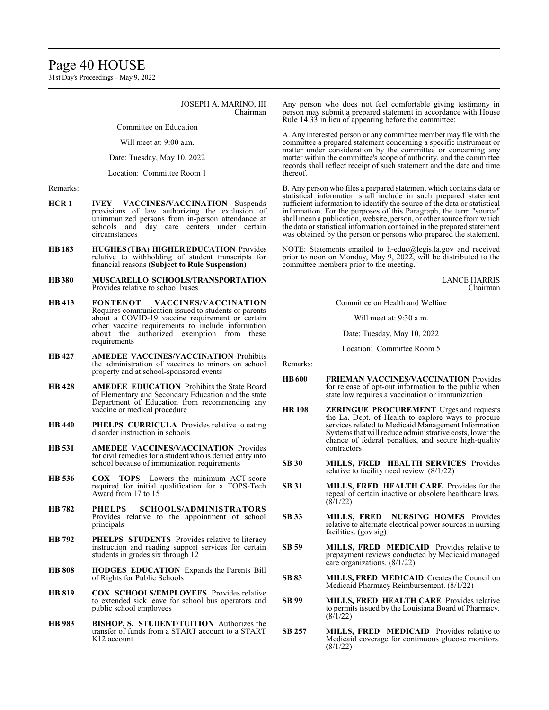## Page 40 HOUSE

31st Day's Proceedings - May 9, 2022

JOSEPH A. MARINO, III Chairman

Committee on Education

Will meet at: 9:00 a.m.

Date: Tuesday, May 10, 2022

Location: Committee Room 1

Remarks:

- **HCR 1 IVEY VACCINES/VACCINATION** Suspends provisions of law authorizing the exclusion of unimmunized persons from in-person attendance at schools and day care centers under certain circumstances
- **HB 183 HUGHES (TBA) HIGHER EDUCATION** Provides relative to withholding of student transcripts for financial reasons **(Subject to Rule Suspension)**
- **HB380 MUSCARELLO SCHOOLS/TRANSPORTATION** Provides relative to school buses
- **HB 413 FONTENOT VACCINES/VACCINATION**  Requires communication issued to students or parents about a COVID-19 vaccine requirement or certain other vaccine requirements to include information about the authorized exemption from these requirements
- **HB 427 AMEDEE VACCINES/VACCINATION** Prohibits the administration of vaccines to minors on school property and at school-sponsored events
- **HB 428 AMEDEE EDUCATION** Prohibits the State Board of Elementary and Secondary Education and the state Department of Education from recommending any vaccine or medical procedure
- **HB 440 PHELPS CURRICULA** Provides relative to eating disorder instruction in schools
- **HB 531 AMEDEE VACCINES/VACCINATION** Provides for civil remedies for a student who is denied entry into school because of immunization requirements
- **HB 536 COX TOPS** Lowers the minimum ACT score required for initial qualification for a TOPS-Tech Award from 17 to 15
- **HB 782 PHELPS SCHOOLS/ADMINISTRATORS**  Provides relative to the appointment of school principals
- **HB 792 PHELPS STUDENTS** Provides relative to literacy instruction and reading support services for certain students in grades six through 12
- **HB 808 HODGES EDUCATION** Expands the Parents' Bill of Rights for Public Schools
- **HB 819 COX SCHOOLS/EMPLOYEES** Provides relative to extended sick leave for school bus operators and public school employees
- **HB 983 BISHOP, S. STUDENT/TUITION** Authorizes the transfer of funds from a START account to a START K12 account

Any person who does not feel comfortable giving testimony in person may submit a prepared statement in accordance with House Rule 14.33 in lieu of appearing before the committee:

A. Any interested person or any committee member may file with the committee a prepared statement concerning a specific instrument or matter under consideration by the committee or concerning any matter within the committee's scope of authority, and the committee records shall reflect receipt of such statement and the date and time thereof.

B. Any person who files a prepared statement which contains data or statistical information shall include in such prepared statement sufficient information to identify the source of the data or statistical information. For the purposes of this Paragraph, the term "source" shall mean a publication, website, person, or other source fromwhich the data or statistical information contained in the prepared statement was obtained by the person or persons who prepared the statement.

NOTE: Statements emailed to h-educ@legis.la.gov and received prior to noon on Monday, May 9, 2022, will be distributed to the committee members prior to the meeting.

> LANCE HARRIS Chairman

Committee on Health and Welfare

Will meet at: 9:30 a.m.

Date: Tuesday, May 10, 2022

Location: Committee Room 5

Remarks:

- **HB600 FRIEMAN VACCINES/VACCINATION** Provides for release of opt-out information to the public when state law requires a vaccination or immunization
- **HR 108 ZERINGUE PROCUREMENT** Urges and requests the La. Dept. of Health to explore ways to procure services related to Medicaid Management Information Systems that will reduce administrative costs, lower the chance of federal penalties, and secure high-quality contractors
- **SB 30 MILLS, FRED HEALTH SERVICES** Provides relative to facility need review. (8/1/22)
- **SB 31 MILLS, FRED HEALTH CARE** Provides for the repeal of certain inactive or obsolete healthcare laws.  $(8/1/22)$
- **SB 33 MILLS, FRED NURSING HOMES** Provides relative to alternate electrical power sources in nursing facilities. (gov sig)
- **SB 59 MILLS, FRED MEDICAID** Provides relative to prepayment reviews conducted by Medicaid managed care organizations. (8/1/22)
- **SB 83 MILLS, FRED MEDICAID** Creates the Council on Medicaid Pharmacy Reimbursement. (8/1/22)
- **SB 99 MILLS, FRED HEALTH CARE** Provides relative to permits issued by the Louisiana Board of Pharmacy.  $(8/1/22)$
- **SB 257 MILLS, FRED MEDICAID** Provides relative to Medicaid coverage for continuous glucose monitors. (8/1/22)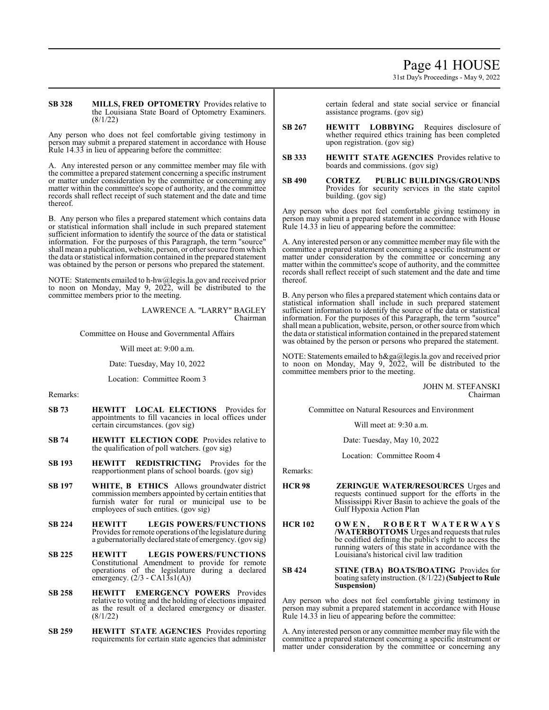# Page 41 HOUSE

31st Day's Proceedings - May 9, 2022

#### **SB 328 MILLS, FRED OPTOMETRY** Provides relative to the Louisiana State Board of Optometry Examiners. (8/1/22)

Any person who does not feel comfortable giving testimony in person may submit a prepared statement in accordance with House Rule 14.33 in lieu of appearing before the committee:

A. Any interested person or any committee member may file with the committee a prepared statement concerning a specific instrument or matter under consideration by the committee or concerning any matter within the committee's scope of authority, and the committee records shall reflect receipt of such statement and the date and time thereof.

B. Any person who files a prepared statement which contains data or statistical information shall include in such prepared statement sufficient information to identify the source of the data or statistical information. For the purposes of this Paragraph, the term "source" shall mean a publication, website, person, or other source fromwhich the data or statistical information contained in the prepared statement was obtained by the person or persons who prepared the statement.

NOTE: Statements emailed to h-hw@legis.la.gov and received prior to noon on Monday, May 9, 2022, will be distributed to the committee members prior to the meeting.

> LAWRENCE A. "LARRY" BAGLEY Chairman

Committee on House and Governmental Affairs

Will meet at: 9:00 a.m.

Date: Tuesday, May 10, 2022

Location: Committee Room 3

Remarks:

- **SB 73 HEWITT LOCAL ELECTIONS** Provides for appointments to fill vacancies in local offices under certain circumstances. (gov sig)
- **SB 74 HEWITT ELECTION CODE** Provides relative to the qualification of poll watchers. (gov sig)
- **SB 193 HEWITT REDISTRICTING** Provides for the reapportionment plans of school boards. (gov sig)
- **SB 197 WHITE, B ETHICS** Allows groundwater district commission members appointed by certain entities that furnish water for rural or municipal use to be employees of such entities. (gov sig)
- **SB 224 HEWITT LEGIS POWERS/FUNCTIONS**  Provides for remote operations of the legislature during a gubernatorially declared state of emergency. (gov sig)
- **SB 225 HEWITT LEGIS POWERS/FUNCTIONS**  Constitutional Amendment to provide for remote operations of the legislature during a declared emergency.  $(2/3 - CA1\overline{3}sl(A))$
- **SB 258 HEWITT EMERGENCY POWERS** Provides relative to voting and the holding of elections impaired as the result of a declared emergency or disaster. (8/1/22)
- **SB 259 HEWITT STATE AGENCIES** Provides reporting requirements for certain state agencies that administer

certain federal and state social service or financial assistance programs. (gov sig)

- **SB 267 HEWITT LOBBYING** Requires disclosure of whether required ethics training has been completed upon registration. (gov sig)
- **SB 333 HEWITT STATE AGENCIES** Provides relative to boards and commissions. (gov sig)
- **SB 490 CORTEZ PUBLIC BUILDINGS/GROUNDS**  Provides for security services in the state capitol building. (gov sig)

Any person who does not feel comfortable giving testimony in person may submit a prepared statement in accordance with House Rule 14.33 in lieu of appearing before the committee:

A. Any interested person or any committee member may file with the committee a prepared statement concerning a specific instrument or matter under consideration by the committee or concerning any matter within the committee's scope of authority, and the committee records shall reflect receipt of such statement and the date and time thereof.

B. Any person who files a prepared statement which contains data or statistical information shall include in such prepared statement sufficient information to identify the source of the data or statistical information. For the purposes of this Paragraph, the term "source" shall mean a publication, website, person, or other source fromwhich the data or statistical information contained in the prepared statement was obtained by the person or persons who prepared the statement.

NOTE: Statements emailed to h&ga@legis.la.gov and received prior to noon on Monday, May 9, 2022, will be distributed to the committee members prior to the meeting.

> JOHN M. STEFANSKI Chairman

Committee on Natural Resources and Environment

Will meet at: 9:30 a.m.

Date: Tuesday, May 10, 2022

Location: Committee Room 4

Remarks:

- **HCR 98 ZERINGUE WATER/RESOURCES** Urges and requests continued support for the efforts in the Mississippi River Basin to achieve the goals of the Gulf Hypoxia Action Plan
- **HCR 102 O W E N , R O B E R T W A T E R W A Y S /WATERBOTTOMS** Urges and requests that rules be codified defining the public's right to access the running waters of this state in accordance with the Louisiana's historical civil law tradition
- **SB 424 STINE (TBA) BOATS/BOATING** Provides for boating safety instruction. (8/1/22)**(Subject to Rule Suspension)**

Any person who does not feel comfortable giving testimony in person may submit a prepared statement in accordance with House Rule 14.33 in lieu of appearing before the committee:

A. Any interested person or any committee member may file with the committee a prepared statement concerning a specific instrument or matter under consideration by the committee or concerning any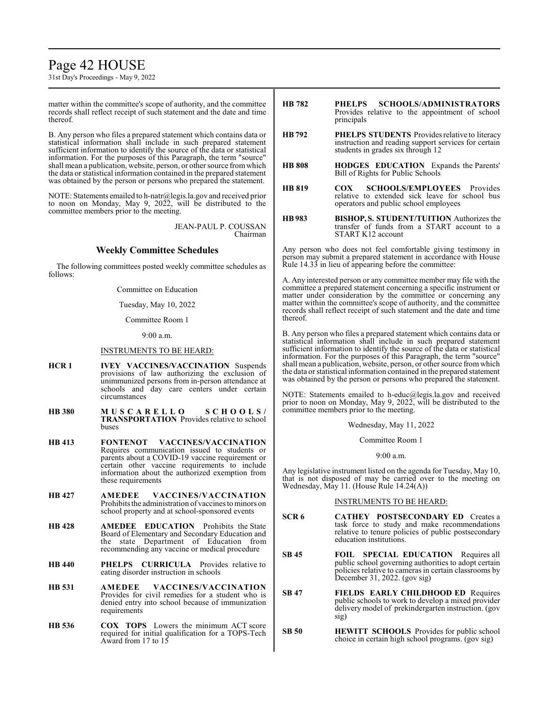## Page 42 HOUSE

31st Day's Proceedings - May 9, 2022

matter within the committee's scope of authority, and the committee records shall reflect receipt of such statement and the date and time thereof.

B. Any person who files a prepared statement which contains data or statistical information shall include in such prepared statement sufficient information to identify the source of the data or statistical information. For the purposes of this Paragraph, the term "source" shall mean a publication, website, person, or other source fromwhich the data or statistical information contained in the prepared statement was obtained by the person or persons who prepared the statement.

NOTE: Statements emailed to h-natr@legis.la.gov and received prior to noon on Monday, May 9, 2022, will be distributed to the committee members prior to the meeting.

> JEAN-PAUL P. COUSSAN Chairman

## **Weekly Committee Schedules**

The following committees posted weekly committee schedules as follows:

Committee on Education

Tuesday, May 10, 2022

Committee Room 1

9:00 a.m.

## INSTRUMENTS TO BE HEARD:

- **HCR 1 IVEY VACCINES/VACCINATION** Suspends provisions of law authorizing the exclusion of unimmunized persons from in-person attendance at schools and day care centers under certain circumstances
- **HB 380 M U S C A R E L L O S C H O O L S / TRANSPORTATION** Provides relative to school buses
- **HB 413 FONTENOT VACCINES/VACCINATION** Requires communication issued to students or parents about a COVID-19 vaccine requirement or certain other vaccine requirements to include information about the authorized exemption from these requirements
- **HB 427 AMEDEE VACCINES/VACCINATION** Prohibits the administration of vaccines to minors on school property and at school-sponsored events
- **HB 428 AMEDEE EDUCATION** Prohibits the State Board of Elementary and Secondary Education and the state Department of Education from recommending any vaccine or medical procedure
- **HB 440 PHELPS CURRICULA** Provides relative to eating disorder instruction in schools
- **HB 531 AMEDEE VACCINES/VACCINATION** Provides for civil remedies for a student who is denied entry into school because of immunization requirements
- **HB 536 COX TOPS** Lowers the minimum ACT score required for initial qualification for a TOPS-Tech Award from 17 to 15
- **HB 782 PHELPS SCHOOLS/ADMINISTRATORS** Provides relative to the appointment of school principals
- **HB 792 PHELPS STUDENTS** Provides relative to literacy instruction and reading support services for certain students in grades six through 12
- **HB 808 HODGES EDUCATION** Expands the Parents' Bill of Rights for Public Schools
- **HB 819 COX SCHOOLS/EMPLOYEES** Provides relative to extended sick leave for school bus operators and public school employees
- **HB983 BISHOP,S. STUDENT/TUITION** Authorizes the transfer of funds from a START account to a START K12 account

Any person who does not feel comfortable giving testimony in person may submit a prepared statement in accordance with House Rule 14.33 in lieu of appearing before the committee:

A. Any interested person or any committee member may file with the committee a prepared statement concerning a specific instrument or matter under consideration by the committee or concerning any matter within the committee's scope of authority, and the committee records shall reflect receipt of such statement and the date and time thereof.

B. Any person who files a prepared statement which contains data or statistical information shall include in such prepared statement sufficient information to identify the source of the data or statistical information. For the purposes of this Paragraph, the term "source" shall mean a publication, website, person, or other source fromwhich the data or statistical information contained in the prepared statement was obtained by the person or persons who prepared the statement.

NOTE: Statements emailed to h-educ@legis.la.gov and received prior to noon on Monday, May 9, 2022, will be distributed to the committee members prior to the meeting.

Wednesday, May 11, 2022

Committee Room 1

9:00 a.m.

Any legislative instrument listed on the agenda for Tuesday, May 10, that is not disposed of may be carried over to the meeting on Wednesday, May 11. (House Rule 14.24(A))

## INSTRUMENTS TO BE HEARD:

- **SCR 6 CATHEY POSTSECONDARY ED** Creates a task force to study and make recommendations relative to tenure policies of public postsecondary education institutions.
- **SB 45 FOIL SPECIAL EDUCATION** Requires all public school governing authorities to adopt certain policies relative to cameras in certain classrooms by December 31, 2022. (gov sig)
- **SB 47 FIELDS EARLY CHILDHOOD ED** Requires public schools to work to develop a mixed provider delivery model of prekindergarten instruction. (gov sig)
- **SB 50 HEWITT SCHOOLS** Provides for public school choice in certain high school programs. (gov sig)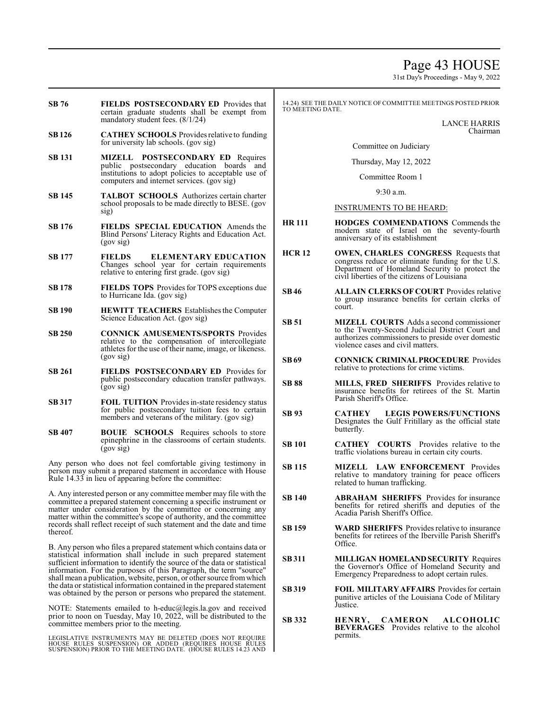## Page 43 HOUSE

31st Day's Proceedings - May 9, 2022

- **SB 76 FIELDS POSTSECONDARY ED** Provides that certain graduate students shall be exempt from mandatory student fees. (8/1/24)
- **SB126 CATHEY SCHOOLS** Provides relative to funding for university lab schools. (gov sig)
- **SB 131 MIZELL POSTSECONDARY ED** Requires public postsecondary education boards and institutions to adopt policies to acceptable use of computers and internet services. (gov sig)
- **SB 145 TALBOT SCHOOLS** Authorizes certain charter school proposals to be made directly to BESE. (gov sig)
- **SB 176 FIELDS SPECIAL EDUCATION** Amends the Blind Persons' Literacy Rights and Education Act. (gov sig)
- **SB 177 FIELDS ELEMENTARY EDUCATION** Changes school year for certain requirements relative to entering first grade. (gov sig)
- **SB 178 FIELDS TOPS** Provides for TOPS exceptions due to Hurricane Ida. (gov sig)
- **SB 190 HEWITT TEACHERS** Establishes the Computer Science Education Act. (gov sig)
- **SB 250 CONNICK AMUSEMENTS/SPORTS** Provides relative to the compensation of intercollegiate athletes for the use of their name, image, or likeness. (gov sig)
- **SB 261 FIELDS POSTSECONDARY ED** Provides for public postsecondary education transfer pathways. (gov sig)
- **SB 317 FOIL TUITION** Provides in-state residency status for public postsecondary tuition fees to certain members and veterans of the military. (gov sig)
- **SB 407 BOUIE SCHOOLS** Requires schools to store epinephrine in the classrooms of certain students. (gov sig)

Any person who does not feel comfortable giving testimony in person may submit a prepared statement in accordance with House Rule 14.33 in lieu of appearing before the committee:

A. Any interested person or any committee member may file with the committee a prepared statement concerning a specific instrument or matter under consideration by the committee or concerning any matter within the committee's scope of authority, and the committee records shall reflect receipt of such statement and the date and time thereof.

B. Any person who files a prepared statement which contains data or statistical information shall include in such prepared statement sufficient information to identify the source of the data or statistical information. For the purposes of this Paragraph, the term "source" shall mean a publication, website, person, or other source fromwhich the data or statistical information contained in the prepared statement was obtained by the person or persons who prepared the statement.

NOTE: Statements emailed to h-educ@legis.la.gov and received prior to noon on Tuesday, May 10, 2022, will be distributed to the committee members prior to the meeting.

LEGISLATIVE INSTRUMENTS MAY BE DELETED (DOES NOT REQUIRE<br>HOUSE RULES SUSPENSION) OR ADDED (REQUIRES HOUSE RULES<br>SUSPENSION) PRIOR TO THE MEETING DATE. (HOUSE RULES 14.23 AND

14.24) SEE THE DAILY NOTICE OF COMMITTEE MEETINGS POSTED PRIOR<br>TO MEETING DATE.

LANCE HARRIS Chairman

Committee on Judiciary

Thursday, May 12, 2022

Committee Room 1

9:30 a.m.

## INSTRUMENTS TO BE HEARD:

- **HR 111 HODGES COMMENDATIONS** Commends the modern state of Israel on the seventy-fourth anniversary of its establishment
- **HCR 12 OWEN, CHARLES CONGRESS** Requests that congress reduce or eliminate funding for the U.S. Department of Homeland Security to protect the civil liberties of the citizens of Louisiana
- **SB46 ALLAIN CLERKS OF COURT** Provides relative to group insurance benefits for certain clerks of court.
- **SB 51 MIZELL COURTS** Adds a second commissioner to the Twenty-Second Judicial District Court and authorizes commissioners to preside over domestic violence cases and civil matters.
- **SB69 CONNICK CRIMINALPROCEDURE** Provides relative to protections for crime victims.
- **SB 88 MILLS, FRED SHERIFFS** Provides relative to insurance benefits for retirees of the St. Martin Parish Sheriff's Office.
- **SB 93 CATHEY LEGIS POWERS/FUNCTIONS** Designates the Gulf Fritillary as the official state butterfly.
- **SB 101 CATHEY COURTS** Provides relative to the traffic violations bureau in certain city courts.
- **SB 115 MIZELL LAW ENFORCEMENT** Provides relative to mandatory training for peace officers related to human trafficking.
- **SB 140 ABRAHAM SHERIFFS** Provides for insurance benefits for retired sheriffs and deputies of the Acadia Parish Sheriff's Office.
- **SB 159 WARD SHERIFFS** Provides relative to insurance benefits for retirees of the Iberville Parish Sheriff's Office.
- **SB311 MILLIGAN HOMELANDSECURITY** Requires the Governor's Office of Homeland Security and Emergency Preparedness to adopt certain rules.
- **SB 319 FOIL MILITARY AFFAIRS** Provides for certain punitive articles of the Louisiana Code of Military Justice.
- **SB 332 HENRY, CAMERON ALCOHOLIC BEVERAGES** Provides relative to the alcohol permits.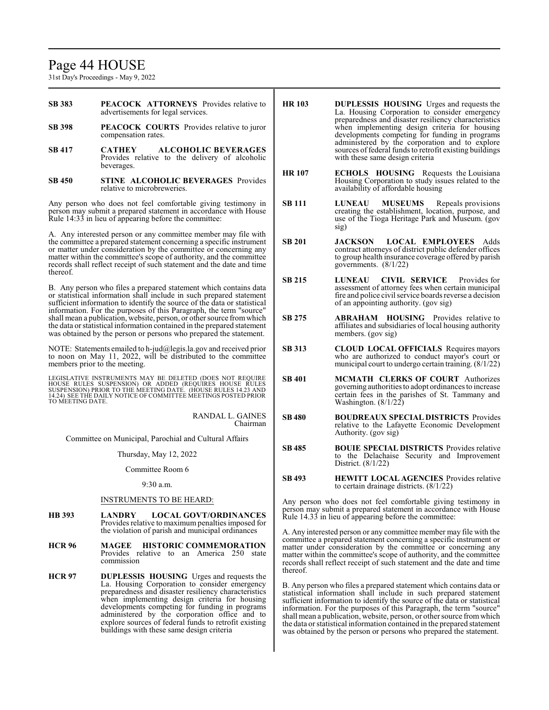## Page 44 HOUSE

31st Day's Proceedings - May 9, 2022

| <b>SB 383</b> |                                    |  | <b>PEACOCK ATTORNEYS</b> Provides relative to |  |
|---------------|------------------------------------|--|-----------------------------------------------|--|
|               | advertisements for legal services. |  |                                               |  |

- **SB 398 PEACOCK COURTS** Provides relative to juror compensation rates.
- **SB 417 CATHEY ALCOHOLIC BEVERAGES** Provides relative to the delivery of alcoholic beverages.
- **SB 450 STINE ALCOHOLIC BEVERAGES** Provides relative to microbreweries.

Any person who does not feel comfortable giving testimony in person may submit a prepared statement in accordance with House Rule 14:33 in lieu of appearing before the committee:

A. Any interested person or any committee member may file with the committee a prepared statement concerning a specific instrument or matter under consideration by the committee or concerning any matter within the committee's scope of authority, and the committee records shall reflect receipt of such statement and the date and time thereof.

B. Any person who files a prepared statement which contains data or statistical information shall include in such prepared statement sufficient information to identify the source of the data or statistical information. For the purposes of this Paragraph, the term "source" shall mean a publication, website, person, or other source fromwhich the data or statistical information contained in the prepared statement was obtained by the person or persons who prepared the statement.

NOTE: Statements emailed to h-jud@legis.la.gov and received prior to noon on May 11, 2022, will be distributed to the committee members prior to the meeting.

LEGISLATIVE INSTRUMENTS MAY BE DELETED (DOES NOT REQUIRE<br>HOUSE RULES SUSPENSION) OR ADDED (REQUIRES HOUSE RULES<br>SUSPENSION) PRIOR TO THE MEETING DATE. (HOUSE RULES 14.23 AND<br>14.24) SEE THE DAILY NOTICE OF COMMITTEE MEETING

RANDAL L. GAINES Chairman

Committee on Municipal, Parochial and Cultural Affairs

Thursday, May 12, 2022

Committee Room 6

9:30 a.m.

## INSTRUMENTS TO BE HEARD:

- **HB 393 LANDRY LOCAL GOVT/ORDINANCES** Provides relative to maximum penalties imposed for the violation of parish and municipal ordinances
- **HCR 96 MAGEE HISTORIC COMMEMORATION** Provides relative to an America 250 state commission
- **HCR 97 DUPLESSIS HOUSING** Urges and requests the La. Housing Corporation to consider emergency preparedness and disaster resiliency characteristics when implementing design criteria for housing developments competing for funding in programs administered by the corporation office and to explore sources of federal funds to retrofit existing buildings with these same design criteria
- **HR 103 DUPLESSIS HOUSING** Urges and requests the La. Housing Corporation to consider emergency preparedness and disaster resiliency characteristics when implementing design criteria for housing developments competing for funding in programs administered by the corporation and to explore sources of federal funds to retrofit existing buildings with these same design criteria
- **HR 107 ECHOLS HOUSING** Requests the Louisiana Housing Corporation to study issues related to the availability of affordable housing
- **SB 111 LUNEAU MUSEUMS** Repeals provisions creating the establishment, location, purpose, and use of the Tioga Heritage Park and Museum. (gov sig)
- **SB 201 JACKSON LOCAL EMPLOYEES** Adds contract attorneys of district public defender offices to group health insurance coverage offered by parish governments. (8/1/22)
- **SB 215 LUNEAU CIVIL SERVICE** Provides for assessment of attorney fees when certain municipal fire and police civil service boards reverse a decision of an appointing authority. (gov sig)
- **SB 275 ABRAHAM HOUSING** Provides relative to affiliates and subsidiaries of local housing authority members. (gov sig)
- **SB 313 CLOUD LOCAL OFFICIALS** Requires mayors who are authorized to conduct mayor's court or municipal court to undergo certain training. (8/1/22)
- **SB 401 MCMATH CLERKS OF COURT** Authorizes governing authorities to adopt ordinances to increase certain fees in the parishes of St. Tammany and Washington. (8/1/22)
- **SB 480 BOUDREAUX SPECIAL DISTRICTS** Provides relative to the Lafayette Economic Development Authority. (gov sig)
- **SB 485 BOUIE SPECIAL DISTRICTS** Provides relative to the Delachaise Security and Improvement District. (8/1/22)
- **SB 493 HEWITT LOCAL AGENCIES** Provides relative to certain drainage districts. (8/1/22)

Any person who does not feel comfortable giving testimony in person may submit a prepared statement in accordance with House Rule 14.33 in lieu of appearing before the committee:

A. Any interested person or any committee member may file with the committee a prepared statement concerning a specific instrument or matter under consideration by the committee or concerning any matter within the committee's scope of authority, and the committee records shall reflect receipt of such statement and the date and time thereof.

B. Any person who files a prepared statement which contains data or statistical information shall include in such prepared statement sufficient information to identify the source of the data or statistical information. For the purposes of this Paragraph, the term "source" shall mean a publication, website, person, or other source fromwhich the data or statistical information contained in the prepared statement was obtained by the person or persons who prepared the statement.